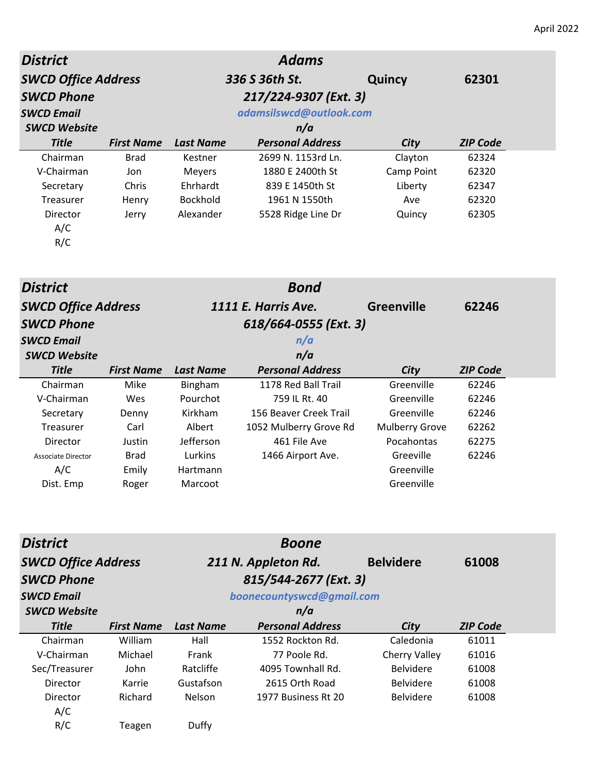| <b>District</b>            |                   |                  | <b>Adams</b>            |                   |                 |
|----------------------------|-------------------|------------------|-------------------------|-------------------|-----------------|
| <b>SWCD Office Address</b> |                   |                  | 336 S 36th St.          | Quincy            | 62301           |
| <b>SWCD Phone</b>          |                   |                  | 217/224-9307 (Ext. 3)   |                   |                 |
| <b>SWCD Email</b>          |                   |                  | adamsilswcd@outlook.com |                   |                 |
| <b>SWCD Website</b>        |                   |                  | n/a                     |                   |                 |
| <b>Title</b>               | <b>First Name</b> | <b>Last Name</b> | <b>Personal Address</b> | <b>City</b>       | <b>ZIP Code</b> |
| Chairman                   | <b>Brad</b>       | Kestner          | 2699 N. 1153rd Ln.      | Clayton           | 62324           |
| V-Chairman                 | Jon               | Meyers           | 1880 E 2400th St        | Camp Point        | 62320           |
| Secretary                  | Chris             | Ehrhardt         | 839 E 1450th St         | Liberty           | 62347           |
| <b>Treasurer</b>           | Henry             | Bockhold         | 1961 N 1550th           | Ave               | 62320           |
| Director                   | Jerry             | Alexander        | 5528 Ridge Line Dr      | Quincy            | 62305           |
| A/C                        |                   |                  |                         |                   |                 |
| R/C                        |                   |                  |                         |                   |                 |
|                            |                   |                  |                         |                   |                 |
| <b>District</b>            |                   |                  | <b>Bond</b>             |                   |                 |
| <b>SWCD Office Address</b> |                   |                  | 1111 E. Harris Ave.     | <b>Greenville</b> | 62246           |
| <b>SWCD Phone</b>          |                   |                  | 618/664-0555 (Ext. 3)   |                   |                 |
| <b>SWCD Email</b>          |                   |                  | n/a                     |                   |                 |
| <b>SWCD Website</b>        |                   |                  | n/a                     |                   |                 |
| <b>Title</b>               | <b>First Name</b> | <b>Last Name</b> | <b>Personal Address</b> | City              | <b>ZIP Code</b> |
| Chairman                   | Anike             | Ringham          | الة All Trail Tr        | Greenville        | 62246           |

| Chairman           | Mike        | Bingham         | 1178 Red Ball Trail    | Greenville            | 62246 |
|--------------------|-------------|-----------------|------------------------|-----------------------|-------|
| V-Chairman         | Wes         | Pourchot        | 759 IL Rt. 40          | Greenville            | 62246 |
| Secretary          | Denny       | Kirkham         | 156 Beaver Creek Trail | Greenville            | 62246 |
| Treasurer          | Carl        | Albert          | 1052 Mulberry Grove Rd | <b>Mulberry Grove</b> | 62262 |
| Director           | Justin      | Jefferson       | 461 File Ave           | Pocahontas            | 62275 |
| Associate Director | <b>Brad</b> | Lurkins         | 1466 Airport Ave.      | Greeville             | 62246 |
| A/C                | Emily       | <b>Hartmann</b> |                        | Greenville            |       |
| Dist. Emp          | Roger       | Marcoot         |                        | Greenville            |       |

| <b>District</b>            |                   |                           | <b>Boone</b>            |                  |                 |
|----------------------------|-------------------|---------------------------|-------------------------|------------------|-----------------|
| <b>SWCD Office Address</b> |                   | 211 N. Appleton Rd.       |                         | <b>Belvidere</b> | 61008           |
| <b>SWCD Phone</b>          |                   |                           |                         |                  |                 |
| <b>SWCD Email</b>          |                   | boonecountyswcd@gmail.com |                         |                  |                 |
| <b>SWCD Website</b>        |                   |                           | n/a                     |                  |                 |
| <b>Title</b>               | <b>First Name</b> | <b>Last Name</b>          | <b>Personal Address</b> | City             | <b>ZIP Code</b> |
| Chairman                   | William           | Hall                      | 1552 Rockton Rd.        | Caledonia        | 61011           |
| V-Chairman                 | Michael           | Frank                     | 77 Poole Rd.            | Cherry Valley    | 61016           |
| Sec/Treasurer              | John              | Ratcliffe                 | 4095 Townhall Rd.       | <b>Belvidere</b> | 61008           |
| Director                   | Karrie            | Gustafson                 | 2615 Orth Road          | <b>Belvidere</b> | 61008           |
| Director                   | Richard           | <b>Nelson</b>             | 1977 Business Rt 20     | <b>Belvidere</b> | 61008           |
| A/C                        |                   |                           |                         |                  |                 |
| R/C                        | Teagen            | Duffy                     |                         |                  |                 |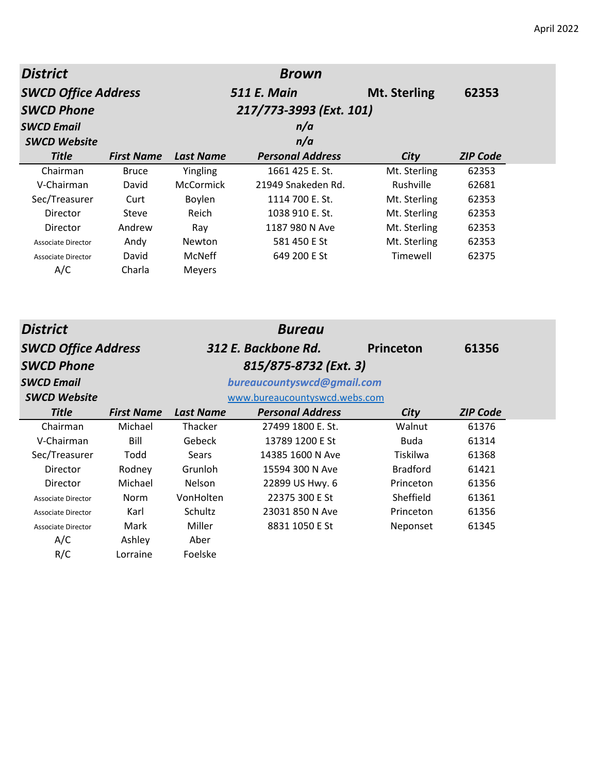| <b>District</b>            |                   |                  | <b>Brown</b>                  |                     |                 |
|----------------------------|-------------------|------------------|-------------------------------|---------------------|-----------------|
| <b>SWCD Office Address</b> |                   |                  | <b>511 E. Main</b>            | <b>Mt. Sterling</b> | 62353           |
| <b>SWCD Phone</b>          |                   |                  | 217/773-3993 (Ext. 101)       |                     |                 |
| <b>SWCD Email</b>          |                   |                  | n/a                           |                     |                 |
| <b>SWCD Website</b>        |                   |                  | n/a                           |                     |                 |
| <b>Title</b>               | <b>First Name</b> | <b>Last Name</b> | <b>Personal Address</b>       | City                | <b>ZIP Code</b> |
| Chairman                   | <b>Bruce</b>      | Yingling         | 1661 425 E. St.               | Mt. Sterling        | 62353           |
| V-Chairman                 | David             | McCormick        | 21949 Snakeden Rd.            | Rushville           | 62681           |
| Sec/Treasurer              | Curt              | Boylen           | 1114 700 E. St.               | Mt. Sterling        | 62353           |
| Director                   | <b>Steve</b>      | Reich            | 1038 910 E. St.               | Mt. Sterling        | 62353           |
| Director                   | Andrew            | Ray              | 1187 980 N Ave                | Mt. Sterling        | 62353           |
| <b>Associate Director</b>  | Andy              | Newton           | 581 450 E St                  | Mt. Sterling        | 62353           |
| <b>Associate Director</b>  | David             | McNeff           | 649 200 E St                  | Timewell            | 62375           |
| A/C                        | Charla            | Meyers           |                               |                     |                 |
|                            |                   |                  |                               |                     |                 |
| <b>District</b>            |                   |                  | <b>Bureau</b>                 |                     |                 |
| <b>SWCD Office Address</b> |                   |                  | 312 E. Backbone Rd.           | Princeton           | 61356           |
| <b>SWCD Phone</b>          |                   |                  | 815/875-8732 (Ext. 3)         |                     |                 |
| <b>SWCD Email</b>          |                   |                  | bureaucountyswcd@gmail.com    |                     |                 |
| <b>SWCD Website</b>        |                   |                  | www.bureaucountyswcd.webs.com |                     |                 |
| <b>Title</b>               | <b>First Name</b> | <b>Last Name</b> | <b>Personal Address</b>       | City                | <b>ZIP Code</b> |
| Chairman                   | Michael           | Thacker          | 27499 1800 E. St.             | Walnut              | 61376           |
| V-Chairman                 | Bill              | Gebeck           | 13789 1200 E St               | <b>Buda</b>         | 61314           |
| Sec/Treasurer              | Todd              | Sears            | 14385 1600 N Ave              | Tiskilwa            | 61368           |
| Director                   | Rodney            | Grunloh          | 15594 300 N Ave               | <b>Bradford</b>     | 61421           |
| Director                   | Michael           | Nelson           | 22899 US Hwy. 6               | Princeton           | 61356           |
| <b>Associate Director</b>  | Norm              | VonHolten        | 22375 300 E St                | Sheffield           | 61361           |
| <b>Associate Director</b>  | Karl              | Schultz          | 23031 850 N Ave               | Princeton           | 61356           |
| <b>Associate Director</b>  | Mark              | Miller           | 8831 1050 E St                | Neponset            | 61345           |
| A/C                        | Ashley            | Aber             |                               |                     |                 |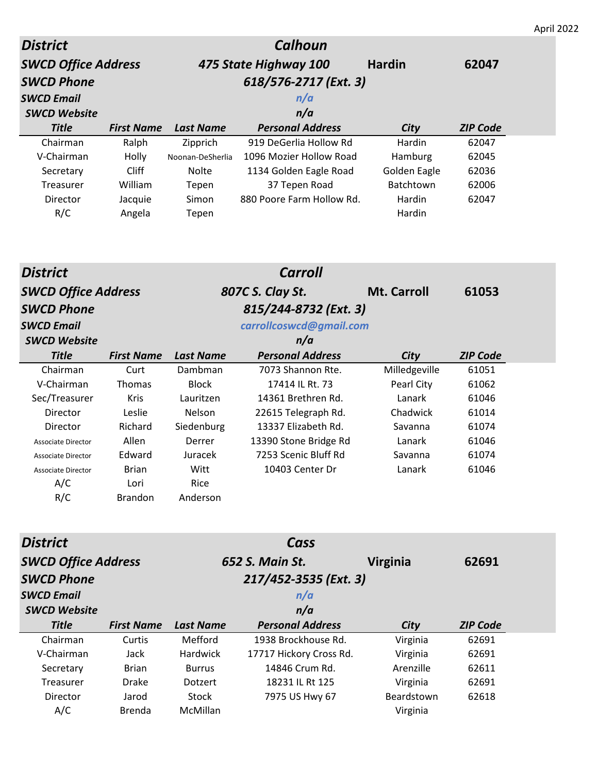| <b>District</b>                            |                      |                           | <b>Calhoun</b>                            |                       |                 |  |  |
|--------------------------------------------|----------------------|---------------------------|-------------------------------------------|-----------------------|-----------------|--|--|
| <b>SWCD Office Address</b>                 |                      |                           | 475 State Highway 100                     | <b>Hardin</b>         | 62047           |  |  |
| <b>SWCD Phone</b><br>618/576-2717 (Ext. 3) |                      |                           |                                           |                       |                 |  |  |
| <b>SWCD Email</b>                          |                      |                           | n/a                                       |                       |                 |  |  |
| <b>SWCD Website</b>                        |                      |                           | n/a                                       |                       |                 |  |  |
| <b>Title</b>                               | <b>First Name</b>    | <b>Last Name</b>          | <b>Personal Address</b>                   | City                  | <b>ZIP Code</b> |  |  |
| Chairman                                   | Ralph                | Zipprich                  | 919 DeGerlia Hollow Rd                    | Hardin                | 62047           |  |  |
| V-Chairman                                 | Holly                | Noonan-DeSherlia          | 1096 Mozier Hollow Road                   | Hamburg               | 62045           |  |  |
| Secretary                                  | <b>Cliff</b>         | Nolte                     | 1134 Golden Eagle Road                    | Golden Eagle          | 62036           |  |  |
| Treasurer                                  | William              | Tepen                     | 37 Tepen Road                             | Batchtown             | 62006           |  |  |
| Director                                   | Jacquie              | Simon                     | 880 Poore Farm Hollow Rd.                 | Hardin                | 62047           |  |  |
| R/C                                        | Angela               | Tepen                     |                                           | Hardin                |                 |  |  |
|                                            |                      |                           | <b>Carroll</b>                            |                       |                 |  |  |
| <b>District</b>                            |                      |                           |                                           |                       |                 |  |  |
| <b>SWCD Office Address</b>                 |                      |                           | 807C S. Clay St.                          | <b>Mt. Carroll</b>    | 61053           |  |  |
| <b>SWCD Phone</b>                          |                      |                           | 815/244-8732 (Ext. 3)                     |                       |                 |  |  |
| <b>SWCD Email</b>                          |                      |                           | carrollcoswcd@gmail.com                   |                       |                 |  |  |
| <b>SWCD Website</b>                        |                      |                           | n/a                                       |                       |                 |  |  |
| <b>Title</b>                               | <b>First Name</b>    | <b>Last Name</b>          | <b>Personal Address</b>                   | City                  | <b>ZIP Code</b> |  |  |
| Chairman                                   | Curt                 | Dambman                   | 7073 Shannon Rte.                         | Milledgeville         | 61051           |  |  |
| V-Chairman                                 | Thomas               | <b>Block</b>              | 17414 IL Rt. 73                           | Pearl City            | 61062           |  |  |
| Sec/Treasurer                              | Kris                 | Lauritzen                 | 14361 Brethren Rd.                        | Lanark                | 61046           |  |  |
| Director                                   | Leslie               | Nelson                    | 22615 Telegraph Rd.                       | Chadwick              | 61014           |  |  |
| Director                                   | Richard              | Siedenburg                | 13337 Elizabeth Rd.                       | Savanna               | 61074           |  |  |
| <b>Associate Director</b>                  | Allen                | Derrer                    | 13390 Stone Bridge Rd                     | Lanark                | 61046           |  |  |
| Associate Director                         | Edward               | Juracek                   | 7253 Scenic Bluff Rd                      | Savanna               | 61074           |  |  |
| Associate Director                         | <b>Brian</b>         | Witt                      | 10403 Center Dr                           | Lanark                | 61046           |  |  |
| A/C                                        | Lori                 | Rice                      |                                           |                       |                 |  |  |
| R/C                                        | <b>Brandon</b>       | Anderson                  |                                           |                       |                 |  |  |
| <b>District</b><br>Cass                    |                      |                           |                                           |                       |                 |  |  |
|                                            |                      |                           |                                           |                       |                 |  |  |
| <b>SWCD Office Address</b>                 |                      |                           | 652 S. Main St.                           | <b>Virginia</b>       | 62691           |  |  |
| <b>SWCD Phone</b>                          |                      |                           |                                           |                       |                 |  |  |
| <b>SWCD Email</b>                          |                      |                           | 217/452-3535 (Ext. 3)                     |                       |                 |  |  |
|                                            |                      |                           | n/a                                       |                       |                 |  |  |
| <b>SWCD Website</b>                        |                      |                           | n/a                                       |                       |                 |  |  |
| <b>Title</b>                               | <b>First Name</b>    | <b>Last Name</b>          | <b>Personal Address</b>                   | <b>City</b>           | <b>ZIP Code</b> |  |  |
| Chairman                                   | Curtis               | Mefford                   | 1938 Brockhouse Rd.                       | Virginia              | 62691           |  |  |
| V-Chairman<br>Secretary                    | Jack<br><b>Brian</b> | Hardwick<br><b>Burrus</b> | 17717 Hickory Cross Rd.<br>14846 Crum Rd. | Virginia<br>Arenzille | 62691<br>62611  |  |  |

Director Jarod Stock 7975 US Hwy 67 Beardstown 62618

A/C Brenda McMillan **Virginia**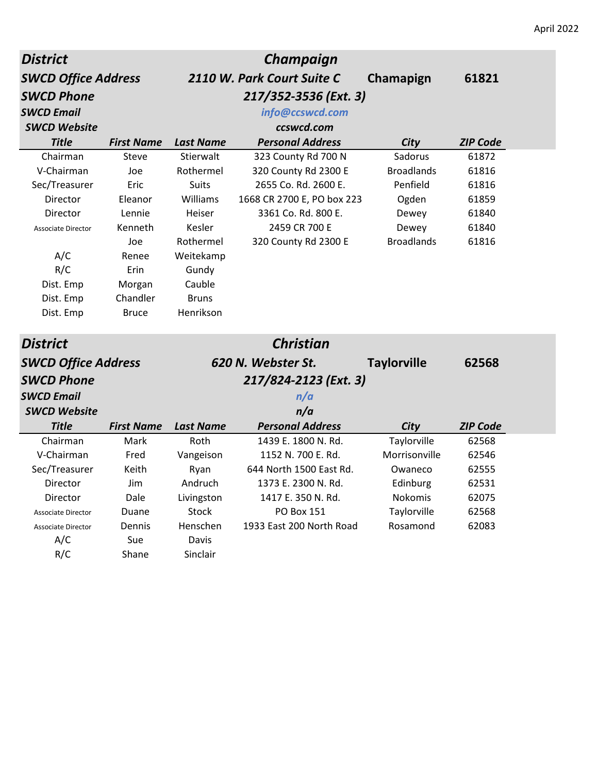| <b>District</b>            |                   |                  | <b>Champaign</b>           |                    |                 |
|----------------------------|-------------------|------------------|----------------------------|--------------------|-----------------|
| <b>SWCD Office Address</b> |                   |                  | 2110 W. Park Court Suite C | Chamapign          | 61821           |
| <b>SWCD Phone</b>          |                   |                  | 217/352-3536 (Ext. 3)      |                    |                 |
| <b>SWCD Email</b>          |                   |                  | info@ccswcd.com            |                    |                 |
| <b>SWCD Website</b>        |                   |                  | ccswcd.com                 |                    |                 |
| <b>Title</b>               | <b>First Name</b> | <b>Last Name</b> | <b>Personal Address</b>    | City               | <b>ZIP Code</b> |
| Chairman                   | Steve             | Stierwalt        | 323 County Rd 700 N        | Sadorus            | 61872           |
| V-Chairman                 | Joe               | Rothermel        | 320 County Rd 2300 E       | <b>Broadlands</b>  | 61816           |
| Sec/Treasurer              | Eric              | <b>Suits</b>     | 2655 Co. Rd. 2600 E.       | Penfield           | 61816           |
| Director                   | Eleanor           | Williams         | 1668 CR 2700 E, PO box 223 | Ogden              | 61859           |
| Director                   | Lennie            | Heiser           | 3361 Co. Rd. 800 E.        | Dewey              | 61840           |
| <b>Associate Director</b>  | Kenneth           | Kesler           | 2459 CR 700 E              | Dewey              | 61840           |
|                            | Joe               | Rothermel        | 320 County Rd 2300 E       | <b>Broadlands</b>  | 61816           |
| A/C                        | Renee             | Weitekamp        |                            |                    |                 |
| R/C                        | Erin              | Gundy            |                            |                    |                 |
| Dist. Emp                  | Morgan            | Cauble           |                            |                    |                 |
| Dist. Emp                  | Chandler          | <b>Bruns</b>     |                            |                    |                 |
| Dist. Emp                  | <b>Bruce</b>      | Henrikson        |                            |                    |                 |
| <b>District</b>            |                   |                  | <b>Christian</b>           |                    |                 |
| <b>SWCD Office Address</b> |                   |                  | 620 N. Webster St.         | <b>Taylorville</b> | 62568           |
|                            |                   |                  |                            |                    |                 |
| <b>SWCD Phone</b>          |                   |                  | 217/824-2123 (Ext. 3)      |                    |                 |
| <b>SWCD Email</b>          |                   |                  | n/a                        |                    |                 |
| <b>SWCD Website</b>        |                   |                  | n/a                        |                    |                 |
| <b>Title</b>               | <b>First Name</b> | <b>Last Name</b> | <b>Personal Address</b>    | City               | <b>ZIP Code</b> |
| Chairman                   | Mark              | Roth             | 1439 E. 1800 N. Rd.        | Taylorville        | 62568           |
| V-Chairman                 | Fred              | Vangeison        | 1152 N. 700 E. Rd.         | Morrisonville      | 62546           |
| Sec/Treasurer              | Keith             | Ryan             | 644 North 1500 East Rd.    | Owaneco            | 62555           |
| Director                   | Jim               | Andruch          | 1373 E. 2300 N. Rd.        | Edinburg           | 62531           |
| Director                   | Dale              | Livingston       | 1417 E. 350 N. Rd.         | Nokomis            | 62075           |
| Associate Director         | Duane             | Stock            | <b>PO Box 151</b>          | Taylorville        | 62568           |
| <b>Associate Director</b>  | Dennis            | Henschen         | 1933 East 200 North Road   | Rosamond           | 62083           |
| A/C                        | Sue               | Davis            |                            |                    |                 |
| R/C                        | Shane             | Sinclair         |                            |                    |                 |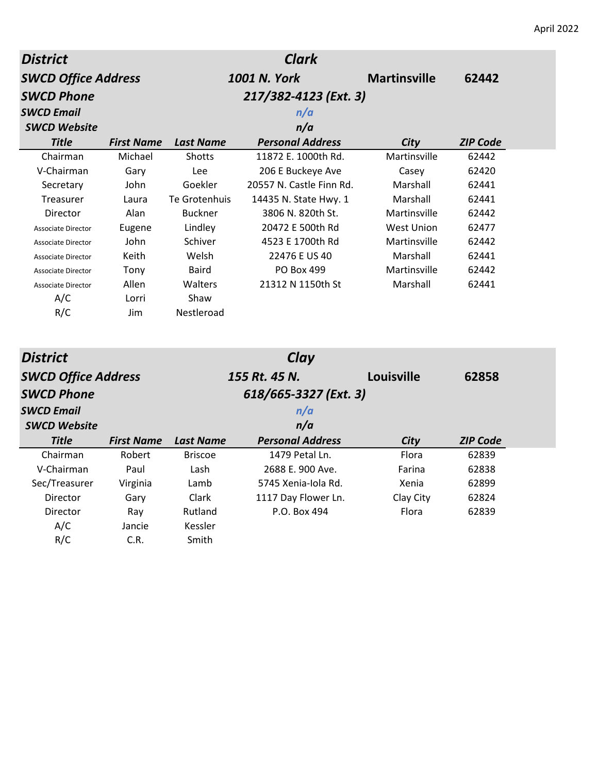| <b>District</b>            | <b>Clark</b>      |                  |                          |                     |                 |
|----------------------------|-------------------|------------------|--------------------------|---------------------|-----------------|
| <b>SWCD Office Address</b> |                   |                  | 1001 N. York             | <b>Martinsville</b> | 62442           |
| <b>SWCD Phone</b>          |                   |                  | 217/382-4123 (Ext. 3)    |                     |                 |
| <b>SWCD Email</b>          |                   |                  | n/a                      |                     |                 |
| <b>SWCD Website</b>        |                   |                  | n/a                      |                     |                 |
| <b>Title</b>               | <b>First Name</b> | <b>Last Name</b> | <b>Personal Address</b>  | City                | <b>ZIP Code</b> |
| Chairman                   | Michael           | Shotts           | 11872 E. 1000th Rd.      | Martinsville        | 62442           |
| V-Chairman                 | Gary              | Lee              | 206 E Buckeye Ave        | Casey               | 62420           |
| Secretary                  | John              | Goekler          | 20557 N. Castle Finn Rd. | Marshall            | 62441           |
| Treasurer                  | Laura             | Te Grotenhuis    | 14435 N. State Hwy. 1    | Marshall            | 62441           |
| Director                   | Alan              | <b>Buckner</b>   | 3806 N. 820th St.        | Martinsville        | 62442           |
| <b>Associate Director</b>  | Eugene            | Lindley          | 20472 E 500th Rd         | <b>West Union</b>   | 62477           |
| <b>Associate Director</b>  | John              | Schiver          | 4523 E 1700th Rd         | Martinsville        | 62442           |
| <b>Associate Director</b>  | Keith             | Welsh            | 22476 E US 40            | Marshall            | 62441           |
| <b>Associate Director</b>  | Tony              | <b>Baird</b>     | PO Box 499               | Martinsville        | 62442           |
| <b>Associate Director</b>  | Allen             | Walters          | 21312 N 1150th St        | Marshall            | 62441           |
| A/C                        | Lorri             | Shaw             |                          |                     |                 |
| R/C                        | <b>Jim</b>        | Nestleroad       |                          |                     |                 |
| <b>District</b>            |                   |                  | Clay                     |                     |                 |
| <b>SWCD Office Address</b> |                   |                  | 155 Rt. 45 N.            | Louisville          | 62858           |
| <b>SWCD Phone</b>          |                   |                  | 618/665-3327 (Ext. 3)    |                     |                 |
|                            |                   |                  |                          |                     |                 |
| <b>SWCD Email</b>          |                   |                  | n/a                      |                     |                 |
| <b>SWCD Website</b>        |                   |                  | n/a                      |                     |                 |
| <b>Title</b>               | <b>First Name</b> | <b>Last Name</b> | <b>Personal Address</b>  | City                | <b>ZIP Code</b> |
| Chairman                   | Robert            | <b>Briscoe</b>   | 1479 Petal Ln.           | Flora               | 62839           |
| V-Chairman                 | Paul              | Lash             | 2688 E. 900 Ave.         | Farina              | 62838           |
| Sec/Treasurer              | Virginia          | Lamb             | 5745 Xenia-Iola Rd.      | Xenia               | 62899           |
| Director                   | Gary              | Clark            | 1117 Day Flower Ln.      | Clay City           | 62824           |
| Director                   | Ray               | Rutland          | P.O. Box 494             | Flora               | 62839           |
| A/C                        | Jancie            | Kessler          |                          |                     |                 |
| R/C                        | C.R.              | Smith            |                          |                     |                 |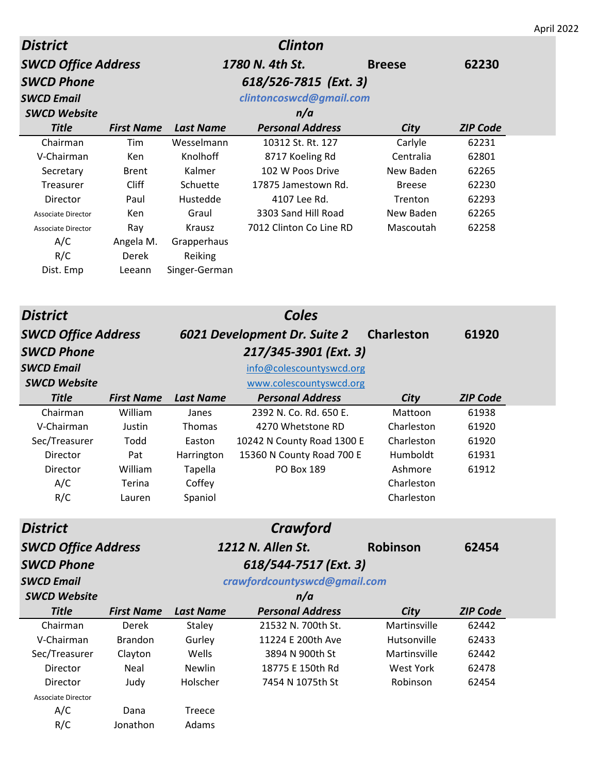|                            |                   |                  |                              |                   |                 | April 2022 |
|----------------------------|-------------------|------------------|------------------------------|-------------------|-----------------|------------|
| <b>District</b>            |                   |                  | <b>Clinton</b>               |                   |                 |            |
| <b>SWCD Office Address</b> |                   |                  | 1780 N. 4th St.              | <b>Breese</b>     | 62230           |            |
| <b>SWCD Phone</b>          |                   |                  | 618/526-7815 (Ext. 3)        |                   |                 |            |
| <b>SWCD Email</b>          |                   |                  | clintoncoswcd@gmail.com      |                   |                 |            |
| <b>SWCD Website</b>        |                   |                  | n/a                          |                   |                 |            |
| <b>Title</b>               | <b>First Name</b> | <b>Last Name</b> | <b>Personal Address</b>      | <b>City</b>       | <b>ZIP Code</b> |            |
| Chairman                   | Tim               | Wesselmann       | 10312 St. Rt. 127            | Carlyle           | 62231           |            |
| V-Chairman                 | Ken               | Knolhoff         | 8717 Koeling Rd              | Centralia         | 62801           |            |
| Secretary                  | <b>Brent</b>      | Kalmer           | 102 W Poos Drive             | New Baden         | 62265           |            |
| Treasurer                  | Cliff             | Schuette         | 17875 Jamestown Rd.          | <b>Breese</b>     | 62230           |            |
| Director                   | Paul              | Hustedde         | 4107 Lee Rd.                 | Trenton           | 62293           |            |
| <b>Associate Director</b>  | Ken               | Graul            | 3303 Sand Hill Road          | New Baden         | 62265           |            |
| <b>Associate Director</b>  | Ray               | Krausz           | 7012 Clinton Co Line RD      | Mascoutah         | 62258           |            |
| A/C                        | Angela M.         | Grapperhaus      |                              |                   |                 |            |
| R/C                        | Derek             | Reiking          |                              |                   |                 |            |
| Dist. Emp                  | Leeann            | Singer-German    |                              |                   |                 |            |
|                            |                   |                  |                              |                   |                 |            |
|                            |                   |                  |                              |                   |                 |            |
| <b>District</b>            |                   |                  | <b>Coles</b>                 |                   |                 |            |
| <b>SWCD Office Address</b> |                   |                  | 6021 Development Dr. Suite 2 | <b>Charleston</b> | 61920           |            |
| <b>SWCD Phone</b>          |                   |                  | 217/345-3901 (Ext. 3)        |                   |                 |            |
| <b>SWCD Email</b>          |                   |                  | info@colescountyswcd.org     |                   |                 |            |
| <b>SWCD Website</b>        |                   |                  | www.colescountyswcd.org      |                   |                 |            |
| <b>Title</b>               | <b>First Name</b> | <b>Last Name</b> | <b>Personal Address</b>      | City              | <b>ZIP Code</b> |            |
| Chairman                   | William           | Janes            | 2392 N. Co. Rd. 650 E.       | Mattoon           | 61938           |            |
| V-Chairman                 | Justin            | Thomas           | 4270 Whetstone RD            | Charleston        | 61920           |            |
| Sec/Treasurer              | Todd              | Easton           | 10242 N County Road 1300 E   | Charleston        | 61920           |            |
| Director                   | Pat               | Harrington       | 15360 N County Road 700 E    | Humboldt          | 61931           |            |
| Director                   | William           | <b>Tapella</b>   | PO Box 189                   | Ashmore           | 61912           |            |
| A/C                        | Terina            | Coffey           |                              | Charleston        |                 |            |
| R/C                        | Lauren            | Spaniol          |                              | Charleston        |                 |            |
|                            |                   |                  |                              |                   |                 |            |
| <b>District</b>            |                   |                  | Crawford                     |                   |                 |            |
| <b>SWCD Office Address</b> |                   |                  | 1212 N. Allen St.            | <b>Robinson</b>   | 62454           |            |
| <b>SWCD Phone</b>          |                   |                  | 618/544-7517 (Ext. 3)        |                   |                 |            |
| <b>SWCD Email</b>          |                   |                  | crawfordcountyswcd@gmail.com |                   |                 |            |
| <b>SWCD Website</b>        |                   |                  | n/a                          |                   |                 |            |
| <b>Title</b>               | <b>First Name</b> | <b>Last Name</b> | <b>Personal Address</b>      | City              | <b>ZIP Code</b> |            |
| Chairman                   | Derek             | Staley           | 21532 N. 700th St.           | Martinsville      | 62442           |            |
| V-Chairman                 | <b>Brandon</b>    | Gurley           | 11224 E 200th Ave            | Hutsonville       | 62433           |            |
| Sec/Treasurer              | Clayton           | Wells            | 3894 N 900th St              | Martinsville      | 62442           |            |
| Director                   | Neal              | Newlin           | 18775 E 150th Rd             | <b>West York</b>  | 62478           |            |
| Director                   | Judy              | Holscher         | 7454 N 1075th St             | Robinson          | 62454           |            |
| <b>Associate Director</b>  |                   |                  |                              |                   |                 |            |
| A/C                        | Dana              | Treece           |                              |                   |                 |            |
| R/C                        | Jonathon          | Adams            |                              |                   |                 |            |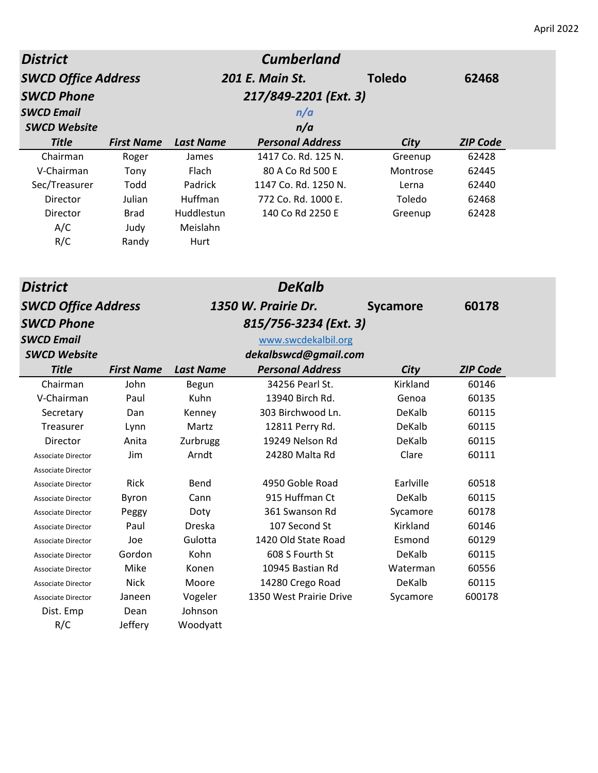| <b>District</b>            | <b>Cumberland</b>     |                  |                         |                 |                 |  |
|----------------------------|-----------------------|------------------|-------------------------|-----------------|-----------------|--|
| <b>SWCD Office Address</b> |                       | 201 E. Main St.  |                         | <b>Toledo</b>   | 62468           |  |
| <b>SWCD Phone</b>          | 217/849-2201 (Ext. 3) |                  |                         |                 |                 |  |
| <b>SWCD Email</b>          | n/a                   |                  |                         |                 |                 |  |
| <b>SWCD Website</b>        |                       |                  | n/a                     |                 |                 |  |
| <b>Title</b>               | <b>First Name</b>     | <b>Last Name</b> | <b>Personal Address</b> | City            | <b>ZIP Code</b> |  |
| Chairman                   | Roger                 | James            | 1417 Co. Rd. 125 N.     | Greenup         | 62428           |  |
| V-Chairman                 | Tony                  | Flach            | 80 A Co Rd 500 E        | Montrose        | 62445           |  |
| Sec/Treasurer              | Todd                  | Padrick          | 1147 Co. Rd. 1250 N.    | Lerna           | 62440           |  |
| Director                   | Julian                | Huffman          | 772 Co. Rd. 1000 E.     | Toledo          | 62468           |  |
| Director                   | <b>Brad</b>           | Huddlestun       | 140 Co Rd 2250 E        | Greenup         | 62428           |  |
| A/C                        | Judy                  | Meislahn         |                         |                 |                 |  |
| R/C                        | Randy                 | Hurt             |                         |                 |                 |  |
|                            |                       |                  |                         |                 |                 |  |
| <b>District</b>            |                       |                  | <b>DeKalb</b>           |                 |                 |  |
|                            |                       |                  | 1350 W. Prairie Dr.     |                 | 60178           |  |
| <b>SWCD Office Address</b> |                       |                  |                         | <b>Sycamore</b> |                 |  |
| <b>SWCD Phone</b>          |                       |                  | 815/756-3234 (Ext. 3)   |                 |                 |  |
| <b>SWCD Email</b>          |                       |                  | www.swcdekalbil.org     |                 |                 |  |
| <b>SWCD Website</b>        |                       |                  | dekalbswcd@gmail.com    |                 |                 |  |
| <b>Title</b>               | <b>First Name</b>     | <b>Last Name</b> | <b>Personal Address</b> | City            | <b>ZIP Code</b> |  |
| Chairman                   | John                  | Begun            | 34256 Pearl St.         | Kirkland        | 60146           |  |
| V-Chairman                 | Paul                  | Kuhn             | 13940 Birch Rd.         | Genoa           | 60135           |  |
| Secretary                  | Dan                   | Kenney           | 303 Birchwood Ln.       | DeKalb          | 60115           |  |
| <b>Treasurer</b>           | Lynn                  | Martz            | 12811 Perry Rd.         | DeKalb          | 60115           |  |
| Director                   | Anita                 | Zurbrugg         | 19249 Nelson Rd         | DeKalb          | 60115           |  |
| <b>Associate Director</b>  | Jim                   | Arndt            | 24280 Malta Rd          | Clare           | 60111           |  |
| Associate Director         |                       |                  |                         |                 |                 |  |
| <b>Associate Director</b>  | Rick                  | Bend             | 4950 Goble Road         | Earlville       | 60518           |  |
| <b>Associate Director</b>  | Byron                 | Cann             | 915 Huffman Ct          | DeKalb          | 60115           |  |
| Associate Director         | Peggy                 | Doty             | 361 Swanson Rd          | Sycamore        | 60178           |  |
| <b>Associate Director</b>  | Paul                  | Dreska           | 107 Second St           | Kirkland        | 60146           |  |
| <b>Associate Director</b>  | Joe                   | Gulotta          | 1420 Old State Road     | Esmond          | 60129           |  |
| <b>Associate Director</b>  | Gordon                | Kohn             | 608 S Fourth St         | DeKalb          | 60115           |  |

Associate Director Mike Konen 10945 Bastian Rd Waterman 60556 Associate Director **Nick** Moore 14280 Crego Road DeKalb 60115 Associate Director Janeen Vogeler 1350 West Prairie Drive Sycamore 600178

Dist. Emp Dean Johnson R/C Jeffery Woodyatt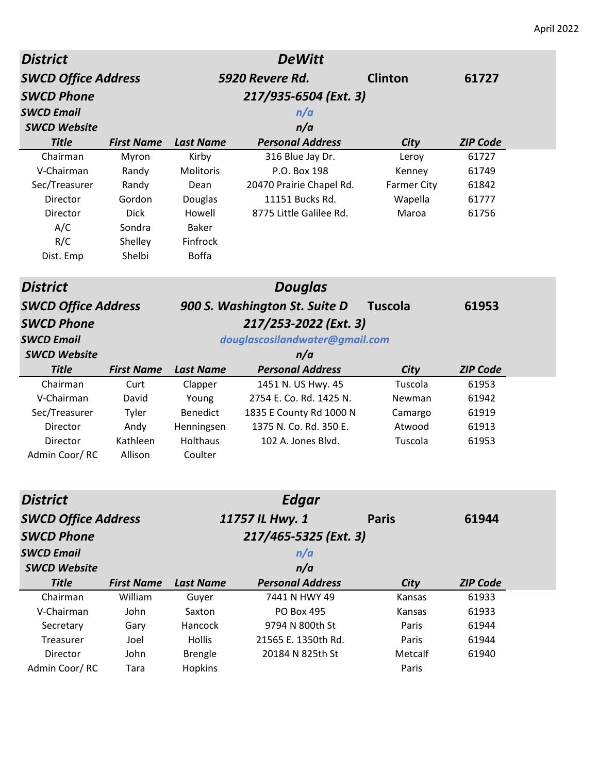| <b>District</b>            |                   |                  | <b>DeWitt</b>                  |                    |                 |
|----------------------------|-------------------|------------------|--------------------------------|--------------------|-----------------|
| <b>SWCD Office Address</b> |                   |                  | 5920 Revere Rd.                | <b>Clinton</b>     | 61727           |
| <b>SWCD Phone</b>          |                   |                  | 217/935-6504 (Ext. 3)          |                    |                 |
| <b>SWCD Email</b>          |                   |                  | n/a                            |                    |                 |
| <b>SWCD Website</b>        |                   |                  | n/a                            |                    |                 |
| <b>Title</b>               | <b>First Name</b> | <b>Last Name</b> | <b>Personal Address</b>        | City               | <b>ZIP Code</b> |
| Chairman                   | Myron             | Kirby            | 316 Blue Jay Dr.               | Leroy              | 61727           |
| V-Chairman                 | Randy             | Molitoris        | P.O. Box 198                   | Kenney             | 61749           |
| Sec/Treasurer              | Randy             | Dean             | 20470 Prairie Chapel Rd.       | <b>Farmer City</b> | 61842           |
| Director                   | Gordon            | Douglas          | 11151 Bucks Rd.                | Wapella            | 61777           |
| Director                   | <b>Dick</b>       | Howell           | 8775 Little Galilee Rd.        | Maroa              | 61756           |
| A/C                        | Sondra            | <b>Baker</b>     |                                |                    |                 |
| R/C                        | Shelley           | Finfrock         |                                |                    |                 |
| Dist. Emp                  | Shelbi            | <b>Boffa</b>     |                                |                    |                 |
| <b>District</b>            |                   |                  | <b>Douglas</b>                 |                    |                 |
| <b>SWCD Office Address</b> |                   |                  | 900 S. Washington St. Suite D  | <b>Tuscola</b>     | 61953           |
| <b>SWCD Phone</b>          |                   |                  | 217/253-2022 (Ext. 3)          |                    |                 |
| <b>SWCD Email</b>          |                   |                  | douglascosilandwater@gmail.com |                    |                 |
| <b>SWCD Website</b>        |                   |                  | n/a                            |                    |                 |
| <b>Title</b>               | <b>First Name</b> | <b>Last Name</b> | <b>Personal Address</b>        | City               | <b>ZIP Code</b> |
| Chairman                   | Curt              | Clapper          | 1451 N. US Hwy. 45             | Tuscola            | 61953           |
| V-Chairman                 | David             | Young            | 2754 E. Co. Rd. 1425 N.        | Newman             | 61942           |
|                            |                   |                  |                                |                    |                 |
| Sec/Treasurer              | Tyler             | Benedict         | 1835 E County Rd 1000 N        | Camargo            | 61919           |
| Director                   | Andy              | Henningsen       | 1375 N. Co. Rd. 350 E.         | Atwood             | 61913           |
| Director                   | Kathleen          | <b>Holthaus</b>  | 102 A. Jones Blvd.             | Tuscola            | 61953           |
| Admin Coor/RC              | Allison           | Coulter          |                                |                    |                 |
| <b>District</b>            |                   |                  | <b>Edgar</b>                   |                    |                 |
| <b>SWCD Office Address</b> |                   |                  | 11757 IL Hwy. 1                | <b>Paris</b>       | 61944           |
| <b>SWCD Phone</b>          |                   |                  | 217/465-5325 (Ext. 3)          |                    |                 |
| <b>SWCD Email</b>          |                   |                  | n/a                            |                    |                 |
| <b>SWCD Website</b>        |                   |                  | n/a                            |                    |                 |
| <b>Title</b>               | <b>First Name</b> | <b>Last Name</b> | <b>Personal Address</b>        | <b>City</b>        | <b>ZIP Code</b> |
| Chairman                   | William           | Guyer            | 7441 N HWY 49                  | Kansas             | 61933           |
| V-Chairman                 | John              | Saxton           | PO Box 495                     | Kansas             | 61933           |
| Secretary                  | Gary              | Hancock          | 9794 N 800th St                | Paris              | 61944           |
| Treasurer                  | Joel              | <b>Hollis</b>    | 21565 E. 1350th Rd.            | Paris              | 61944           |
| Director                   | John              | <b>Brengle</b>   | 20184 N 825th St               | Metcalf            | 61940           |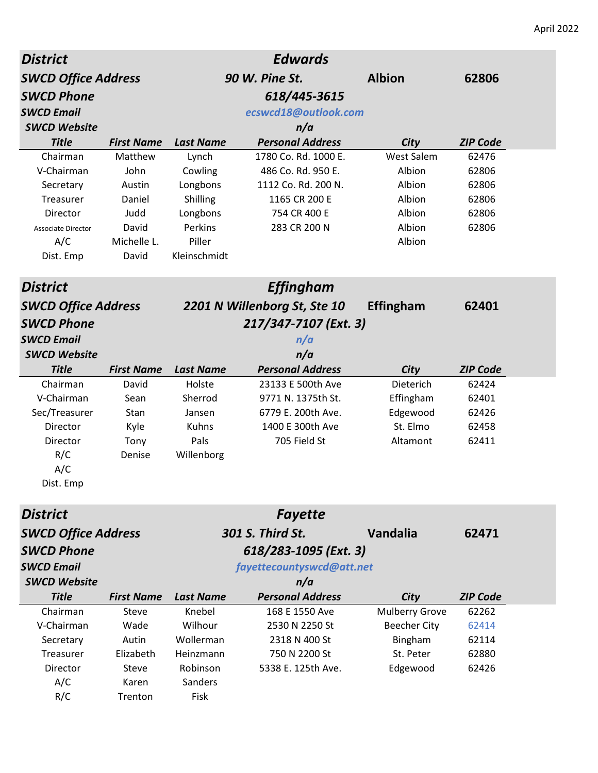| <b>District</b>            | <b>Edwards</b>    |                      |                              |                       |                 |  |  |
|----------------------------|-------------------|----------------------|------------------------------|-----------------------|-----------------|--|--|
| <b>SWCD Office Address</b> |                   |                      | 90 W. Pine St.               | <b>Albion</b>         | 62806           |  |  |
| <b>SWCD Phone</b>          |                   |                      | 618/445-3615                 |                       |                 |  |  |
| <b>SWCD Email</b>          |                   | ecswcd18@outlook.com |                              |                       |                 |  |  |
| <b>SWCD Website</b>        |                   | n/a                  |                              |                       |                 |  |  |
| <b>Title</b>               | <b>First Name</b> | <b>Last Name</b>     | <b>Personal Address</b>      | City                  | <b>ZIP Code</b> |  |  |
| Chairman                   | Matthew           | Lynch                | 1780 Co. Rd. 1000 E.         | West Salem            | 62476           |  |  |
| V-Chairman                 | John              | Cowling              | 486 Co. Rd. 950 E.           | Albion                | 62806           |  |  |
| Secretary                  | Austin            | Longbons             | 1112 Co. Rd. 200 N.          | Albion                | 62806           |  |  |
| Treasurer                  | Daniel            | Shilling             | 1165 CR 200 E                | Albion                | 62806           |  |  |
| Director                   | Judd              | Longbons             | 754 CR 400 E                 | Albion                | 62806           |  |  |
| <b>Associate Director</b>  | David             | Perkins              | 283 CR 200 N                 | Albion                | 62806           |  |  |
| A/C                        | Michelle L.       | Piller               |                              | Albion                |                 |  |  |
| Dist. Emp                  | David             | Kleinschmidt         |                              |                       |                 |  |  |
| <b>District</b>            |                   |                      | <b>Effingham</b>             |                       |                 |  |  |
| <b>SWCD Office Address</b> |                   |                      | 2201 N Willenborg St, Ste 10 | <b>Effingham</b>      | 62401           |  |  |
| <b>SWCD Phone</b>          |                   |                      | 217/347-7107 (Ext. 3)        |                       |                 |  |  |
| <b>SWCD Email</b>          |                   |                      | n/a                          |                       |                 |  |  |
| <b>SWCD Website</b>        |                   |                      | n/a                          |                       |                 |  |  |
| <b>Title</b>               | <b>First Name</b> | <b>Last Name</b>     | <b>Personal Address</b>      | City                  | <b>ZIP Code</b> |  |  |
| Chairman                   | David             | Holste               | 23133 E 500th Ave            | Dieterich             | 62424           |  |  |
| V-Chairman                 | Sean              | Sherrod              | 9771 N. 1375th St.           | Effingham             | 62401           |  |  |
| Sec/Treasurer              | Stan              | Jansen               | 6779 E. 200th Ave.           | Edgewood              | 62426           |  |  |
| Director                   | Kyle              | Kuhns                | 1400 E 300th Ave             | St. Elmo              | 62458           |  |  |
| Director                   | Tony              | Pals                 | 705 Field St                 | Altamont              | 62411           |  |  |
| R/C                        | Denise            | Willenborg           |                              |                       |                 |  |  |
| A/C                        |                   |                      |                              |                       |                 |  |  |
| Dist. Emp                  |                   |                      |                              |                       |                 |  |  |
| <b>District</b>            |                   |                      | <b>Fayette</b>               |                       |                 |  |  |
| <b>SWCD Office Address</b> |                   |                      | 301 S. Third St.             | Vandalia              | 62471           |  |  |
| <b>SWCD Phone</b>          |                   |                      | 618/283-1095 (Ext. 3)        |                       |                 |  |  |
| <b>SWCD Email</b>          |                   |                      | fayettecountyswcd@att.net    |                       |                 |  |  |
| <b>SWCD Website</b>        |                   |                      | n/a                          |                       |                 |  |  |
| <b>Title</b>               | <b>First Name</b> | <b>Last Name</b>     | <b>Personal Address</b>      | City                  | <b>ZIP Code</b> |  |  |
| Chairman                   | <b>Steve</b>      | Knebel               | 168 E 1550 Ave               | <b>Mulberry Grove</b> | 62262           |  |  |
| V-Chairman                 | Wade              | Wilhour              | 2530 N 2250 St               | <b>Beecher City</b>   | 62414           |  |  |
| Secretary                  | Autin             | Wollerman            | 2318 N 400 St                | Bingham               | 62114           |  |  |
| Treasurer                  | Elizabeth         | Heinzmann            | 750 N 2200 St                | St. Peter             | 62880           |  |  |
| Director                   | Steve             | Robinson             | 5338 E. 125th Ave.           | Edgewood              | 62426           |  |  |
| A/C                        | Karen             | Sanders              |                              |                       |                 |  |  |
| R/C                        | Trenton           | Fisk                 |                              |                       |                 |  |  |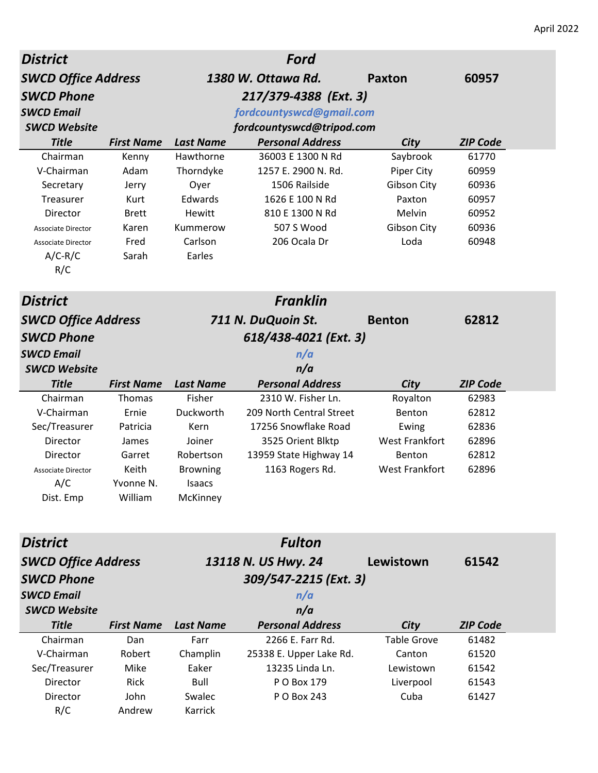| <b>District</b>                                 |                      |                  | Ford                             |                       |                 |
|-------------------------------------------------|----------------------|------------------|----------------------------------|-----------------------|-----------------|
| <b>SWCD Office Address</b>                      |                      |                  | 1380 W. Ottawa Rd.               | <b>Paxton</b>         | 60957           |
| <b>SWCD Phone</b>                               |                      |                  | 217/379-4388 (Ext. 3)            |                       |                 |
| <b>SWCD Email</b>                               |                      |                  | fordcountyswcd@gmail.com         |                       |                 |
| <b>SWCD Website</b>                             |                      |                  | fordcountyswcd@tripod.com        |                       |                 |
| <b>Title</b>                                    | <b>First Name</b>    | <b>Last Name</b> | <b>Personal Address</b>          | City                  | <b>ZIP Code</b> |
| Chairman                                        | Kenny                | Hawthorne        | 36003 E 1300 N Rd                | Saybrook              | 61770           |
| V-Chairman                                      | Adam                 | Thorndyke        | 1257 E. 2900 N. Rd.              | Piper City            | 60959           |
| Secretary                                       | Jerry                | Oyer<br>Edwards  | 1506 Railside<br>1626 E 100 N Rd | Gibson City           | 60936<br>60957  |
| Treasurer<br>Director                           | Kurt<br><b>Brett</b> | Hewitt           | 810 E 1300 N Rd                  | Paxton<br>Melvin      | 60952           |
| <b>Associate Director</b>                       | Karen                | Kummerow         | 507 S Wood                       | Gibson City           | 60936           |
| <b>Associate Director</b>                       | Fred                 | Carlson          | 206 Ocala Dr                     | Loda                  | 60948           |
| $A/C-R/C$                                       | Sarah                | Earles           |                                  |                       |                 |
| R/C                                             |                      |                  |                                  |                       |                 |
| <b>District</b>                                 |                      |                  | <b>Franklin</b>                  |                       |                 |
|                                                 |                      |                  | 711 N. DuQuoin St.               | <b>Benton</b>         | 62812           |
| <b>SWCD Office Address</b><br><b>SWCD Phone</b> |                      |                  |                                  |                       |                 |
|                                                 |                      |                  | 618/438-4021 (Ext. 3)            |                       |                 |
| <b>SWCD Email</b><br><b>SWCD Website</b>        |                      |                  | n/a<br>n/a                       |                       |                 |
| <b>Title</b>                                    | <b>First Name</b>    | <b>Last Name</b> | <b>Personal Address</b>          | City                  | <b>ZIP Code</b> |
| Chairman                                        | Thomas               | Fisher           | 2310 W. Fisher Ln.               | Royalton              | 62983           |
| V-Chairman                                      | Ernie                | Duckworth        | 209 North Central Street         | Benton                | 62812           |
| Sec/Treasurer                                   | Patricia             | Kern             | 17256 Snowflake Road             | Ewing                 | 62836           |
| Director                                        | James                | Joiner           | 3525 Orient Blktp                | <b>West Frankfort</b> | 62896           |
| Director                                        | Garret               | Robertson        | 13959 State Highway 14           | Benton                | 62812           |
| <b>Associate Director</b>                       | Keith                | <b>Browning</b>  | 1163 Rogers Rd.                  | <b>West Frankfort</b> | 62896           |
| A/C                                             | Yvonne N.            | Isaacs           |                                  |                       |                 |
| Dist. Emp                                       | William              | McKinney         |                                  |                       |                 |
|                                                 |                      |                  |                                  |                       |                 |
| <b>District</b>                                 |                      |                  | <b>Fulton</b>                    |                       |                 |
| <b>SWCD Office Address</b>                      |                      |                  | 13118 N. US Hwy. 24              | Lewistown             | 61542           |
| <b>SWCD Phone</b>                               |                      |                  | 309/547-2215 (Ext. 3)            |                       |                 |
| <b>SWCD Email</b>                               |                      |                  | n/a                              |                       |                 |
| <b>SWCD Website</b>                             |                      |                  | n/a                              |                       |                 |
| <b>Title</b>                                    | <b>First Name</b>    | <b>Last Name</b> | <b>Personal Address</b>          | City                  | <b>ZIP Code</b> |
| Chairman                                        | Dan                  | Farr             | 2266 E. Farr Rd.                 | <b>Table Grove</b>    | 61482           |
| V-Chairman                                      | Robert               | Champlin         | 25338 E. Upper Lake Rd.          | Canton                | 61520           |
| Sec/Treasurer                                   | Mike                 | Eaker            | 13235 Linda Ln.                  | Lewistown             | 61542           |
| Director                                        | Rick                 | Bull             | P O Box 179                      | Liverpool             | 61543           |
| Director                                        | John                 | Swalec           | P O Box 243                      | Cuba                  | 61427           |
| R/C                                             | Andrew               | Karrick          |                                  |                       |                 |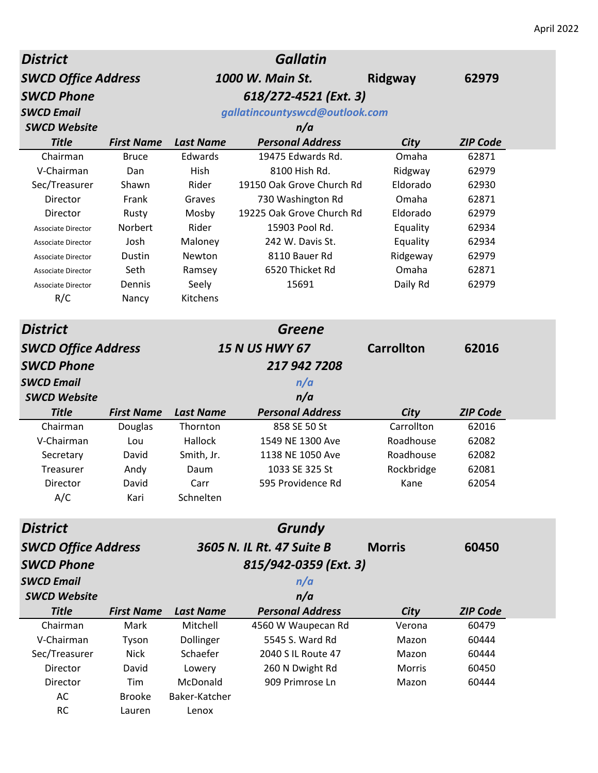| <i><b>District</b></i>     |                   |                  | <b>Gallatin</b>                |                   |                 |
|----------------------------|-------------------|------------------|--------------------------------|-------------------|-----------------|
| <b>SWCD Office Address</b> |                   |                  | 1000 W. Main St.               | Ridgway           | 62979           |
| <b>SWCD Phone</b>          |                   |                  |                                |                   |                 |
| <b>SWCD Email</b>          |                   |                  | gallatincountyswcd@outlook.com |                   |                 |
| <b>SWCD Website</b>        |                   |                  | n/a                            |                   |                 |
| <b>Title</b>               | <b>First Name</b> | <b>Last Name</b> | <b>Personal Address</b>        | City              | <b>ZIP Code</b> |
| Chairman                   | <b>Bruce</b>      | Edwards          | 19475 Edwards Rd.              | Omaha             | 62871           |
| V-Chairman                 | Dan               | Hish             | 8100 Hish Rd.                  | Ridgway           | 62979           |
| Sec/Treasurer              | Shawn             | Rider            | 19150 Oak Grove Church Rd      | Eldorado          | 62930           |
| Director                   | Frank             | Graves           | 730 Washington Rd              | Omaha             | 62871           |
| Director                   | Rusty             | Mosby            | 19225 Oak Grove Church Rd      | Eldorado          | 62979           |
| <b>Associate Director</b>  | Norbert           | Rider            | 15903 Pool Rd.                 | Equality          | 62934           |
| <b>Associate Director</b>  | Josh              | Maloney          | 242 W. Davis St.               | Equality          | 62934           |
| Associate Director         | Dustin            | Newton           | 8110 Bauer Rd                  | Ridgeway          | 62979           |
| Associate Director         | Seth              | Ramsey           | 6520 Thicket Rd                | Omaha             | 62871           |
| <b>Associate Director</b>  | Dennis            | Seely            | 15691                          | Daily Rd          | 62979           |
| R/C                        | Nancy             | Kitchens         |                                |                   |                 |
| <b>District</b>            |                   |                  | <b>Greene</b>                  |                   |                 |
| <b>SWCD Office Address</b> |                   |                  | <b>15 N US HWY 67</b>          | <b>Carrollton</b> | 62016           |
| <b>SWCD Phone</b>          |                   |                  | 217 942 7208                   |                   |                 |
| <b>SWCD Email</b>          |                   |                  | n/a                            |                   |                 |
| <b>SWCD Website</b>        |                   |                  | n/a                            |                   |                 |
| <b>Title</b>               | <b>First Name</b> | <b>Last Name</b> | <b>Personal Address</b>        | City              | <b>ZIP Code</b> |
| Chairman                   | Douglas           | Thornton         | 858 SE 50 St                   | Carrollton        | 62016           |
| V-Chairman                 | Lou               | Hallock          | 1549 NE 1300 Ave               | Roadhouse         | 62082           |
| Secretary                  | David             | Smith, Jr.       | 1138 NE 1050 Ave               | Roadhouse         | 62082           |
| Treasurer                  | Andy              | Daum             | 1033 SE 325 St                 | Rockbridge        | 62081           |
| Director                   | David             | Carr             | 595 Providence Rd              | Kane              | 62054           |
| A/C                        | Kari              | Schnelten        |                                |                   |                 |
| <b>District</b>            |                   |                  | Grundy                         |                   |                 |
| <b>SWCD Office Address</b> |                   |                  | 3605 N. IL Rt. 47 Suite B      | <b>Morris</b>     | 60450           |
| <b>SWCD Phone</b>          |                   |                  | 815/942-0359 (Ext. 3)          |                   |                 |
| <b>SWCD Email</b>          |                   |                  | n/a                            |                   |                 |
| <b>SWCD Website</b>        |                   |                  | n/a                            |                   |                 |
| <b>Title</b>               | <b>First Name</b> | <b>Last Name</b> | <b>Personal Address</b>        | City              | <b>ZIP Code</b> |
| Chairman                   | Mark              | Mitchell         | 4560 W Waupecan Rd             | Verona            | 60479           |
| V-Chairman                 | Tyson             | Dollinger        | 5545 S. Ward Rd                | Mazon             | 60444           |
| Sec/Treasurer              | <b>Nick</b>       | Schaefer         | 2040 S IL Route 47             | Mazon             | 60444           |
| Director                   | David             | Lowery           | 260 N Dwight Rd                | Morris            | 60450           |
| Director                   | Tim               | McDonald         | 909 Primrose Ln                | Mazon             | 60444           |
| AC                         | <b>Brooke</b>     | Baker-Katcher    |                                |                   |                 |
| <b>RC</b>                  | Lauren            | Lenox            |                                |                   |                 |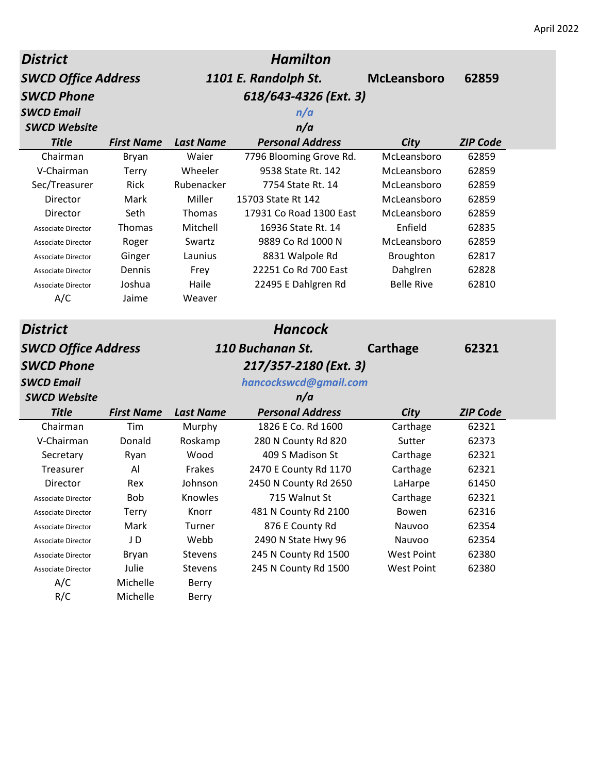| <b>District</b>            |                   |                  | <b>Hamilton</b>         |                    |                 |
|----------------------------|-------------------|------------------|-------------------------|--------------------|-----------------|
| <b>SWCD Office Address</b> |                   |                  | 1101 E. Randolph St.    | <b>McLeansboro</b> | 62859           |
| <b>SWCD Phone</b>          |                   |                  | 618/643-4326 (Ext. 3)   |                    |                 |
| <b>SWCD Email</b>          |                   |                  | n/a                     |                    |                 |
| <b>SWCD Website</b>        |                   |                  | n/a                     |                    |                 |
| <b>Title</b>               | <b>First Name</b> | <b>Last Name</b> | <b>Personal Address</b> | City               | <b>ZIP Code</b> |
| Chairman                   | Bryan             | Waier            | 7796 Blooming Grove Rd. | McLeansboro        | 62859           |
| V-Chairman                 | <b>Terry</b>      | Wheeler          | 9538 State Rt. 142      | McLeansboro        | 62859           |
| Sec/Treasurer              | Rick              | Rubenacker       | 7754 State Rt. 14       | McLeansboro        | 62859           |
| Director                   | Mark              | Miller           | 15703 State Rt 142      | McLeansboro        | 62859           |
| Director                   | Seth              | Thomas           | 17931 Co Road 1300 East | McLeansboro        | 62859           |
| <b>Associate Director</b>  | Thomas            | Mitchell         | 16936 State Rt. 14      | Enfield            | 62835           |
| Associate Director         | Roger             | Swartz           | 9889 Co Rd 1000 N       | McLeansboro        | 62859           |
| Associate Director         | Ginger            | Launius          | 8831 Walpole Rd         | Broughton          | 62817           |
| <b>Associate Director</b>  | Dennis            | Frey             | 22251 Co Rd 700 East    | Dahglren           | 62828           |
| <b>Associate Director</b>  | Joshua            | Haile            | 22495 E Dahlgren Rd     | <b>Belle Rive</b>  | 62810           |
| A/C                        | Jaime             | Weaver           |                         |                    |                 |
|                            |                   |                  |                         |                    |                 |
| <b>District</b>            |                   |                  | <b>Hancock</b>          |                    |                 |
| <b>SWCD Office Address</b> |                   |                  | 110 Buchanan St.        | Carthage           | 62321           |
| <b>SWCD Phone</b>          |                   |                  | 217/357-2180 (Ext. 3)   |                    |                 |
| <b>SWCD Email</b>          |                   |                  | hancockswcd@gmail.com   |                    |                 |
| <b>SWCD Website</b>        |                   |                  | n/a                     |                    |                 |
| <b>Title</b>               | <b>First Name</b> | <b>Last Name</b> | <b>Personal Address</b> | City               | <b>ZIP Code</b> |
| Chairman                   | Tim               | Murphy           | 1826 E Co. Rd 1600      | Carthage           | 62321           |
| V-Chairman                 | Donald            | Roskamp          | 280 N County Rd 820     | Sutter             | 62373           |
| Secretary                  | Ryan              | Wood             | 409 S Madison St        | Carthage           | 62321           |
| Treasurer                  | Al                | Frakes           | 2470 E County Rd 1170   | Carthage           | 62321           |
| Director                   | Rex               | Johnson          | 2450 N County Rd 2650   | LaHarpe            | 61450           |
| Associate Director         | <b>Bob</b>        | Knowles          | 715 Walnut St           | Carthage           | 62321           |
| Associate Director         | Terry             | Knorr            | 481 N County Rd 2100    | Bowen              | 62316           |
| <b>Associate Director</b>  | Mark              | Turner           | 876 E County Rd         | Nauvoo             | 62354           |
| Associate Director         | J D               | Webb             | 2490 N State Hwy 96     | Nauvoo             | 62354           |
| <b>Associate Director</b>  | <b>Bryan</b>      | Stevens          | 245 N County Rd 1500    | <b>West Point</b>  | 62380           |
| Associate Director         | Julie             | Stevens          | 245 N County Rd 1500    | <b>West Point</b>  | 62380           |
| A/C                        | Michelle          | Berry            |                         |                    |                 |
| R/C                        | Michelle          | Berry            |                         |                    |                 |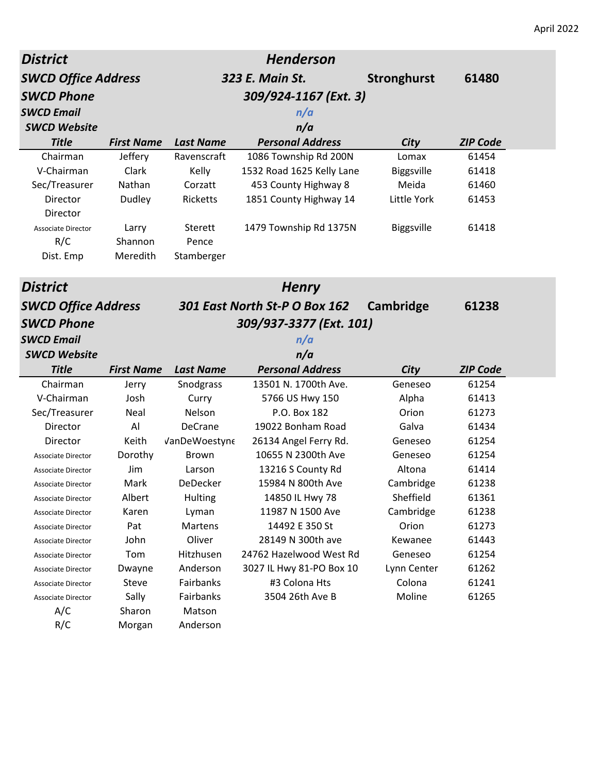| <b>District</b>                                          |                   |                  | <b>Henderson</b>               |                    |                 |
|----------------------------------------------------------|-------------------|------------------|--------------------------------|--------------------|-----------------|
| <b>SWCD Office Address</b>                               |                   |                  | 323 E. Main St.                | <b>Stronghurst</b> | 61480           |
| <b>SWCD Phone</b>                                        |                   |                  | 309/924-1167 (Ext. 3)          |                    |                 |
| <b>SWCD Email</b>                                        |                   |                  | n/a                            |                    |                 |
| <b>SWCD Website</b>                                      |                   |                  | n/a                            |                    |                 |
| <b>Title</b>                                             | <b>First Name</b> | <b>Last Name</b> | <b>Personal Address</b>        | City               | <b>ZIP Code</b> |
| Chairman                                                 | Jeffery           | Ravenscraft      | 1086 Township Rd 200N          | Lomax              | 61454           |
| V-Chairman                                               | Clark             | Kelly            | 1532 Road 1625 Kelly Lane      | <b>Biggsville</b>  | 61418           |
| Sec/Treasurer                                            | Nathan            | Corzatt          | 453 County Highway 8           | Meida              | 61460           |
| Director<br>Director                                     | Dudley            | Ricketts         | 1851 County Highway 14         | Little York        | 61453           |
| <b>Associate Director</b>                                | Larry             | Sterett          | 1479 Township Rd 1375N         | <b>Biggsville</b>  | 61418           |
| R/C                                                      | Shannon           | Pence            |                                |                    |                 |
| Dist. Emp                                                | Meredith          | Stamberger       |                                |                    |                 |
| <b>District</b>                                          |                   |                  | <b>Henry</b>                   |                    |                 |
| <b>SWCD Office Address</b>                               |                   |                  | 301 East North St-P O Box 162  | Cambridge          | 61238           |
|                                                          |                   |                  |                                |                    |                 |
| <b>SWCD Phone</b>                                        |                   |                  |                                |                    |                 |
|                                                          |                   |                  | 309/937-3377 (Ext. 101)        |                    |                 |
|                                                          |                   |                  | n/a                            |                    |                 |
| <b>SWCD Email</b><br><b>SWCD Website</b><br><b>Title</b> | <b>First Name</b> | <b>Last Name</b> | n/a<br><b>Personal Address</b> | City               | <b>ZIP Code</b> |
| Chairman                                                 | Jerry             | Snodgrass        | 13501 N. 1700th Ave.           | Geneseo            | 61254           |
| V-Chairman                                               | Josh              | Curry            | 5766 US Hwy 150                | Alpha              | 61413           |
| Sec/Treasurer                                            | Neal              | Nelson           | P.O. Box 182                   | Orion              | 61273           |
| Director                                                 | Al                | <b>DeCrane</b>   | 19022 Bonham Road              | Galva              | 61434           |
| Director                                                 | Keith             | VanDeWoestyne    | 26134 Angel Ferry Rd.          | Geneseo            | 61254           |
| Associate Director                                       | Dorothy           | <b>Brown</b>     | 10655 N 2300th Ave             | Geneseo            | 61254           |
| Associate Director                                       | Jim               | Larson           | 13216 S County Rd              | Altona             | 61414           |
| Associate Director                                       | Mark              | <b>DeDecker</b>  | 15984 N 800th Ave              | Cambridge          | 61238           |
| Associate Director                                       | Albert            | Hulting          | 14850 IL Hwy 78                | Sheffield          | 61361           |
| Associate Director                                       | Karen             | Lyman            | 11987 N 1500 Ave               | Cambridge          | 61238           |
| <b>Associate Director</b>                                | Pat               | Martens          | 14492 E 350 St                 | Orion              | 61273           |
| Associate Director                                       | John              | Oliver           | 28149 N 300th ave              | Kewanee            | 61443           |
| Associate Director                                       | Tom               | Hitzhusen        | 24762 Hazelwood West Rd        | Geneseo            | 61254           |
| <b>Associate Director</b>                                | Dwayne            | Anderson         | 3027 IL Hwy 81-PO Box 10       | Lynn Center        | 61262           |
| Associate Director                                       | Steve             | Fairbanks        | #3 Colona Hts                  | Colona             | 61241           |
| Associate Director                                       | Sally             | Fairbanks        | 3504 26th Ave B                | Moline             | 61265           |
| A/C                                                      | Sharon            | Matson           |                                |                    |                 |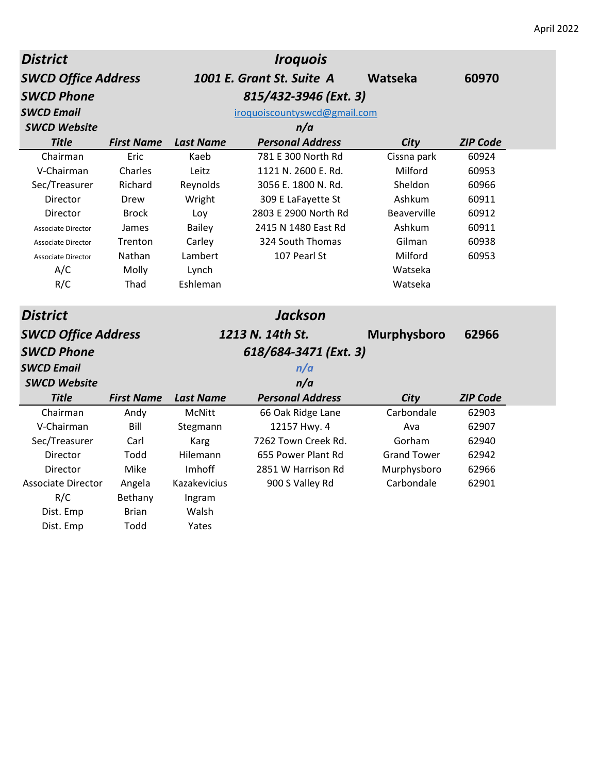| <b>District</b>            |                   |                  | <b>Iroquois</b>              |                    |                 |  |
|----------------------------|-------------------|------------------|------------------------------|--------------------|-----------------|--|
| <b>SWCD Office Address</b> |                   |                  | 1001 E. Grant St. Suite A    | Watseka            | 60970           |  |
| <b>SWCD Phone</b>          |                   |                  | 815/432-3946 (Ext. 3)        |                    |                 |  |
| <b>SWCD Email</b>          |                   |                  | iroquoiscountyswcd@gmail.com |                    |                 |  |
| <b>SWCD Website</b>        |                   |                  | n/a                          |                    |                 |  |
| <b>Title</b>               | <b>First Name</b> | <b>Last Name</b> | <b>Personal Address</b>      | City               | <b>ZIP Code</b> |  |
| Chairman                   | Eric              | Kaeb             | 781 E 300 North Rd           | Cissna park        | 60924           |  |
| V-Chairman                 | Charles           | Leitz            | 1121 N. 2600 E. Rd.          | Milford            | 60953           |  |
| Sec/Treasurer              | Richard           | Reynolds         | 3056 E. 1800 N. Rd.          | Sheldon            | 60966           |  |
| Director                   | Drew              | Wright           | 309 E LaFayette St           | Ashkum             | 60911           |  |
| Director                   | <b>Brock</b>      | Loy              | 2803 E 2900 North Rd         | Beaverville        | 60912           |  |
| <b>Associate Director</b>  | James             | <b>Bailey</b>    | 2415 N 1480 East Rd          | Ashkum             | 60911           |  |
| <b>Associate Director</b>  | Trenton           | Carley           | 324 South Thomas             | Gilman             | 60938           |  |
| <b>Associate Director</b>  | Nathan            | Lambert          | 107 Pearl St                 | Milford            | 60953           |  |
| A/C                        | Molly             | Lynch            |                              | Watseka            |                 |  |
| R/C                        | Thad              | Eshleman         |                              | Watseka            |                 |  |
|                            |                   |                  |                              |                    |                 |  |
| <b>District</b>            |                   |                  | <b>Jackson</b>               |                    |                 |  |
| <b>SWCD Office Address</b> |                   |                  | 1213 N. 14th St.             | <b>Murphysboro</b> | 62966           |  |
| <b>SWCD Phone</b>          |                   |                  | 618/684-3471 (Ext. 3)        |                    |                 |  |
| <b>SWCD Email</b>          |                   |                  | n/a                          |                    |                 |  |
| <b>SWCD Website</b>        |                   |                  | n/a                          |                    |                 |  |
| <b>Title</b>               | <b>First Name</b> | <b>Last Name</b> | <b>Personal Address</b>      | <b>City</b>        | <b>ZIP Code</b> |  |
| Chairman                   | Andy              | McNitt           | 66 Oak Ridge Lane            | Carbondale         | 62903           |  |
| V-Chairman                 | Bill              | Stegmann         | 12157 Hwy. 4                 | Ava                | 62907           |  |
| Sec/Treasurer              | Carl              | Karg             | 7262 Town Creek Rd.          | Gorham             | 62940           |  |
| Director                   | Todd              | Hilemann         | 655 Power Plant Rd           | <b>Grand Tower</b> | 62942           |  |
| Director                   | Mike              | Imhoff           | 2851 W Harrison Rd           | Murphysboro        | 62966           |  |
| <b>Associate Director</b>  | Angela            | Kazakevicius     | 900 S Valley Rd              | Carbondale         | 62901           |  |
| R/C                        | Bethany           | Ingram           |                              |                    |                 |  |
| Dist. Emp                  | Brian             | Walsh            |                              |                    |                 |  |
| Dist. Emp                  | Todd              | Yates            |                              |                    |                 |  |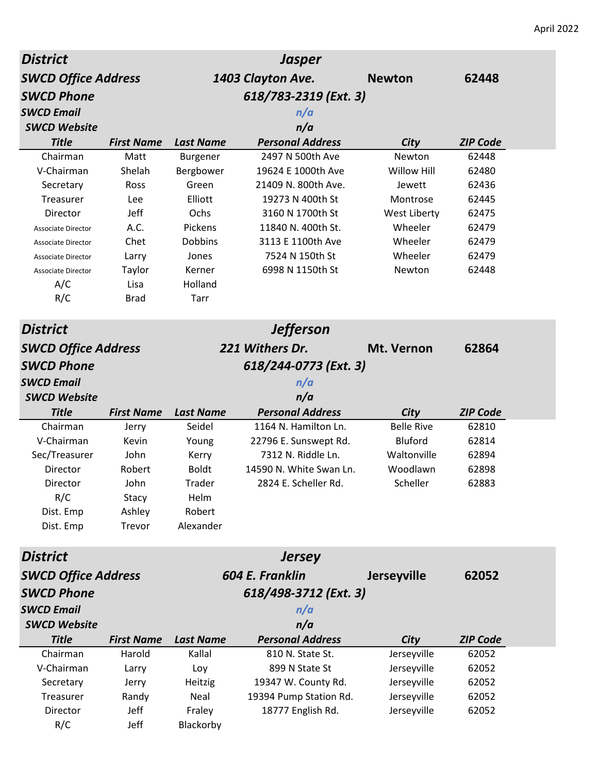| <b>District</b>            |                   |                  | <b>Jasper</b>           |                    |                 |
|----------------------------|-------------------|------------------|-------------------------|--------------------|-----------------|
| <b>SWCD Office Address</b> |                   |                  | 1403 Clayton Ave.       | <b>Newton</b>      | 62448           |
| <b>SWCD Phone</b>          |                   |                  | 618/783-2319 (Ext. 3)   |                    |                 |
| <b>SWCD Email</b>          |                   |                  | n/a                     |                    |                 |
| <b>SWCD Website</b>        |                   |                  | n/a                     |                    |                 |
| <b>Title</b>               | <b>First Name</b> | <b>Last Name</b> | <b>Personal Address</b> | City               | <b>ZIP Code</b> |
| Chairman                   | Matt              | Burgener         | 2497 N 500th Ave        | Newton             | 62448           |
| V-Chairman                 | Shelah            | Bergbower        | 19624 E 1000th Ave      | <b>Willow Hill</b> | 62480           |
| Secretary                  | Ross              | Green            | 21409 N. 800th Ave.     | Jewett             | 62436           |
| Treasurer                  | Lee               | Elliott          | 19273 N 400th St        | Montrose           | 62445           |
| Director                   | Jeff              | Ochs             | 3160 N 1700th St        | West Liberty       | 62475           |
| <b>Associate Director</b>  | A.C.              | Pickens          | 11840 N. 400th St.      | Wheeler            | 62479           |
| <b>Associate Director</b>  | Chet              | <b>Dobbins</b>   | 3113 E 1100th Ave       | Wheeler            | 62479           |
| <b>Associate Director</b>  | Larry             | Jones            | 7524 N 150th St         | Wheeler            | 62479           |
| <b>Associate Director</b>  | Taylor            | Kerner           | 6998 N 1150th St        | Newton             | 62448           |
| A/C                        | Lisa              | Holland          |                         |                    |                 |
| R/C                        | <b>Brad</b>       | <b>Tarr</b>      |                         |                    |                 |
| <b>District</b>            |                   |                  | <b>Jefferson</b>        |                    |                 |
| <b>SWCD Office Address</b> |                   |                  | 221 Withers Dr.         | Mt. Vernon         | 62864           |
| <b>SWCD Phone</b>          |                   |                  | 618/244-0773 (Ext. 3)   |                    |                 |
| <b>SWCD Email</b>          |                   |                  | n/a                     |                    |                 |
| <b>SWCD Website</b>        |                   |                  | n/a                     |                    |                 |
| <b>Title</b>               | <b>First Name</b> | <b>Last Name</b> | <b>Personal Address</b> | City               | <b>ZIP Code</b> |
| Chairman                   | Jerry             | Seidel           | 1164 N. Hamilton Ln.    | <b>Belle Rive</b>  | 62810           |
| V-Chairman                 | Kevin             | Young            | 22796 E. Sunswept Rd.   | Bluford            | 62814           |
| Sec/Treasurer              | John              | Kerry            | 7312 N. Riddle Ln.      | Waltonville        | 62894           |
| Director                   | Robert            | <b>Boldt</b>     | 14590 N. White Swan Ln. | Woodlawn           | 62898           |
| Director                   | John              | Trader           | 2824 E. Scheller Rd.    | Scheller           | 62883           |
| R/C                        | Stacy             | Helm             |                         |                    |                 |
| Dist. Emp                  | Ashley            | Robert           |                         |                    |                 |
| Dist. Emp                  | Trevor            | Alexander        |                         |                    |                 |
| <b>District</b>            |                   |                  | <b>Jersey</b>           |                    |                 |
| <b>SWCD Office Address</b> |                   |                  | 604 E. Franklin         | <b>Jerseyville</b> | 62052           |
| <b>SWCD Phone</b>          |                   |                  | 618/498-3712 (Ext. 3)   |                    |                 |
| <b>SWCD Email</b>          |                   |                  | n/a                     |                    |                 |
| <b>SWCD Website</b>        |                   |                  | n/a                     |                    |                 |
| <b>Title</b>               | <b>First Name</b> | <b>Last Name</b> | <b>Personal Address</b> | City               | <b>ZIP Code</b> |
| Chairman                   | Harold            | Kallal           | 810 N. State St.        | Jerseyville        | 62052           |
| V-Chairman                 | Larry             | Loy              | 899 N State St          | Jerseyville        | 62052           |
| Secretary                  | Jerry             | Heitzig          | 19347 W. County Rd.     | Jerseyville        | 62052           |
| Treasurer                  | Randy             | Neal             | 19394 Pump Station Rd.  | Jerseyville        | 62052           |
| Director                   | Jeff              | Fraley           | 18777 English Rd.       | Jerseyville        | 62052           |
| R/C                        | Jeff              | Blackorby        |                         |                    |                 |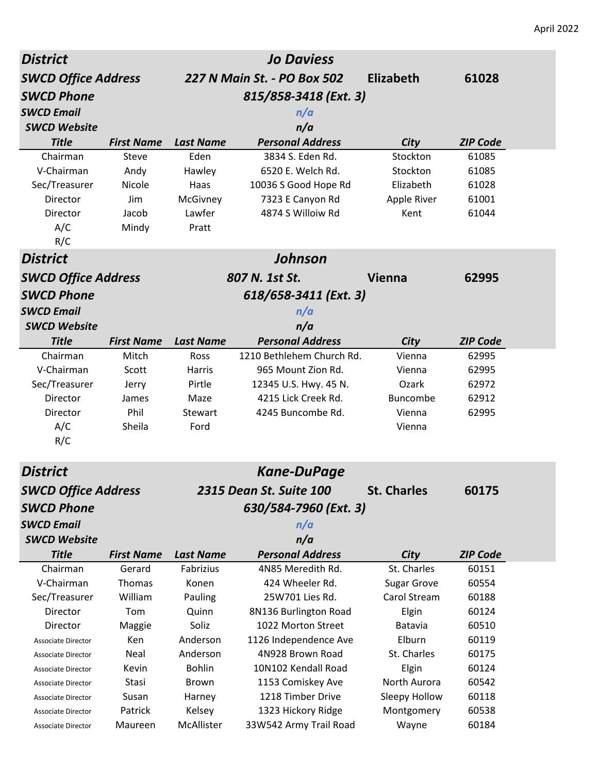| <b>District</b>            |                   |                  | <b>Jo Daviess</b>           |                    |                 |
|----------------------------|-------------------|------------------|-----------------------------|--------------------|-----------------|
| <b>SWCD Office Address</b> |                   |                  | 227 N Main St. - PO Box 502 | <b>Elizabeth</b>   | 61028           |
| <b>SWCD Phone</b>          |                   |                  | 815/858-3418 (Ext. 3)       |                    |                 |
| <b>SWCD Email</b>          |                   |                  | n/a                         |                    |                 |
| <b>SWCD Website</b>        |                   |                  | n/a                         |                    |                 |
| <b>Title</b>               | <b>First Name</b> | <b>Last Name</b> | <b>Personal Address</b>     | City               | <b>ZIP Code</b> |
| Chairman                   | Steve             | Eden             | 3834 S. Eden Rd.            | Stockton           | 61085           |
| V-Chairman                 | Andy              | Hawley           | 6520 E. Welch Rd.           | Stockton           | 61085           |
| Sec/Treasurer              | Nicole            | Haas             | 10036 S Good Hope Rd        | Elizabeth          | 61028           |
| Director                   | Jim               | McGivney         | 7323 E Canyon Rd            | Apple River        | 61001           |
| Director                   | Jacob             | Lawfer           | 4874 S Willoiw Rd           | Kent               | 61044           |
| A/C                        | Mindy             | Pratt            |                             |                    |                 |
| R/C                        |                   |                  |                             |                    |                 |
| <b>District</b>            |                   |                  | Johnson                     |                    |                 |
| <b>SWCD Office Address</b> |                   |                  | 807 N. 1st St.              | <b>Vienna</b>      | 62995           |
| <b>SWCD Phone</b>          |                   |                  | 618/658-3411 (Ext. 3)       |                    |                 |
| <b>SWCD Email</b>          |                   |                  | n/a                         |                    |                 |
| <b>SWCD Website</b>        |                   |                  | n/a                         |                    |                 |
| <b>Title</b>               | <b>First Name</b> | <b>Last Name</b> | <b>Personal Address</b>     | City               | <b>ZIP Code</b> |
| Chairman                   | Mitch             | <b>Ross</b>      | 1210 Bethlehem Church Rd.   | Vienna             | 62995           |
| V-Chairman                 | Scott             | Harris           | 965 Mount Zion Rd.          | Vienna             | 62995           |
| Sec/Treasurer              | Jerry             | Pirtle           | 12345 U.S. Hwy. 45 N.       | Ozark              | 62972           |
| Director                   | James             | Maze             | 4215 Lick Creek Rd.         | <b>Buncombe</b>    | 62912           |
| Director                   | Phil              | Stewart          | 4245 Buncombe Rd.           | Vienna             | 62995           |
| A/C                        | Sheila            | Ford             |                             | Vienna             |                 |
| R/C                        |                   |                  |                             |                    |                 |
| <b>District</b>            |                   |                  | <b>Kane-DuPage</b>          |                    |                 |
| <b>SWCD Office Address</b> |                   |                  | 2315 Dean St. Suite 100     | <b>St. Charles</b> | 60175           |
| <b>SWCD Phone</b>          |                   |                  |                             |                    |                 |
| <b>SWCD Email</b>          |                   |                  | 630/584-7960 (Ext. 3)       |                    |                 |
| <b>SWCD Website</b>        |                   |                  | n/a<br>n/a                  |                    |                 |
| <b>Title</b>               | <b>First Name</b> | <b>Last Name</b> | <b>Personal Address</b>     | City               | <b>ZIP Code</b> |
| Chairman                   | Gerard            | Fabrizius        | 4N85 Meredith Rd.           | St. Charles        | 60151           |
| V-Chairman                 | Thomas            | Konen            | 424 Wheeler Rd.             | <b>Sugar Grove</b> | 60554           |
| Sec/Treasurer              | William           | Pauling          | 25W701 Lies Rd.             | Carol Stream       | 60188           |
| Director                   | Tom               | Quinn            | 8N136 Burlington Road       | Elgin              | 60124           |
| Director                   | Maggie            | Soliz            | 1022 Morton Street          | Batavia            | 60510           |
| Associate Director         | Ken               | Anderson         | 1126 Independence Ave       | Elburn             | 60119           |
| <b>Associate Director</b>  | Neal              | Anderson         | 4N928 Brown Road            | St. Charles        | 60175           |
| <b>Associate Director</b>  | Kevin             | <b>Bohlin</b>    | 10N102 Kendall Road         | Elgin              | 60124           |
| <b>Associate Director</b>  | Stasi             | Brown            | 1153 Comiskey Ave           | North Aurora       | 60542           |
| <b>Associate Director</b>  | Susan             | Harney           | 1218 Timber Drive           | Sleepy Hollow      | 60118           |
| <b>Associate Director</b>  | Patrick           | Kelsey           | 1323 Hickory Ridge          | Montgomery         | 60538           |
| Associate Director         | Maureen           | McAllister       | 33W542 Army Trail Road      | Wayne              | 60184           |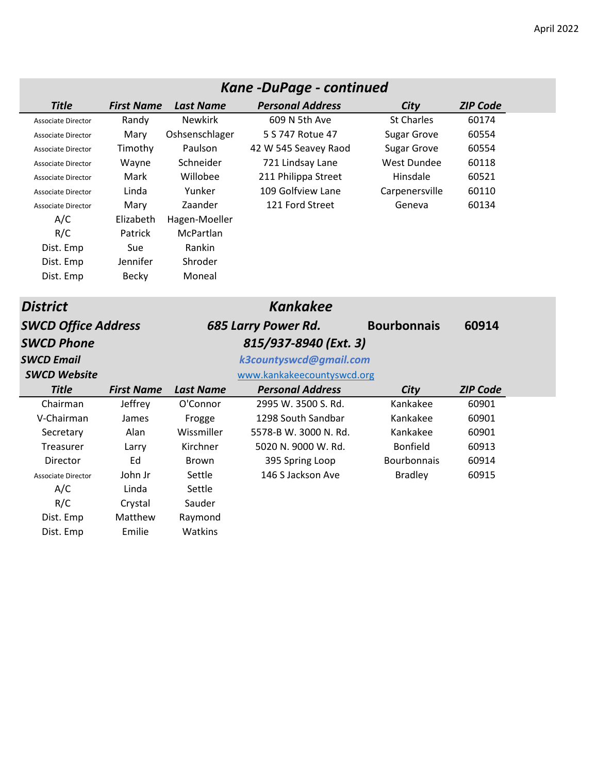|                            |                   |                  | Kane -DuPage - continued   |                    |                 |  |
|----------------------------|-------------------|------------------|----------------------------|--------------------|-----------------|--|
| <b>Title</b>               | <b>First Name</b> | <b>Last Name</b> | <b>Personal Address</b>    | City               | <b>ZIP Code</b> |  |
| <b>Associate Director</b>  | Randy             | <b>Newkirk</b>   | 609 N 5th Ave              | <b>St Charles</b>  | 60174           |  |
| <b>Associate Director</b>  | Mary              | Oshsenschlager   | 5 S 747 Rotue 47           | <b>Sugar Grove</b> | 60554           |  |
| <b>Associate Director</b>  | Timothy           | Paulson          | 42 W 545 Seavey Raod       | <b>Sugar Grove</b> | 60554           |  |
| <b>Associate Director</b>  | Wayne             | Schneider        | 721 Lindsay Lane           | <b>West Dundee</b> | 60118           |  |
| <b>Associate Director</b>  | Mark              | Willobee         | 211 Philippa Street        | Hinsdale           | 60521           |  |
| <b>Associate Director</b>  | Linda             | Yunker           | 109 Golfview Lane          | Carpenersville     | 60110           |  |
| <b>Associate Director</b>  | Mary              | Zaander          | 121 Ford Street            | Geneva             | 60134           |  |
| A/C                        | Elizabeth         | Hagen-Moeller    |                            |                    |                 |  |
| R/C                        | Patrick           | McPartlan        |                            |                    |                 |  |
| Dist. Emp                  | Sue               | Rankin           |                            |                    |                 |  |
| Dist. Emp                  | Jennifer          | Shroder          |                            |                    |                 |  |
| Dist. Emp                  | <b>Becky</b>      | Moneal           |                            |                    |                 |  |
|                            |                   |                  |                            |                    |                 |  |
| <b>District</b>            |                   |                  | <b>Kankakee</b>            |                    |                 |  |
| <b>SWCD Office Address</b> |                   |                  | 685 Larry Power Rd.        | <b>Bourbonnais</b> | 60914           |  |
| <b>SWCD Phone</b>          |                   |                  | 815/937-8940 (Ext. 3)      |                    |                 |  |
| <b>SWCD Email</b>          |                   |                  | k3countyswcd@gmail.com     |                    |                 |  |
| <b>SWCD Website</b>        |                   |                  | www.kankakeecountyswcd.org |                    |                 |  |
| <b>Title</b>               | <b>First Name</b> | <b>Last Name</b> | <b>Personal Address</b>    | City               | <b>ZIP Code</b> |  |
| Chairman                   | Jeffrey           | O'Connor         | 2995 W. 3500 S. Rd.        | Kankakee           | 60901           |  |
| V-Chairman                 | James             | Frogge           | 1298 South Sandbar         | Kankakee           | 60901           |  |
| Secretary                  | Alan              | Wissmiller       | 5578-B W. 3000 N. Rd.      | Kankakee           | 60901           |  |
| Treasurer                  | Larry             | Kirchner         | 5020 N. 9000 W. Rd.        | <b>Bonfield</b>    | 60913           |  |
| Director                   | Ed                | <b>Brown</b>     | 395 Spring Loop            | <b>Bourbonnais</b> | 60914           |  |
| <b>Associate Director</b>  | John Jr           | Settle           | 146 S Jackson Ave          | <b>Bradley</b>     | 60915           |  |
| A/C                        | Linda             | Settle           |                            |                    |                 |  |
| R/C                        | Crystal           | Sauder           |                            |                    |                 |  |
| Dist. Emp                  | Matthew           | Raymond          |                            |                    |                 |  |
| Dist. Emp                  | Emilie            | Watkins          |                            |                    |                 |  |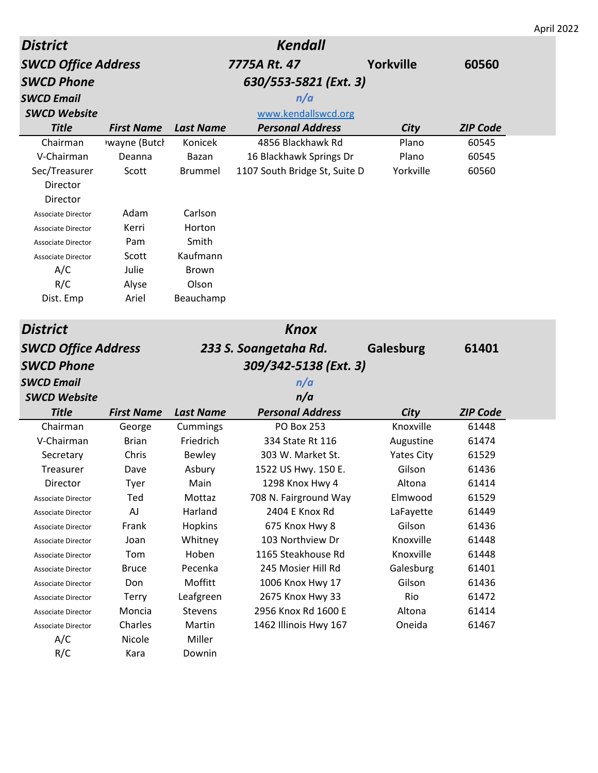|                                          |                   |                  |                                          |                   |                 | April 2022 |
|------------------------------------------|-------------------|------------------|------------------------------------------|-------------------|-----------------|------------|
| <b>District</b>                          |                   |                  | <b>Kendall</b>                           |                   |                 |            |
| <b>SWCD Office Address</b>               |                   |                  | 7775A Rt. 47                             | <b>Yorkville</b>  | 60560           |            |
| <b>SWCD Phone</b>                        |                   |                  | 630/553-5821 (Ext. 3)                    |                   |                 |            |
| <b>SWCD Email</b>                        |                   |                  | n/a                                      |                   |                 |            |
| <b>SWCD Website</b>                      |                   |                  | www.kendallswcd.org                      |                   |                 |            |
| <b>Title</b>                             | <b>First Name</b> | <b>Last Name</b> | <b>Personal Address</b>                  | City              | <b>ZIP Code</b> |            |
| Chairman                                 | wayne (Butch      | Konicek          | 4856 Blackhawk Rd                        | Plano             | 60545           |            |
| V-Chairman                               | Deanna            | Bazan            | 16 Blackhawk Springs Dr                  | Plano             | 60545           |            |
| Sec/Treasurer                            | Scott             | <b>Brummel</b>   | 1107 South Bridge St, Suite D            | Yorkville         | 60560           |            |
| Director                                 |                   |                  |                                          |                   |                 |            |
| Director                                 |                   |                  |                                          |                   |                 |            |
| <b>Associate Director</b>                | Adam              | Carlson          |                                          |                   |                 |            |
| <b>Associate Director</b>                | Kerri             | Horton           |                                          |                   |                 |            |
| <b>Associate Director</b>                | Pam               | Smith            |                                          |                   |                 |            |
| Associate Director                       | Scott             | Kaufmann         |                                          |                   |                 |            |
| A/C                                      | Julie             | <b>Brown</b>     |                                          |                   |                 |            |
| R/C                                      | Alyse             | Olson            |                                          |                   |                 |            |
| Dist. Emp                                | Ariel             | Beauchamp        |                                          |                   |                 |            |
| <b>District</b>                          |                   |                  | <b>Knox</b>                              |                   |                 |            |
| <b>SWCD Office Address</b>               |                   |                  | 233 S. Soangetaha Rd.                    | Galesburg         | 61401           |            |
|                                          |                   |                  |                                          |                   |                 |            |
| <b>SWCD Phone</b>                        |                   |                  | 309/342-5138 (Ext. 3)                    |                   |                 |            |
| <b>SWCD Email</b>                        |                   |                  | n/a                                      |                   |                 |            |
| <b>SWCD Website</b>                      |                   |                  | n/a                                      |                   |                 |            |
| <b>Title</b>                             | <b>First Name</b> | <b>Last Name</b> | <b>Personal Address</b>                  | City              | <b>ZIP Code</b> |            |
| Chairman                                 | George            | Cummings         | <b>PO Box 253</b>                        | Knoxville         | 61448           |            |
| V-Chairman                               | <b>Brian</b>      | Friedrich        | 334 State Rt 116                         | Augustine         | 61474           |            |
| Secretary                                | Chris             | Bewley           | 303 W. Market St.                        | <b>Yates City</b> | 61529           |            |
| Treasurer                                | Dave              | Asbury           | 1522 US Hwy. 150 E.                      | Gilson            | 61436           |            |
| Director                                 | Tyer<br>Ted       | Main<br>Mottaz   | 1298 Knox Hwy 4<br>708 N. Fairground Way | Altona<br>Elmwood | 61414<br>61529  |            |
| Associate Director                       | AJ                | Harland          | 2404 E Knox Rd                           | LaFayette         | 61449           |            |
| Associate Director                       | Frank             | Hopkins          | 675 Knox Hwy 8                           | Gilson            | 61436           |            |
| Associate Director<br>Associate Director |                   |                  |                                          |                   |                 |            |
|                                          |                   |                  |                                          |                   |                 |            |
|                                          | Joan              | Whitney          | 103 Northview Dr                         | Knoxville         | 61448           |            |
| Associate Director                       | Tom               | Hoben            | 1165 Steakhouse Rd                       | Knoxville         | 61448           |            |
| Associate Director                       | <b>Bruce</b>      | Pecenka          | 245 Mosier Hill Rd                       | Galesburg         | 61401           |            |
| Associate Director                       | Don               | Moffitt          | 1006 Knox Hwy 17                         | Gilson            | 61436           |            |
| Associate Director                       | <b>Terry</b>      | Leafgreen        | 2675 Knox Hwy 33                         | Rio               | 61472           |            |
| Associate Director                       | Moncia            | Stevens          | 2956 Knox Rd 1600 E                      | Altona            | 61414           |            |
| Associate Director                       | Charles           | Martin           | 1462 Illinois Hwy 167                    | Oneida            | 61467           |            |
| A/C<br>R/C                               | Nicole<br>Kara    | Miller<br>Downin |                                          |                   |                 |            |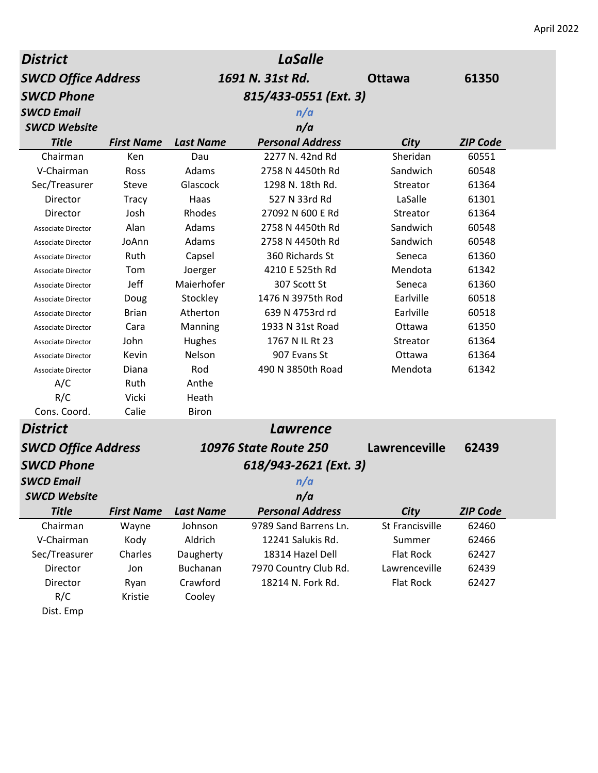| <b>District</b>            |                   |                  | <b>LaSalle</b>               |                  |                 |
|----------------------------|-------------------|------------------|------------------------------|------------------|-----------------|
| <b>SWCD Office Address</b> |                   |                  | 1691 N. 31st Rd.             | <b>Ottawa</b>    | 61350           |
| <b>SWCD Phone</b>          |                   |                  | 815/433-0551 (Ext. 3)        |                  |                 |
| <b>SWCD Email</b>          |                   |                  | n/a                          |                  |                 |
| <b>SWCD Website</b>        |                   |                  | n/a                          |                  |                 |
| <b>Title</b>               | <b>First Name</b> | <b>Last Name</b> | <b>Personal Address</b>      | City             | <b>ZIP Code</b> |
| Chairman                   | Ken               | Dau              | 2277 N. 42nd Rd              | Sheridan         | 60551           |
| V-Chairman                 | Ross              | Adams            | 2758 N 4450th Rd             | Sandwich         | 60548           |
| Sec/Treasurer              | Steve             | Glascock         | 1298 N. 18th Rd.             | Streator         | 61364           |
| Director                   | <b>Tracy</b>      | Haas             | 527 N 33rd Rd                | LaSalle          | 61301           |
| Director                   | Josh              | Rhodes           | 27092 N 600 E Rd             | Streator         | 61364           |
| <b>Associate Director</b>  | Alan              | Adams            | 2758 N 4450th Rd             | Sandwich         | 60548           |
| Associate Director         | JoAnn             | Adams            | 2758 N 4450th Rd             | Sandwich         | 60548           |
| Associate Director         | Ruth              | Capsel           | 360 Richards St              | Seneca           | 61360           |
| Associate Director         | Tom               | Joerger          | 4210 E 525th Rd              | Mendota          | 61342           |
| <b>Associate Director</b>  | Jeff              | Maierhofer       | 307 Scott St                 | Seneca           | 61360           |
| Associate Director         | Doug              | Stockley         | 1476 N 3975th Rod            | Earlville        | 60518           |
| Associate Director         | <b>Brian</b>      | Atherton         | 639 N 4753rd rd              | Earlville        | 60518           |
| <b>Associate Director</b>  | Cara              | Manning          | 1933 N 31st Road             | Ottawa           | 61350           |
| Associate Director         | John              | Hughes           | 1767 N IL Rt 23              | Streator         | 61364           |
| Associate Director         | Kevin             | Nelson           | 907 Evans St                 | Ottawa           | 61364           |
| <b>Associate Director</b>  | Diana             | Rod              | 490 N 3850th Road            | Mendota          | 61342           |
| A/C                        | Ruth              | Anthe            |                              |                  |                 |
| R/C                        | Vicki             | Heath            |                              |                  |                 |
| Cons. Coord.               | Calie             | <b>Biron</b>     |                              |                  |                 |
| <b>District</b>            |                   |                  | Lawrence                     |                  |                 |
| <b>SWCD Office Address</b> |                   |                  | <b>10976 State Route 250</b> | Lawrenceville    | 62439           |
| <b>SWCD Phone</b>          |                   |                  | 618/943-2621 (Ext. 3)        |                  |                 |
| <b>SWCD Email</b>          |                   |                  | n/a                          |                  |                 |
| <b>SWCD Website</b>        |                   |                  | n/a                          |                  |                 |
| <b>Title</b>               | <b>First Name</b> | <b>Last Name</b> | <b>Personal Address</b>      | City             | <b>ZIP Code</b> |
| Chairman                   | Wayne             | Johnson          | 9789 Sand Barrens Ln.        | St Francisville  | 62460           |
| V-Chairman                 | Kody              | Aldrich          | 12241 Salukis Rd.            | Summer           | 62466           |
| Sec/Treasurer              | Charles           | Daugherty        | 18314 Hazel Dell             | <b>Flat Rock</b> | 62427           |
| Director                   | Jon               | <b>Buchanan</b>  | 7970 Country Club Rd.        | Lawrenceville    | 62439           |
| Director                   | Ryan              | Crawford         | 18214 N. Fork Rd.            | <b>Flat Rock</b> | 62427           |
| R/C                        | Kristie           | Cooley           |                              |                  |                 |
| Dist. Emp                  |                   |                  |                              |                  |                 |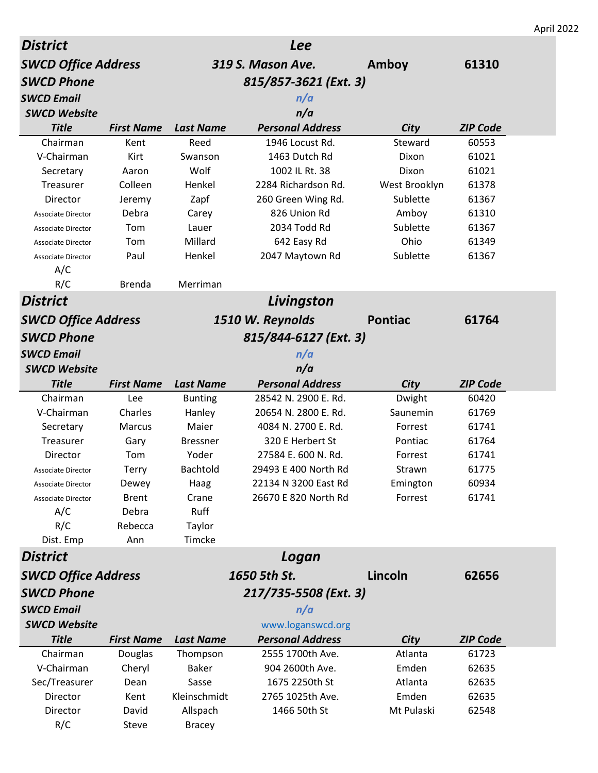|                                                        |                   |                          |                                  |                     |                 | April 2022 |
|--------------------------------------------------------|-------------------|--------------------------|----------------------------------|---------------------|-----------------|------------|
| <b>District</b>                                        |                   |                          | <b>Lee</b>                       |                     |                 |            |
| <b>SWCD Office Address</b>                             |                   |                          | 319 S. Mason Ave.                | Amboy               | 61310           |            |
| <b>SWCD Phone</b>                                      |                   |                          | 815/857-3621 (Ext. 3)            |                     |                 |            |
| <b>SWCD Email</b>                                      |                   |                          | n/a                              |                     |                 |            |
| <b>SWCD Website</b>                                    |                   |                          | n/a                              |                     |                 |            |
| <b>Title</b>                                           | <b>First Name</b> | <b>Last Name</b>         | <b>Personal Address</b>          | City                | <b>ZIP Code</b> |            |
| Chairman                                               | Kent              | Reed                     | 1946 Locust Rd.                  | Steward             | 60553           |            |
| V-Chairman                                             | Kirt              | Swanson                  | 1463 Dutch Rd                    | Dixon               | 61021           |            |
| Secretary                                              | Aaron             | Wolf                     | 1002 IL Rt. 38                   | Dixon               | 61021           |            |
| Treasurer                                              | Colleen           | Henkel                   | 2284 Richardson Rd.              | West Brooklyn       | 61378           |            |
| Director                                               | Jeremy            | Zapf                     | 260 Green Wing Rd.               | Sublette            | 61367           |            |
| <b>Associate Director</b>                              | Debra             | Carey                    | 826 Union Rd                     | Amboy               | 61310           |            |
| Associate Director                                     | Tom               | Lauer                    | 2034 Todd Rd                     | Sublette            | 61367           |            |
| <b>Associate Director</b>                              | Tom               | Millard                  | 642 Easy Rd                      | Ohio                | 61349           |            |
| <b>Associate Director</b>                              | Paul              | Henkel                   | 2047 Maytown Rd                  | Sublette            | 61367           |            |
| A/C                                                    |                   |                          |                                  |                     |                 |            |
| R/C                                                    | <b>Brenda</b>     | Merriman                 |                                  |                     |                 |            |
| <b>District</b>                                        |                   |                          | Livingston                       |                     |                 |            |
| <b>SWCD Office Address</b>                             |                   |                          | 1510 W. Reynolds                 | <b>Pontiac</b>      | 61764           |            |
| <b>SWCD Phone</b>                                      |                   |                          | 815/844-6127 (Ext. 3)            |                     |                 |            |
| <b>SWCD Email</b>                                      |                   |                          | n/a                              |                     |                 |            |
| <b>SWCD Website</b>                                    |                   |                          | n/a                              |                     |                 |            |
|                                                        |                   |                          |                                  |                     |                 |            |
|                                                        |                   |                          |                                  |                     |                 |            |
| <b>Title</b>                                           | <b>First Name</b> | <b>Last Name</b>         | <b>Personal Address</b>          | City                | <b>ZIP Code</b> |            |
| Chairman                                               | Lee               | <b>Bunting</b>           | 28542 N. 2900 E. Rd.             | Dwight              | 60420           |            |
| V-Chairman                                             | Charles           | Hanley                   | 20654 N. 2800 E. Rd.             | Saunemin            | 61769           |            |
| Secretary                                              | <b>Marcus</b>     | Maier                    | 4084 N. 2700 E. Rd.              | Forrest             | 61741           |            |
| Treasurer                                              | Gary              | <b>Bressner</b>          | 320 E Herbert St                 | Pontiac             | 61764           |            |
| Director                                               | Tom               | Yoder                    | 27584 E. 600 N. Rd.              | Forrest             | 61741           |            |
| <b>Associate Director</b>                              | <b>Terry</b>      | Bachtold                 | 29493 E 400 North Rd             | Strawn              | 61775           |            |
| <b>Associate Director</b><br><b>Associate Director</b> | Dewey             | Haag                     | 22134 N 3200 East Rd             | Emington            | 60934           |            |
|                                                        | <b>Brent</b>      | Crane                    | 26670 E 820 North Rd             | Forrest             | 61741           |            |
| A/C                                                    | Debra<br>Rebecca  | Ruff                     |                                  |                     |                 |            |
| R/C<br>Dist. Emp                                       | Ann               | Taylor<br>Timcke         |                                  |                     |                 |            |
|                                                        |                   |                          |                                  |                     |                 |            |
| <b>District</b>                                        |                   |                          | Logan                            |                     |                 |            |
| <b>SWCD Office Address</b>                             |                   |                          | 1650 5th St.                     | Lincoln             | 62656           |            |
| <b>SWCD Phone</b>                                      |                   |                          | 217/735-5508 (Ext. 3)            |                     |                 |            |
| <b>SWCD Email</b>                                      |                   |                          | n/a                              |                     |                 |            |
| <b>SWCD Website</b>                                    |                   |                          | www.loganswcd.org                |                     |                 |            |
| <b>Title</b>                                           | <b>First Name</b> | <b>Last Name</b>         | <b>Personal Address</b>          | City                | <b>ZIP Code</b> |            |
| Chairman                                               | Douglas           | Thompson                 | 2555 1700th Ave.                 | Atlanta             | 61723           |            |
| V-Chairman                                             | Cheryl            | <b>Baker</b>             | 904 2600th Ave.                  | Emden               | 62635           |            |
| Sec/Treasurer                                          | Dean              | Sasse                    | 1675 2250th St                   | Atlanta             | 62635           |            |
| Director<br>Director                                   | Kent<br>David     | Kleinschmidt<br>Allspach | 2765 1025th Ave.<br>1466 50th St | Emden<br>Mt Pulaski | 62635<br>62548  |            |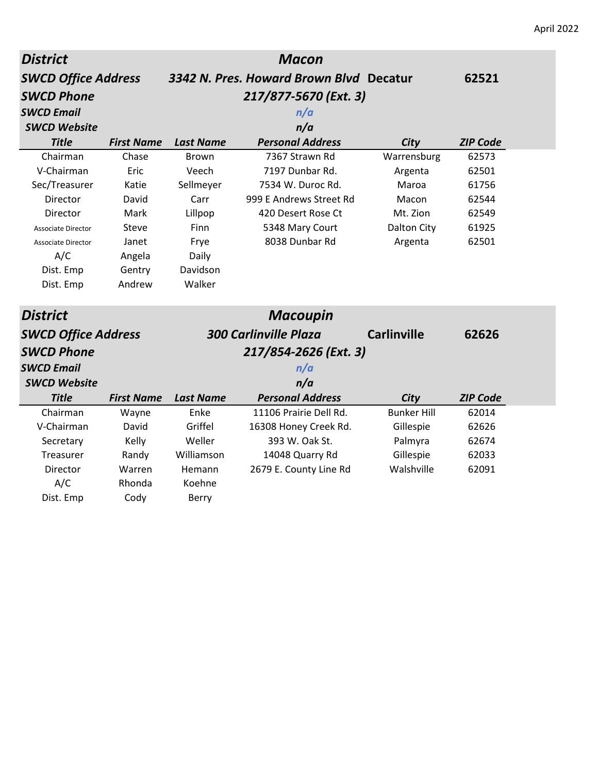| <b>District</b>            |                   |                  | <b>Macon</b>                            |                    |                 |
|----------------------------|-------------------|------------------|-----------------------------------------|--------------------|-----------------|
| <b>SWCD Office Address</b> |                   |                  | 3342 N. Pres. Howard Brown Blvd Decatur |                    | 62521           |
| <b>SWCD Phone</b>          |                   |                  | 217/877-5670 (Ext. 3)                   |                    |                 |
| <b>SWCD Email</b>          |                   |                  | n/a                                     |                    |                 |
| <b>SWCD Website</b>        |                   |                  | n/a                                     |                    |                 |
| <b>Title</b>               | <b>First Name</b> | <b>Last Name</b> | <b>Personal Address</b>                 | City               | <b>ZIP Code</b> |
| Chairman                   | Chase             | <b>Brown</b>     | 7367 Strawn Rd                          | Warrensburg        | 62573           |
| V-Chairman                 | Eric              | Veech            | 7197 Dunbar Rd.                         | Argenta            | 62501           |
| Sec/Treasurer              | Katie             | Sellmeyer        | 7534 W. Duroc Rd.                       | Maroa              | 61756           |
| Director                   | David             | Carr             | 999 E Andrews Street Rd                 | Macon              | 62544           |
| Director                   | Mark              | Lillpop          | 420 Desert Rose Ct                      | Mt. Zion           | 62549           |
| <b>Associate Director</b>  | Steve             | Finn             | 5348 Mary Court                         | Dalton City        | 61925           |
| <b>Associate Director</b>  | Janet             | Frye             | 8038 Dunbar Rd                          | Argenta            | 62501           |
| A/C                        | Angela            | Daily            |                                         |                    |                 |
| Dist. Emp                  | Gentry            | Davidson         |                                         |                    |                 |
| Dist. Emp                  | Andrew            | Walker           |                                         |                    |                 |
| <b>District</b>            |                   |                  | <b>Macoupin</b>                         |                    |                 |
| <b>SWCD Office Address</b> |                   |                  | <b>300 Carlinville Plaza</b>            | <b>Carlinville</b> | 62626           |
| <b>SWCD Phone</b>          |                   |                  | 217/854-2626 (Ext. 3)                   |                    |                 |
| <b>SWCD Email</b>          |                   |                  | n/a                                     |                    |                 |
| <b>SWCD Website</b>        |                   |                  | n/a                                     |                    |                 |
| <b>Title</b>               | <b>First Name</b> | <b>Last Name</b> | <b>Personal Address</b>                 | City               | <b>ZIP Code</b> |
| Chairman                   | Wayne             | Enke             | 11106 Prairie Dell Rd.                  | <b>Bunker Hill</b> | 62014           |
| V-Chairman                 | David             | Griffel          | 16308 Honey Creek Rd.                   | Gillespie          | 62626           |
| Secretary                  | Kelly             | Weller           | 393 W. Oak St.                          | Palmyra            | 62674           |
| Treasurer                  | Randy             | Williamson       | 14048 Quarry Rd                         | Gillespie          | 62033           |
| Director                   | Warren            | Hemann           | 2679 E. County Line Rd                  | Walshville         | 62091           |
| A/C                        | Rhonda            | Koehne           |                                         |                    |                 |
| Dist. Emp                  | Cody              | <b>Berry</b>     |                                         |                    |                 |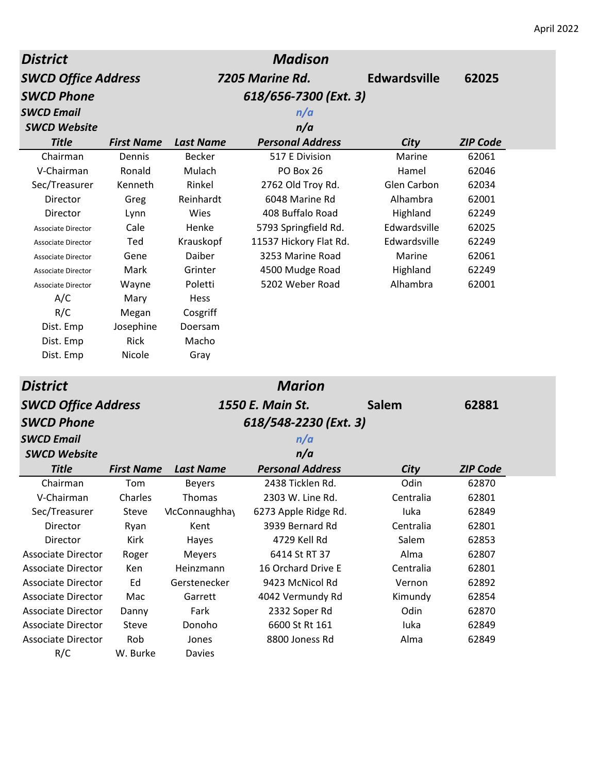| <b>District</b>            |                   |                  | <b>Madison</b>          |                     |                 |
|----------------------------|-------------------|------------------|-------------------------|---------------------|-----------------|
| <b>SWCD Office Address</b> |                   |                  | 7205 Marine Rd.         | <b>Edwardsville</b> | 62025           |
| <b>SWCD Phone</b>          |                   |                  | 618/656-7300 (Ext. 3)   |                     |                 |
| <b>SWCD Email</b>          |                   |                  | n/a                     |                     |                 |
| <b>SWCD Website</b>        |                   |                  | n/a                     |                     |                 |
| <b>Title</b>               | <b>First Name</b> | <b>Last Name</b> | <b>Personal Address</b> | City                | <b>ZIP Code</b> |
| Chairman                   | Dennis            | <b>Becker</b>    | 517 E Division          | Marine              | 62061           |
| V-Chairman                 | Ronald            | Mulach           | PO Box 26               | Hamel               | 62046           |
| Sec/Treasurer              | Kenneth           | Rinkel           | 2762 Old Troy Rd.       | <b>Glen Carbon</b>  | 62034           |
| Director                   | Greg              | Reinhardt        | 6048 Marine Rd          | Alhambra            | 62001           |
| Director                   | Lynn              | Wies             | 408 Buffalo Road        | Highland            | 62249           |
| <b>Associate Director</b>  | Cale              | Henke            | 5793 Springfield Rd.    | Edwardsville        | 62025           |
| <b>Associate Director</b>  | Ted               | Krauskopf        | 11537 Hickory Flat Rd.  | Edwardsville        | 62249           |
| <b>Associate Director</b>  | Gene              | Daiber           | 3253 Marine Road        | Marine              | 62061           |
| Associate Director         | Mark              | Grinter          | 4500 Mudge Road         | Highland            | 62249           |
| <b>Associate Director</b>  | Wayne             | Poletti          | 5202 Weber Road         | Alhambra            | 62001           |
| A/C                        | Mary              | Hess             |                         |                     |                 |
| R/C                        | Megan             | Cosgriff         |                         |                     |                 |
| Dist. Emp                  | Josephine         | Doersam          |                         |                     |                 |
| Dist. Emp                  | Rick              | Macho            |                         |                     |                 |
| Dist. Emp                  | Nicole            | Gray             |                         |                     |                 |
| <b>District</b>            |                   |                  | <b>Marion</b>           |                     |                 |
| <b>SWCD Office Address</b> |                   |                  | 1550 E. Main St.        | <b>Salem</b>        | 62881           |
| <b>SWCD Phone</b>          |                   |                  | 618/548-2230 (Ext. 3)   |                     |                 |
| <b>SWCD Email</b>          |                   |                  | n/a                     |                     |                 |
| <b>SWCD Website</b>        |                   |                  | n/a                     |                     |                 |
| <b>Title</b>               | <b>First Name</b> | <b>Last Name</b> | <b>Personal Address</b> | <b>City</b>         | <b>ZIP Code</b> |
| Chairman                   | Tom               | <b>Beyers</b>    | 2438 Ticklen Rd         | Odin                | 62870           |
| V-Chairman                 | Charles           | Thomas           | 2303 W. Line Rd.        | Centralia           | 62801           |
| Sec/Treasurer              | Steve             | McConnaughhay    | 6273 Apple Ridge Rd.    | luka                | 62849           |
| Director                   | Ryan              | Kent             | 3939 Bernard Rd         | Centralia           | 62801           |
| Director                   | Kirk              | Hayes            | 4729 Kell Rd            | Salem               | 62853           |
| <b>Associate Director</b>  | Roger             | Meyers           | 6414 St RT 37           | Alma                | 62807           |
| Associate Director         | Ken               | Heinzmann        | 16 Orchard Drive E      | Centralia           | 62801           |
| <b>Associate Director</b>  | Ed                | Gerstenecker     | 9423 McNicol Rd         | Vernon              | 62892           |
| Associate Director         | Mac               | Garrett          | 4042 Vermundy Rd        | Kimundy             | 62854           |
| <b>Associate Director</b>  | Danny             | Fark             | 2332 Soper Rd           | Odin                | 62870           |
| Associate Director         | Steve             | Donoho           | 6600 St Rt 161          | luka                | 62849           |
| <b>Associate Director</b>  | Rob               | Jones            | 8800 Joness Rd          | Alma                | 62849           |
| R/C                        | W. Burke          | Davies           |                         |                     |                 |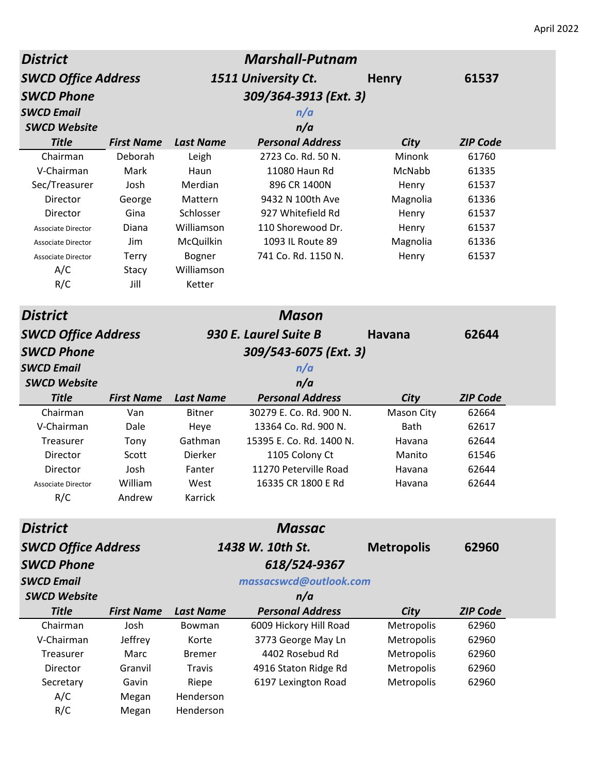| <b>Marshall-Putnam</b><br><b>District</b> |                   |                  |                          |                   |                 |  |
|-------------------------------------------|-------------------|------------------|--------------------------|-------------------|-----------------|--|
| <b>SWCD Office Address</b>                |                   |                  | 1511 University Ct.      | <b>Henry</b>      | 61537           |  |
| <b>SWCD Phone</b>                         |                   |                  | 309/364-3913 (Ext. 3)    |                   |                 |  |
| <b>SWCD Email</b>                         |                   |                  | n/a                      |                   |                 |  |
| <b>SWCD Website</b>                       |                   |                  | n/a                      |                   |                 |  |
| <b>Title</b>                              | <b>First Name</b> | <b>Last Name</b> | <b>Personal Address</b>  | City              | <b>ZIP Code</b> |  |
| Chairman                                  | Deborah           | Leigh            | 2723 Co. Rd. 50 N.       | Minonk            | 61760           |  |
| V-Chairman                                | Mark              | Haun             | 11080 Haun Rd            | McNabb            | 61335           |  |
| Sec/Treasurer                             | Josh              | Merdian          | 896 CR 1400N             | Henry             | 61537           |  |
| Director                                  | George            | Mattern          | 9432 N 100th Ave         | Magnolia          | 61336           |  |
| Director                                  | Gina              | Schlosser        | 927 Whitefield Rd        | Henry             | 61537           |  |
| <b>Associate Director</b>                 | Diana             | Williamson       | 110 Shorewood Dr.        | Henry             | 61537           |  |
| <b>Associate Director</b>                 | Jim               | McQuilkin        | 1093 IL Route 89         | Magnolia          | 61336           |  |
| <b>Associate Director</b>                 | <b>Terry</b>      | Bogner           | 741 Co. Rd. 1150 N.      | Henry             | 61537           |  |
| A/C                                       | Stacy             | Williamson       |                          |                   |                 |  |
| R/C                                       | Jill              | Ketter           |                          |                   |                 |  |
| <b>District</b>                           |                   |                  | <b>Mason</b>             |                   |                 |  |
| <b>SWCD Office Address</b>                |                   |                  | 930 E. Laurel Suite B    | <b>Havana</b>     | 62644           |  |
| <b>SWCD Phone</b>                         |                   |                  | 309/543-6075 (Ext. 3)    |                   |                 |  |
| <b>SWCD Email</b>                         |                   |                  | n/a                      |                   |                 |  |
| <b>SWCD Website</b>                       |                   |                  | n/a                      |                   |                 |  |
| <b>Title</b>                              | <b>First Name</b> | <b>Last Name</b> | <b>Personal Address</b>  | City              | <b>ZIP Code</b> |  |
| Chairman                                  | Van               | <b>Bitner</b>    | 30279 E. Co. Rd. 900 N.  | Mason City        | 62664           |  |
| V-Chairman                                | Dale              | Heye             | 13364 Co. Rd. 900 N.     | Bath              | 62617           |  |
| Treasurer                                 | Tony              | Gathman          | 15395 E. Co. Rd. 1400 N. | Havana            | 62644           |  |
| Director                                  | Scott             | Dierker          | 1105 Colony Ct           | Manito            | 61546           |  |
| Director                                  | Josh              | Fanter           | 11270 Peterville Road    | Havana            | 62644           |  |
| Associate Director                        | William           | West             | 16335 CR 1800 E Rd       | Havana            | 62644           |  |
| R/C                                       | Andrew            | Karrick          |                          |                   |                 |  |
| <b>District</b>                           |                   |                  | <b>Massac</b>            |                   |                 |  |
| <b>SWCD Office Address</b>                |                   |                  | 1438 W. 10th St.         | <b>Metropolis</b> | 62960           |  |
| <b>SWCD Phone</b>                         |                   |                  | 618/524-9367             |                   |                 |  |
| <b>SWCD Email</b>                         |                   |                  | massacswcd@outlook.com   |                   |                 |  |
| <b>SWCD Website</b>                       |                   |                  | n/a                      |                   |                 |  |
| <b>Title</b>                              | <b>First Name</b> | <b>Last Name</b> | <b>Personal Address</b>  | City              | <b>ZIP Code</b> |  |
| Chairman                                  | Josh              | Bowman           | 6009 Hickory Hill Road   | Metropolis        | 62960           |  |
| V-Chairman                                | Jeffrey           | Korte            | 3773 George May Ln       | Metropolis        | 62960           |  |
| Treasurer                                 | Marc              | <b>Bremer</b>    | 4402 Rosebud Rd          | Metropolis        | 62960           |  |
| Director                                  | Granvil           | Travis           | 4916 Staton Ridge Rd     | Metropolis        | 62960           |  |
| Secretary                                 | Gavin             | Riepe            | 6197 Lexington Road      | Metropolis        | 62960           |  |
| A/C                                       | Megan             | Henderson        |                          |                   |                 |  |
| R/C                                       | Megan             | Henderson        |                          |                   |                 |  |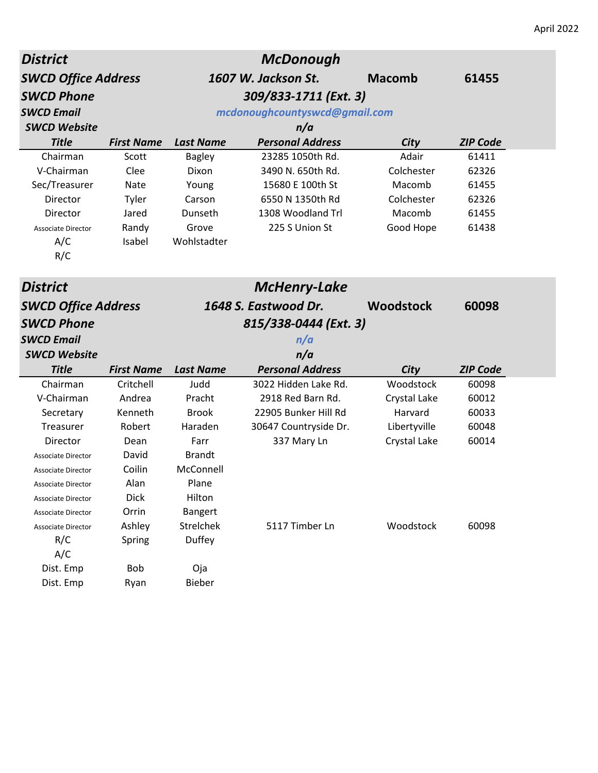| <b>District</b>            |                   |                  | <b>McDonough</b>              |                  |                 |
|----------------------------|-------------------|------------------|-------------------------------|------------------|-----------------|
| <b>SWCD Office Address</b> |                   |                  | 1607 W. Jackson St.           | <b>Macomb</b>    | 61455           |
| <b>SWCD Phone</b>          |                   |                  | 309/833-1711 (Ext. 3)         |                  |                 |
| <b>SWCD Email</b>          |                   |                  | mcdonoughcountyswcd@gmail.com |                  |                 |
| <b>SWCD Website</b>        |                   |                  | n/a                           |                  |                 |
| <b>Title</b>               | <b>First Name</b> | <b>Last Name</b> | <b>Personal Address</b>       | City             | <b>ZIP Code</b> |
| Chairman                   | Scott             | <b>Bagley</b>    | 23285 1050th Rd.              | Adair            | 61411           |
| V-Chairman                 | Clee              | Dixon            | 3490 N. 650th Rd.             | Colchester       | 62326           |
| Sec/Treasurer              | Nate              | Young            | 15680 E 100th St              | Macomb           | 61455           |
| Director                   | Tyler             | Carson           | 6550 N 1350th Rd              | Colchester       | 62326           |
| Director                   | Jared             | Dunseth          | 1308 Woodland Trl             | Macomb           | 61455           |
| <b>Associate Director</b>  | Randy             | Grove            | 225 S Union St                | Good Hope        | 61438           |
| A/C                        | Isabel            | Wohlstadter      |                               |                  |                 |
| R/C                        |                   |                  |                               |                  |                 |
| <b>District</b>            |                   |                  | <b>McHenry-Lake</b>           |                  |                 |
| <b>SWCD Office Address</b> |                   |                  | 1648 S. Eastwood Dr.          | <b>Woodstock</b> | 60098           |
| <b>SWCD Phone</b>          |                   |                  | 815/338-0444 (Ext. 3)         |                  |                 |
|                            |                   |                  |                               |                  |                 |
| <b>SWCD Email</b>          |                   |                  | n/a                           |                  |                 |
| <b>SWCD Website</b>        |                   |                  | n/a                           |                  |                 |
| <b>Title</b>               | <b>First Name</b> | <b>Last Name</b> | <b>Personal Address</b>       | City             | <b>ZIP Code</b> |
| Chairman                   | Critchell         | Judd             | 3022 Hidden Lake Rd.          | Woodstock        | 60098           |
| V-Chairman                 | Andrea            | Pracht           | 2918 Red Barn Rd.             | Crystal Lake     | 60012           |
| Secretary                  | Kenneth           | <b>Brook</b>     | 22905 Bunker Hill Rd          | Harvard          | 60033           |
| Treasurer                  | Robert            | Haraden          | 30647 Countryside Dr.         | Libertyville     | 60048           |
| Director                   | Dean              | Farr             | 337 Mary Ln                   | Crystal Lake     | 60014           |
| <b>Associate Director</b>  | David             | <b>Brandt</b>    |                               |                  |                 |
| <b>Associate Director</b>  | Coilin            | McConnell        |                               |                  |                 |
| Associate Director         | Alan              | Plane            |                               |                  |                 |
| <b>Associate Director</b>  | Dick              | Hilton           |                               |                  |                 |
| <b>Associate Director</b>  | Orrin             | <b>Bangert</b>   |                               |                  |                 |
| <b>Associate Director</b>  | Ashley            | Strelchek        | 5117 Timber Ln                | Woodstock        | 60098           |
| R/C                        | Spring            | Duffey           |                               |                  |                 |
| A/C                        |                   |                  |                               |                  |                 |
| Dist. Emp                  | Bob               | Oja              |                               |                  |                 |
| Dist. Emp                  | Ryan              | Bieber           |                               |                  |                 |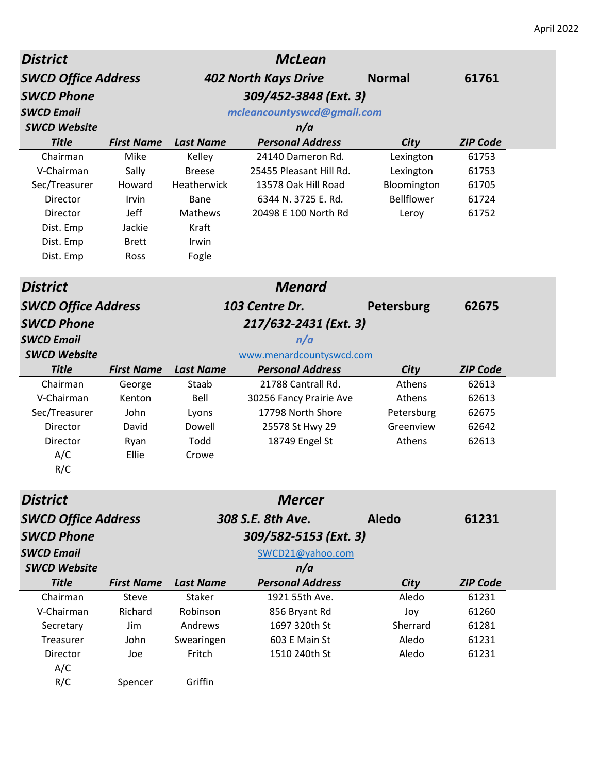| <b>District</b>            |                   |                  | <b>McLean</b>               |               |                 |
|----------------------------|-------------------|------------------|-----------------------------|---------------|-----------------|
| <b>SWCD Office Address</b> |                   |                  | <b>402 North Kays Drive</b> | <b>Normal</b> | 61761           |
| <b>SWCD Phone</b>          |                   |                  | 309/452-3848 (Ext. 3)       |               |                 |
| <b>SWCD Email</b>          |                   |                  | mcleancountyswcd@gmail.com  |               |                 |
| <b>SWCD Website</b>        |                   |                  | n/a                         |               |                 |
| <b>Title</b>               | <b>First Name</b> | <b>Last Name</b> | <b>Personal Address</b>     | City          | <b>ZIP Code</b> |
| Chairman                   | Mike              | Kelley           | 24140 Dameron Rd.           | Lexington     | 61753           |
| V-Chairman                 | Sally             | <b>Breese</b>    | 25455 Pleasant Hill Rd.     | Lexington     | 61753           |
| Sec/Treasurer              | Howard            | Heatherwick      | 13578 Oak Hill Road         | Bloomington   | 61705           |
| Director                   | Irvin             | <b>Bane</b>      | 6344 N. 3725 E. Rd.         | Bellflower    | 61724           |
| Director                   | Jeff              | Mathews          | 20498 E 100 North Rd        | Leroy         | 61752           |
| Dist. Emp                  | Jackie            | Kraft            |                             |               |                 |
| Dist. Emp                  | <b>Brett</b>      | Irwin            |                             |               |                 |
| Dist. Emp                  | Ross              | Fogle            |                             |               |                 |
| <b>District</b>            |                   |                  | <b>Menard</b>               |               |                 |
| <b>SWCD Office Address</b> |                   |                  | 103 Centre Dr.              | Petersburg    | 62675           |
| <b>SWCD Phone</b>          |                   |                  | 217/632-2431 (Ext. 3)       |               |                 |
| <b>SWCD Email</b>          |                   |                  | n/a                         |               |                 |
| <b>SWCD Website</b>        |                   |                  | www.menardcountyswcd.com    |               |                 |
| <b>Title</b>               | <b>First Name</b> | <b>Last Name</b> | <b>Personal Address</b>     | City          | <b>ZIP Code</b> |
| Chairman                   | George            | Staab            | 21788 Cantrall Rd.          | Athens        | 62613           |
| V-Chairman                 | Kenton            | Bell             | 30256 Fancy Prairie Ave     | Athens        | 62613           |
| Sec/Treasurer              | John              | Lyons            | 17798 North Shore           | Petersburg    | 62675           |
| Director                   | David             | Dowell           | 25578 St Hwy 29             | Greenview     | 62642           |
| Director                   | Ryan              | Todd             | 18749 Engel St              | Athens        | 62613           |
| A/C                        | Ellie             | Crowe            |                             |               |                 |
| R/C                        |                   |                  |                             |               |                 |
|                            |                   |                  |                             |               |                 |
| <b>District</b>            |                   |                  | <b>Mercer</b>               |               |                 |
| <b>SWCD Office Address</b> |                   |                  | 308 S.E. 8th Ave.           | <b>Aledo</b>  | 61231           |
| <b>SWCD Phone</b>          |                   |                  | 309/582-5153 (Ext. 3)       |               |                 |
| <b>SWCD Email</b>          |                   |                  | SWCD21@yahoo.com            |               |                 |
| <b>SWCD Website</b>        |                   |                  | n/a                         |               |                 |
| <b>Title</b>               | <b>First Name</b> | <b>Last Name</b> | <b>Personal Address</b>     | <b>City</b>   | <b>ZIP Code</b> |
| Chairman                   | Steve             | Staker           | 1921 55th Ave.              | Aledo         | 61231           |
| V-Chairman                 | Richard           | Robinson         | 856 Bryant Rd               | Joy           | 61260           |
| Secretary                  | Jim               | Andrews          | 1697 320th St               | Sherrard      | 61281           |
| Treasurer                  | John              | Swearingen       | 603 E Main St               | Aledo         | 61231           |
| Director                   | Joe               | Fritch           | 1510 240th St               | Aledo         | 61231           |
| A/C                        |                   |                  |                             |               |                 |
| R/C                        | Spencer           | Griffin          |                             |               |                 |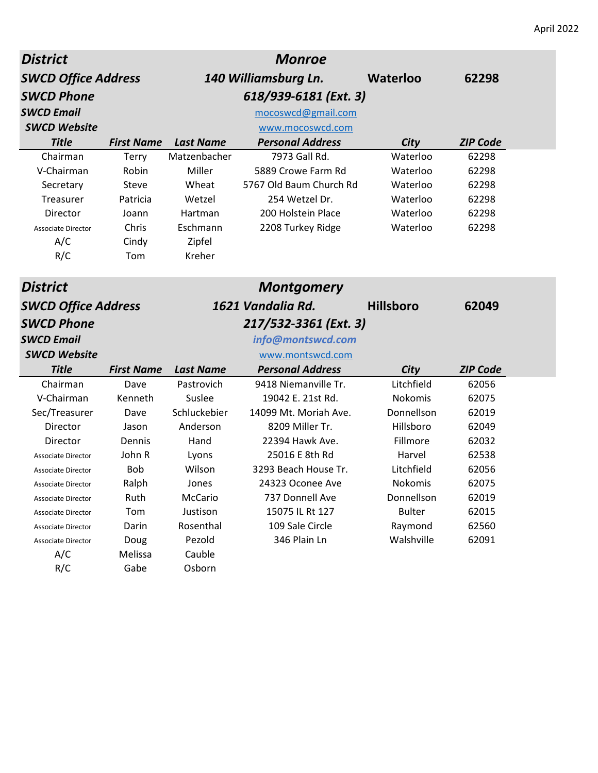| <b>District</b>            |                   |                  | <b>Monroe</b>           |                    |                 |
|----------------------------|-------------------|------------------|-------------------------|--------------------|-----------------|
| <b>SWCD Office Address</b> |                   |                  | 140 Williamsburg Ln.    | <b>Waterloo</b>    | 62298           |
| <b>SWCD Phone</b>          |                   |                  | 618/939-6181 (Ext. 3)   |                    |                 |
| <b>SWCD Email</b>          |                   |                  | mocoswcd@gmail.com      |                    |                 |
| <b>SWCD Website</b>        |                   |                  | www.mocoswcd.com        |                    |                 |
| <b>Title</b>               | <b>First Name</b> | <b>Last Name</b> | <b>Personal Address</b> | City               | <b>ZIP Code</b> |
| Chairman                   | <b>Terry</b>      | Matzenbacher     | 7973 Gall Rd.           | Waterloo           | 62298           |
| V-Chairman                 | Robin             | Miller           | 5889 Crowe Farm Rd      | Waterloo           | 62298           |
| Secretary                  | Steve             | Wheat            | 5767 Old Baum Church Rd | Waterloo           | 62298           |
| Treasurer                  | Patricia          | Wetzel           | 254 Wetzel Dr.          | Waterloo           | 62298           |
| Director                   | Joann             | Hartman          | 200 Holstein Place      | Waterloo           | 62298           |
| <b>Associate Director</b>  | Chris             | Eschmann         | 2208 Turkey Ridge       | Waterloo           | 62298           |
| A/C                        | Cindy             | Zipfel           |                         |                    |                 |
| R/C                        | Tom               | Kreher           |                         |                    |                 |
| <b>District</b>            |                   |                  | <b>Montgomery</b>       |                    |                 |
| <b>SWCD Office Address</b> |                   |                  | 1621 Vandalia Rd.       | <b>Hillsboro</b>   | 62049           |
| <b>SWCD Phone</b>          |                   |                  | 217/532-3361 (Ext. 3)   |                    |                 |
| <b>SWCD Email</b>          |                   |                  | info@montswcd.com       |                    |                 |
| <b>SWCD Website</b>        |                   |                  | www.montswcd.com        |                    |                 |
| <b>Title</b>               | <b>First Name</b> | <b>Last Name</b> | <b>Personal Address</b> |                    | <b>ZIP Code</b> |
| Chairman                   | Dave              | Pastrovich       | 9418 Niemanville Tr.    | City<br>Litchfield | 62056           |
| V-Chairman                 | Kenneth           | Suslee           | 19042 E. 21st Rd.       | Nokomis            | 62075           |
| Sec/Treasurer              | Dave              | Schluckebier     | 14099 Mt. Moriah Ave.   | Donnellson         | 62019           |
| Director                   | Jason             | Anderson         | 8209 Miller Tr.         | Hillsboro          | 62049           |
| Director                   | Dennis            | Hand             | 22394 Hawk Ave.         | Fillmore           | 62032           |
| <b>Associate Director</b>  | John R            | Lyons            | 25016 E 8th Rd          | Harvel             | 62538           |
| <b>Associate Director</b>  | <b>Bob</b>        | Wilson           | 3293 Beach House Tr.    | Litchfield         | 62056           |
| Associate Director         | Ralph             | Jones            | 24323 Oconee Ave        | Nokomis            | 62075           |
| <b>Associate Director</b>  | Ruth              | McCario          | 737 Donnell Ave         | Donnellson         | 62019           |
| <b>Associate Director</b>  | Tom               | Justison         | 15075 IL Rt 127         | <b>Bulter</b>      | 62015           |
| Associate Director         |                   |                  |                         |                    |                 |
|                            |                   |                  |                         |                    |                 |
|                            | Darin             | Rosenthal        | 109 Sale Circle         | Raymond            | 62560           |
| Associate Director<br>A/C  | Doug<br>Melissa   | Pezold<br>Cauble | 346 Plain Ln            | Walshville         | 62091           |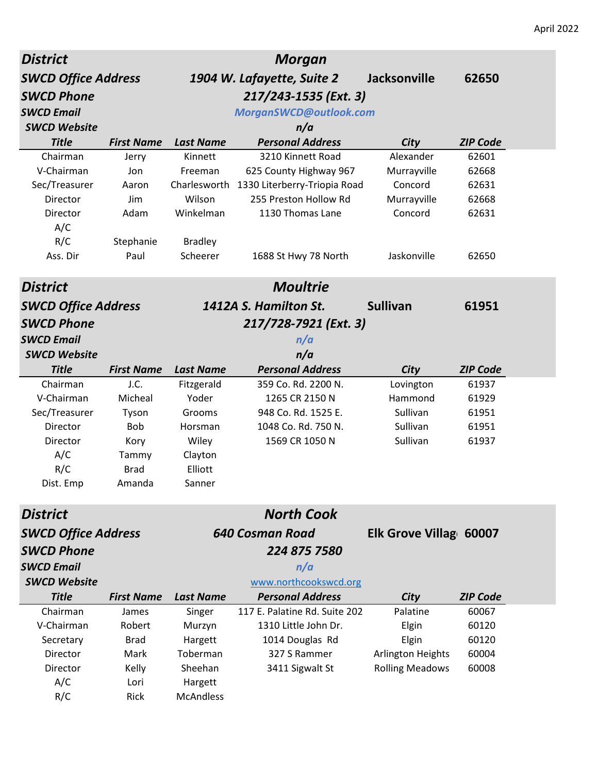| <b>District</b>            |                   |                  | <b>Morgan</b>                             |                        |                 |
|----------------------------|-------------------|------------------|-------------------------------------------|------------------------|-----------------|
| <b>SWCD Office Address</b> |                   |                  | 1904 W. Lafayette, Suite 2                | <b>Jacksonville</b>    | 62650           |
| <b>SWCD Phone</b>          |                   |                  | 217/243-1535 (Ext. 3)                     |                        |                 |
| <b>SWCD Email</b>          |                   |                  | MorganSWCD@outlook.com                    |                        |                 |
| <b>SWCD Website</b>        |                   |                  | n/a                                       |                        |                 |
| <b>Title</b>               | <b>First Name</b> | <b>Last Name</b> | <b>Personal Address</b>                   | City                   | <b>ZIP Code</b> |
| Chairman                   | Jerry             | Kinnett          | 3210 Kinnett Road                         | Alexander              | 62601           |
| V-Chairman                 | Jon               | Freeman          | 625 County Highway 967                    | Murrayville            | 62668           |
| Sec/Treasurer              | Aaron             |                  | Charlesworth 1330 Literberry-Triopia Road | Concord                | 62631           |
| Director                   | Jim               | Wilson           | 255 Preston Hollow Rd                     | Murrayville            | 62668           |
| Director                   | Adam              | Winkelman        | 1130 Thomas Lane                          | Concord                | 62631           |
| A/C                        |                   |                  |                                           |                        |                 |
| R/C                        | Stephanie         | <b>Bradley</b>   |                                           |                        |                 |
| Ass. Dir                   | Paul              | Scheerer         | 1688 St Hwy 78 North                      | Jaskonville            | 62650           |
| <b>District</b>            |                   |                  | <b>Moultrie</b>                           |                        |                 |
| <b>SWCD Office Address</b> |                   |                  | 1412A S. Hamilton St.                     | <b>Sullivan</b>        | 61951           |
| <b>SWCD Phone</b>          |                   |                  | 217/728-7921 (Ext. 3)                     |                        |                 |
| <b>SWCD Email</b>          |                   |                  | n/a                                       |                        |                 |
| <b>SWCD Website</b>        |                   |                  | n/a                                       |                        |                 |
| <b>Title</b>               | <b>First Name</b> | <b>Last Name</b> | <b>Personal Address</b>                   | City                   | <b>ZIP Code</b> |
| Chairman                   | J.C.              | Fitzgerald       | 359 Co. Rd. 2200 N.                       | Lovington              | 61937           |
| V-Chairman                 | Micheal           | Yoder            | 1265 CR 2150 N                            | Hammond                | 61929           |
| Sec/Treasurer              | Tyson             | Grooms           | 948 Co. Rd. 1525 E.                       | Sullivan               | 61951           |
| Director                   | Bob               | Horsman          | 1048 Co. Rd. 750 N.                       | Sullivan               | 61951           |
| Director                   | Kory              | Wiley            | 1569 CR 1050 N                            | Sullivan               | 61937           |
| A/C                        | Tammy             | Clayton          |                                           |                        |                 |
| R/C                        | <b>Brad</b>       | Elliott          |                                           |                        |                 |
| Dist. Emp                  | Amanda            | Sanner           |                                           |                        |                 |
| <b>District</b>            |                   |                  | <b>North Cook</b>                         |                        |                 |
| <b>SWCD Office Address</b> |                   |                  | 640 Cosman Road                           | Elk Grove Villag 60007 |                 |
| <b>SWCD Phone</b>          |                   |                  | 224 875 7580                              |                        |                 |
| <b>SWCD Email</b>          |                   |                  | n/a                                       |                        |                 |
| <b>SWCD Website</b>        |                   |                  | www.northcookswcd.org                     |                        |                 |
| <b>Title</b>               | <b>First Name</b> | <b>Last Name</b> | <b>Personal Address</b>                   | City                   | <b>ZIP Code</b> |
| Chairman                   | James             | Singer           | 117 E. Palatine Rd. Suite 202             | Palatine               | 60067           |
| V-Chairman                 | Robert            | Murzyn           | 1310 Little John Dr.                      | Elgin                  | 60120           |
| Secretary                  | <b>Brad</b>       | Hargett          | 1014 Douglas Rd                           | Elgin                  | 60120           |
| Director                   | Mark              | Toberman         | 327 S Rammer                              | Arlington Heights      | 60004           |
| Director                   | Kelly             | Sheehan          | 3411 Sigwalt St                           | <b>Rolling Meadows</b> | 60008           |
| A/C                        | Lori              | Hargett          |                                           |                        |                 |
| R/C                        | Rick              | <b>McAndless</b> |                                           |                        |                 |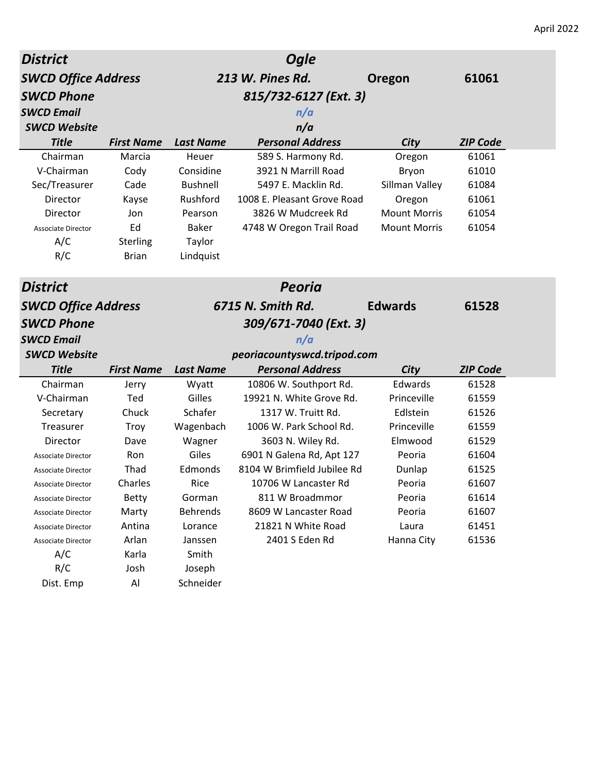| <b>District</b>            |                   |                  | <b>Ogle</b>                  |                     |                 |
|----------------------------|-------------------|------------------|------------------------------|---------------------|-----------------|
| <b>SWCD Office Address</b> |                   |                  | 213 W. Pines Rd.             | Oregon              | 61061           |
| <b>SWCD Phone</b>          |                   |                  |                              |                     |                 |
| <b>SWCD Email</b>          |                   |                  | 815/732-6127 (Ext. 3)<br>n/a |                     |                 |
| <b>SWCD Website</b>        |                   |                  | n/a                          |                     |                 |
| <b>Title</b>               | <b>First Name</b> | <b>Last Name</b> | <b>Personal Address</b>      | City                | <b>ZIP Code</b> |
| Chairman                   | Marcia            | Heuer            | 589 S. Harmony Rd.           | Oregon              | 61061           |
| V-Chairman                 | Cody              | Considine        | 3921 N Marrill Road          | Bryon               | 61010           |
| Sec/Treasurer              | Cade              | <b>Bushnell</b>  | 5497 E. Macklin Rd.          | Sillman Valley      | 61084           |
| Director                   | Kayse             | Rushford         | 1008 E. Pleasant Grove Road  | Oregon              | 61061           |
| Director                   | Jon               | Pearson          | 3826 W Mudcreek Rd           | <b>Mount Morris</b> | 61054           |
| <b>Associate Director</b>  | Ed                | <b>Baker</b>     | 4748 W Oregon Trail Road     | <b>Mount Morris</b> | 61054           |
| A/C                        | Sterling          | Taylor           |                              |                     |                 |
| R/C                        | <b>Brian</b>      | Lindquist        |                              |                     |                 |
| <b>District</b>            |                   |                  | <b>Peoria</b>                |                     |                 |
| <b>SWCD Office Address</b> |                   |                  | 6715 N. Smith Rd.            | <b>Edwards</b>      | 61528           |
| <b>SWCD Phone</b>          |                   |                  | 309/671-7040 (Ext. 3)        |                     |                 |
| <b>SWCD Email</b>          |                   |                  | n/a                          |                     |                 |
| <b>SWCD Website</b>        |                   |                  |                              |                     |                 |
| <b>Title</b>               |                   |                  | peoriacountyswcd.tripod.com  |                     |                 |
| Chairman                   |                   |                  |                              |                     |                 |
|                            | <b>First Name</b> | <b>Last Name</b> | <b>Personal Address</b>      | City                | <b>ZIP Code</b> |
|                            | Jerry             | Wyatt            | 10806 W. Southport Rd.       | Edwards             | 61528           |
| V-Chairman                 | Ted               | Gilles           | 19921 N. White Grove Rd.     | Princeville         | 61559           |
| Secretary                  | Chuck             | Schafer          | 1317 W. Truitt Rd.           | Edlstein            | 61526           |
| Treasurer                  | Troy              | Wagenbach        | 1006 W. Park School Rd.      | Princeville         | 61559           |
| Director                   | Dave              | Wagner           | 3603 N. Wiley Rd.            | Elmwood             | 61529           |
| Associate Director         | Ron               | Giles            | 6901 N Galena Rd, Apt 127    | Peoria              | 61604           |
| Associate Director         | Thad              | Edmonds          | 8104 W Brimfield Jubilee Rd  | Dunlap              | 61525           |
| Associate Director         | Charles           | Rice             | 10706 W Lancaster Rd         | Peoria              | 61607           |
| Associate Director         | <b>Betty</b>      | Gorman           | 811 W Broadmmor              | Peoria              | 61614           |
| Associate Director         | Marty             | <b>Behrends</b>  | 8609 W Lancaster Road        | Peoria              | 61607           |
| Associate Director         | Antina            | Lorance          | 21821 N White Road           | Laura               | 61451           |
| Associate Director         | Arlan             | Janssen          | 2401 S Eden Rd               | Hanna City          | 61536           |
| A/C<br>R/C                 | Karla<br>Josh     | Smith<br>Joseph  |                              |                     |                 |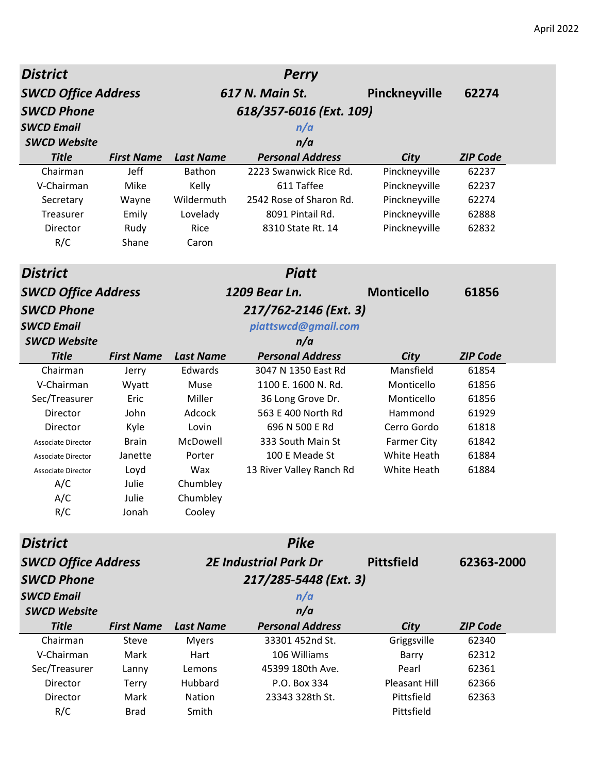| <b>District</b>            |                   |                  | <b>Perry</b>                 |                    |                 |
|----------------------------|-------------------|------------------|------------------------------|--------------------|-----------------|
| <b>SWCD Office Address</b> |                   |                  | 617 N. Main St.              | Pinckneyville      | 62274           |
| <b>SWCD Phone</b>          |                   |                  | 618/357-6016 (Ext. 109)      |                    |                 |
| <b>SWCD Email</b>          |                   |                  | n/a                          |                    |                 |
| <b>SWCD Website</b>        |                   |                  | n/a                          |                    |                 |
| <b>Title</b>               | <b>First Name</b> | <b>Last Name</b> | <b>Personal Address</b>      | City               | <b>ZIP Code</b> |
| Chairman                   | Jeff              | Bathon           | 2223 Swanwick Rice Rd.       | Pinckneyville      | 62237           |
| V-Chairman                 | Mike              | Kelly            | 611 Taffee                   | Pinckneyville      | 62237           |
| Secretary                  | Wayne             | Wildermuth       | 2542 Rose of Sharon Rd.      | Pinckneyville      | 62274           |
| Treasurer                  | Emily             | Lovelady         | 8091 Pintail Rd.             | Pinckneyville      | 62888           |
| Director                   | Rudy              | Rice             | 8310 State Rt. 14            | Pinckneyville      | 62832           |
| R/C                        | Shane             | Caron            |                              |                    |                 |
| <b>District</b>            |                   |                  | <b>Piatt</b>                 |                    |                 |
| <b>SWCD Office Address</b> |                   |                  | 1209 Bear Ln.                | <b>Monticello</b>  | 61856           |
| <b>SWCD Phone</b>          |                   |                  | 217/762-2146 (Ext. 3)        |                    |                 |
| <b>SWCD Email</b>          |                   |                  | piattswcd@gmail.com          |                    |                 |
| <b>SWCD Website</b>        |                   |                  | n/a                          |                    |                 |
| <b>Title</b>               | <b>First Name</b> | <b>Last Name</b> | <b>Personal Address</b>      | City               | <b>ZIP Code</b> |
| Chairman                   | Jerry             | Edwards          | 3047 N 1350 East Rd          | Mansfield          | 61854           |
| V-Chairman                 | Wyatt             | Muse             | 1100 E. 1600 N. Rd.          | Monticello         | 61856           |
| Sec/Treasurer              | Eric              | Miller           | 36 Long Grove Dr.            | Monticello         | 61856           |
| Director                   | John              | Adcock           | 563 E 400 North Rd           | Hammond            | 61929           |
| Director                   | Kyle              | Lovin            | 696 N 500 E Rd               | Cerro Gordo        | 61818           |
| <b>Associate Director</b>  | <b>Brain</b>      | McDowell         | 333 South Main St            | <b>Farmer City</b> | 61842           |
| <b>Associate Director</b>  | Janette           | Porter           | 100 E Meade St               | White Heath        | 61884           |
| <b>Associate Director</b>  | Loyd              | Wax              | 13 River Valley Ranch Rd     | White Heath        | 61884           |
| A/C                        | Julie             | Chumbley         |                              |                    |                 |
| A/C                        | Julie             | Chumbley         |                              |                    |                 |
| R/C                        | Jonah             | Cooley           |                              |                    |                 |
| <b>District</b>            |                   |                  | <b>Pike</b>                  |                    |                 |
| <b>SWCD Office Address</b> |                   |                  | <b>2E Industrial Park Dr</b> | <b>Pittsfield</b>  | 62363-2000      |
| <b>SWCD Phone</b>          |                   |                  | 217/285-5448 (Ext. 3)        |                    |                 |
| <b>SWCD Email</b>          |                   |                  | n/a                          |                    |                 |
| <b>SWCD Website</b>        |                   |                  | n/a                          |                    |                 |
| <b>Title</b>               | <b>First Name</b> | <b>Last Name</b> | <b>Personal Address</b>      | City               | <b>ZIP Code</b> |
| Chairman                   | <b>Steve</b>      | <b>Myers</b>     | 33301 452nd St.              | Griggsville        | 62340           |
| V-Chairman                 | Mark              | Hart             | 106 Williams                 | <b>Barry</b>       | 62312           |
| Sec/Treasurer              | Lanny             | Lemons           | 45399 180th Ave.             | Pearl              | 62361           |
| Director                   | <b>Terry</b>      | Hubbard          | P.O. Box 334                 | Pleasant Hill      | 62366           |
| Director                   | Mark              | Nation           | 23343 328th St.              | Pittsfield         | 62363           |
| R/C                        | <b>Brad</b>       | Smith            |                              | Pittsfield         |                 |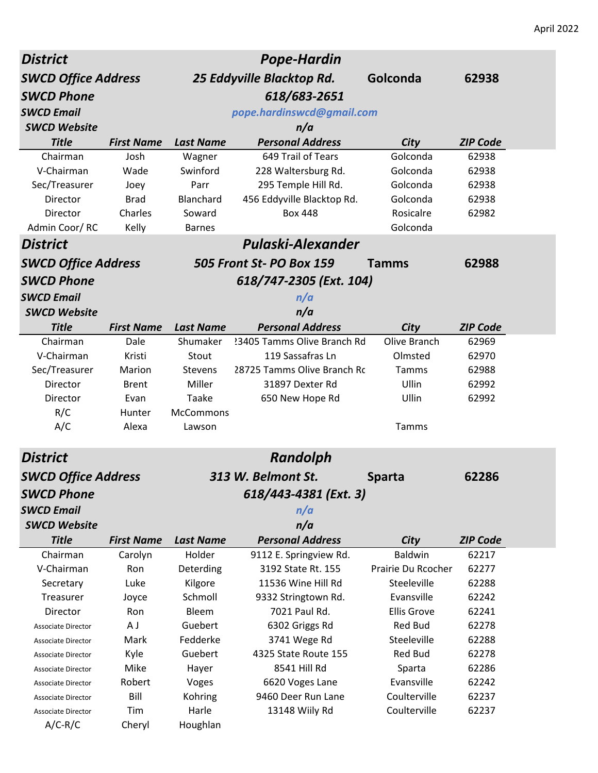| <b>District</b>            |                   |                  | <b>Pope-Hardin</b>                 |                    |                 |
|----------------------------|-------------------|------------------|------------------------------------|--------------------|-----------------|
| <b>SWCD Office Address</b> |                   |                  | 25 Eddyville Blacktop Rd.          | Golconda           | 62938           |
| <b>SWCD Phone</b>          |                   |                  | 618/683-2651                       |                    |                 |
| <b>SWCD Email</b>          |                   |                  | pope.hardinswcd@gmail.com          |                    |                 |
| <b>SWCD Website</b>        |                   |                  | n/a                                |                    |                 |
| <b>Title</b>               | <b>First Name</b> | <b>Last Name</b> | <b>Personal Address</b>            | City               | <b>ZIP Code</b> |
| Chairman                   | Josh              | Wagner           | 649 Trail of Tears                 | Golconda           | 62938           |
| V-Chairman                 | Wade              | Swinford         | 228 Waltersburg Rd.                | Golconda           | 62938           |
| Sec/Treasurer              | Joey              | Parr             | 295 Temple Hill Rd.                | Golconda           | 62938           |
| Director                   | <b>Brad</b>       | Blanchard        | 456 Eddyville Blacktop Rd.         | Golconda           | 62938           |
| Director                   | Charles           | Soward           | <b>Box 448</b>                     | Rosicalre          | 62982           |
| Admin Coor/RC              | Kelly             | <b>Barnes</b>    |                                    | Golconda           |                 |
| <b>District</b>            |                   |                  | Pulaski-Alexander                  |                    |                 |
| <b>SWCD Office Address</b> |                   |                  | 505 Front St- PO Box 159           | <b>Tamms</b>       | 62988           |
| <b>SWCD Phone</b>          |                   |                  | 618/747-2305 (Ext. 104)            |                    |                 |
| <b>SWCD Email</b>          |                   |                  | n/a                                |                    |                 |
| <b>SWCD Website</b>        |                   |                  | n/a                                |                    |                 |
| <b>Title</b>               | <b>First Name</b> | <b>Last Name</b> | <b>Personal Address</b>            | City               | <b>ZIP Code</b> |
| Chairman                   | Dale              | Shumaker         | <b>23405 Tamms Olive Branch Rd</b> | Olive Branch       | 62969           |
| V-Chairman                 | Kristi            | Stout            | 119 Sassafras Ln                   | Olmsted            | 62970           |
| Sec/Treasurer              | Marion            | <b>Stevens</b>   | 28725 Tamms Olive Branch Rc        | Tamms              | 62988           |
| Director                   | <b>Brent</b>      | Miller           | 31897 Dexter Rd                    | Ullin              | 62992           |
| Director                   | Evan              | Taake            | 650 New Hope Rd                    | Ullin              | 62992           |
| R/C                        | Hunter            | McCommons        |                                    |                    |                 |
| A/C                        | Alexa             | Lawson           |                                    | Tamms              |                 |
| <b>District</b>            |                   |                  | <b>Randolph</b>                    |                    |                 |
| <b>SWCD Office Address</b> |                   |                  | 313 W. Belmont St.                 | <b>Sparta</b>      | 62286           |
| <b>SWCD Phone</b>          |                   |                  | 618/443-4381 (Ext. 3)              |                    |                 |
| <b>SWCD Email</b>          |                   |                  | n/a                                |                    |                 |
| <b>SWCD Website</b>        |                   |                  | n/a                                |                    |                 |
| <b>Title</b>               | <b>First Name</b> | <b>Last Name</b> | <b>Personal Address</b>            | City               | <b>ZIP Code</b> |
| Chairman                   | Carolyn           | Holder           | 9112 E. Springview Rd.             | Baldwin            | 62217           |
| V-Chairman                 | Ron               | Deterding        | 3192 State Rt. 155                 | Prairie Du Rcocher | 62277           |
| Secretary                  | Luke              | Kilgore          | 11536 Wine Hill Rd                 | Steeleville        | 62288           |
| Treasurer                  | Joyce             | Schmoll          | 9332 Stringtown Rd.                | Evansville         | 62242           |
| Director                   | Ron               | Bleem            | 7021 Paul Rd.                      | <b>Ellis Grove</b> | 62241           |
| <b>Associate Director</b>  | A J               | Guebert          | 6302 Griggs Rd                     | Red Bud            | 62278           |
| <b>Associate Director</b>  | Mark              | Fedderke         | 3741 Wege Rd                       | Steeleville        | 62288           |
| <b>Associate Director</b>  | Kyle              | Guebert          | 4325 State Route 155               | <b>Red Bud</b>     | 62278           |
| Associate Director         | Mike              | Hayer            | 8541 Hill Rd                       | Sparta             | 62286           |
| Associate Director         | Robert            | Voges            | 6620 Voges Lane                    | Evansville         | 62242           |
| <b>Associate Director</b>  | Bill              | Kohring          | 9460 Deer Run Lane                 | Coulterville       | 62237           |
| <b>Associate Director</b>  | Tim               | Harle            | 13148 Wiily Rd                     | Coulterville       | 62237           |
| $A/C-R/C$                  | Cheryl            | Houghlan         |                                    |                    |                 |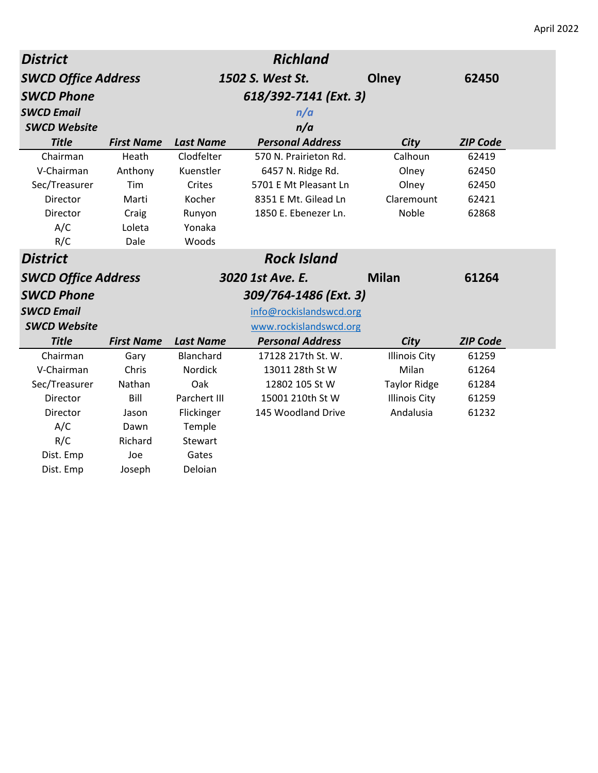| <b>District</b>            | <b>Richland</b>       |                  |                         |                      |                 |
|----------------------------|-----------------------|------------------|-------------------------|----------------------|-----------------|
| <b>SWCD Office Address</b> |                       |                  | 1502 S. West St.        | Olney                | 62450           |
| <b>SWCD Phone</b>          | 618/392-7141 (Ext. 3) |                  |                         |                      |                 |
| <b>SWCD Email</b>          |                       |                  | n/a                     |                      |                 |
| <b>SWCD Website</b>        |                       |                  | n/a                     |                      |                 |
| <b>Title</b>               | <b>First Name</b>     | <b>Last Name</b> | <b>Personal Address</b> | City                 | <b>ZIP Code</b> |
| Chairman                   | Heath                 | Clodfelter       | 570 N. Prairieton Rd.   | Calhoun              | 62419           |
| V-Chairman                 | Anthony               | Kuenstler        | 6457 N. Ridge Rd.       | Olney                | 62450           |
| Sec/Treasurer              | Tim                   | Crites           | 5701 E Mt Pleasant Ln   | Olney                | 62450           |
| Director                   | Marti                 | Kocher           | 8351 E Mt. Gilead Ln    | Claremount           | 62421           |
| Director                   | Craig                 | Runyon           | 1850 E. Ebenezer Ln.    | <b>Noble</b>         | 62868           |
| A/C                        | Loleta                | Yonaka           |                         |                      |                 |
| R/C                        | Dale                  | Woods            |                         |                      |                 |
| <b>District</b>            |                       |                  | <b>Rock Island</b>      |                      |                 |
| <b>SWCD Office Address</b> |                       |                  | 3020 1st Ave. E.        | <b>Milan</b>         | 61264           |
| <b>SWCD Phone</b>          |                       |                  | 309/764-1486 (Ext. 3)   |                      |                 |
| <b>SWCD Email</b>          |                       |                  | info@rockislandswcd.org |                      |                 |
| <b>SWCD Website</b>        |                       |                  | www.rockislandswcd.org  |                      |                 |
| <b>Title</b>               |                       |                  |                         |                      |                 |
|                            | <b>First Name</b>     | <b>Last Name</b> | <b>Personal Address</b> | City                 | <b>ZIP Code</b> |
| Chairman                   | Gary                  | Blanchard        | 17128 217th St. W.      | <b>Illinois City</b> | 61259           |
| V-Chairman                 | Chris                 | Nordick          | 13011 28th St W         | Milan                | 61264           |
| Sec/Treasurer              | Nathan                | Oak              | 12802 105 St W          | <b>Taylor Ridge</b>  | 61284           |
| Director                   | Bill                  | Parchert III     | 15001 210th St W        | <b>Illinois City</b> | 61259           |
| Director                   | Jason                 | Flickinger       | 145 Woodland Drive      | Andalusia            | 61232           |
| A/C                        | Dawn                  | Temple           |                         |                      |                 |
| R/C                        | Richard               | Stewart          |                         |                      |                 |
| Dist. Emp                  | Joe                   | Gates            |                         |                      |                 |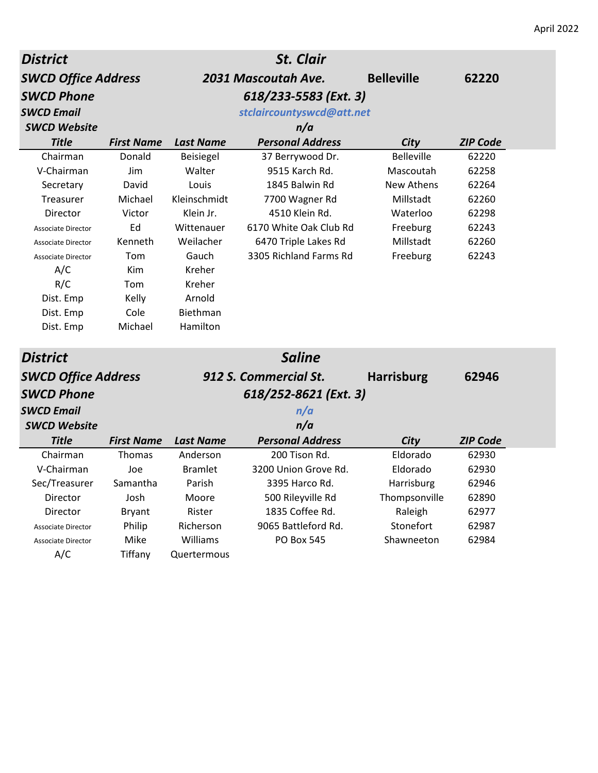| <b>District</b>            |                   |                     | <b>St. Clair</b>          |                   |                 |
|----------------------------|-------------------|---------------------|---------------------------|-------------------|-----------------|
| <b>SWCD Office Address</b> |                   | 2031 Mascoutah Ave. |                           | <b>Belleville</b> | 62220           |
| <b>SWCD Phone</b>          |                   |                     | 618/233-5583 (Ext. 3)     |                   |                 |
| <b>SWCD Email</b>          |                   |                     | stclaircountyswcd@att.net |                   |                 |
| <b>SWCD Website</b>        |                   |                     | n/a                       |                   |                 |
| <b>Title</b>               | <b>First Name</b> | <b>Last Name</b>    | <b>Personal Address</b>   | City              | <b>ZIP Code</b> |
| Chairman                   | Donald            | Beisiegel           | 37 Berrywood Dr.          | <b>Belleville</b> | 62220           |
| V-Chairman                 | Jim               | Walter              | 9515 Karch Rd.            | Mascoutah         | 62258           |
| Secretary                  | David             | Louis               | 1845 Balwin Rd            | <b>New Athens</b> | 62264           |
| Treasurer                  | Michael           | Kleinschmidt        | 7700 Wagner Rd            | Millstadt         | 62260           |
| Director                   | Victor            | Klein Jr.           | 4510 Klein Rd.            | Waterloo          | 62298           |
| <b>Associate Director</b>  | Ed                | Wittenauer          | 6170 White Oak Club Rd    | Freeburg          | 62243           |
| <b>Associate Director</b>  | Kenneth           | Weilacher           | 6470 Triple Lakes Rd      | Millstadt         | 62260           |
| <b>Associate Director</b>  | Tom               | Gauch               | 3305 Richland Farms Rd    | Freeburg          | 62243           |
| A/C                        | Kim               | Kreher              |                           |                   |                 |
| R/C                        | Tom               | Kreher              |                           |                   |                 |
| Dist. Emp                  | Kelly             | Arnold              |                           |                   |                 |
| Dist. Emp                  | Cole              | Biethman            |                           |                   |                 |
| Dist. Emp                  | Michael           | Hamilton            |                           |                   |                 |
| <b>District</b>            |                   |                     | <b>Saline</b>             |                   |                 |
| <b>SWCD Office Address</b> |                   |                     | 912 S. Commercial St.     | <b>Harrisburg</b> | 62946           |
| <b>SWCD Phone</b>          |                   |                     | 618/252-8621 (Ext. 3)     |                   |                 |
| <b>SWCD Email</b>          |                   |                     | n/a                       |                   |                 |
| <b>SWCD Website</b>        |                   |                     | n/a                       |                   |                 |
| <b>Title</b>               | <b>First Name</b> | <b>Last Name</b>    | <b>Personal Address</b>   | City              | <b>ZIP Code</b> |
| Chairman                   | Thomas            | Anderson            | 200 Tison Rd.             | Eldorado          | 62930           |
| V-Chairman                 | Joe               | <b>Bramlet</b>      | 3200 Union Grove Rd.      | Eldorado          | 62930           |
| Sec/Treasurer              | Samantha          | Parish              | 3395 Harco Rd.            | Harrisburg        | 62946           |
| Director                   | Josh              | Moore               | 500 Rileyville Rd         | Thompsonville     | 62890           |
| Director                   | <b>Bryant</b>     | Rister              | 1835 Coffee Rd.           | Raleigh           | 62977           |
| Associate Director         | Philip            | Richerson           | 9065 Battleford Rd.       | Stonefort         | 62987           |
| Associate Director         | Mike              | Williams            | <b>PO Box 545</b>         | Shawneeton        | 62984           |
| A/C                        | Tiffany           | Quertermous         |                           |                   |                 |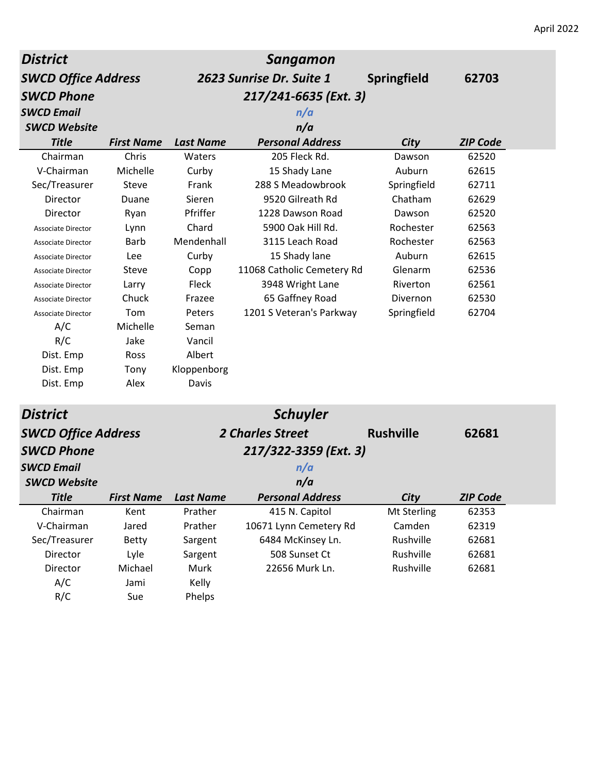| <b>District</b>            |                   |                  | Sangamon                   |                    |                 |
|----------------------------|-------------------|------------------|----------------------------|--------------------|-----------------|
| <b>SWCD Office Address</b> |                   |                  | 2623 Sunrise Dr. Suite 1   | <b>Springfield</b> | 62703           |
| <b>SWCD Phone</b>          |                   |                  | 217/241-6635 (Ext. 3)      |                    |                 |
| <b>SWCD Email</b>          |                   |                  | n/a                        |                    |                 |
| <b>SWCD Website</b>        |                   |                  | n/a                        |                    |                 |
| <b>Title</b>               | <b>First Name</b> | <b>Last Name</b> | <b>Personal Address</b>    | City               | <b>ZIP Code</b> |
| Chairman                   | Chris             | Waters           | 205 Fleck Rd.              | Dawson             | 62520           |
| V-Chairman                 | Michelle          | Curby            | 15 Shady Lane              | Auburn             | 62615           |
| Sec/Treasurer              | Steve             | Frank            | 288 S Meadowbrook          | Springfield        | 62711           |
| Director                   | Duane             | Sieren           | 9520 Gilreath Rd           | Chatham            | 62629           |
| Director                   | Ryan              | Pfriffer         | 1228 Dawson Road           | Dawson             | 62520           |
| <b>Associate Director</b>  | Lynn              | Chard            | 5900 Oak Hill Rd.          | Rochester          | 62563           |
| Associate Director         | <b>Barb</b>       | Mendenhall       | 3115 Leach Road            | Rochester          | 62563           |
| <b>Associate Director</b>  | Lee               | Curby            | 15 Shady lane              | Auburn             | 62615           |
| Associate Director         | Steve             | Copp             | 11068 Catholic Cemetery Rd | Glenarm            | 62536           |
| <b>Associate Director</b>  | Larry             | Fleck            | 3948 Wright Lane           | Riverton           | 62561           |
| Associate Director         | Chuck             | Frazee           | 65 Gaffney Road            | Divernon           | 62530           |
| <b>Associate Director</b>  | Tom               | Peters           | 1201 S Veteran's Parkway   | Springfield        | 62704           |
| A/C                        | Michelle          | Seman            |                            |                    |                 |
| R/C                        | Jake              | Vancil           |                            |                    |                 |
| Dist. Emp                  | Ross              | Albert           |                            |                    |                 |
| Dist. Emp                  | Tony              | Kloppenborg      |                            |                    |                 |
| Dist. Emp                  | Alex              | Davis            |                            |                    |                 |
| <b>District</b>            |                   |                  | <b>Schuyler</b>            |                    |                 |
| <b>SWCD Office Address</b> |                   |                  | <b>2 Charles Street</b>    | <b>Rushville</b>   | 62681           |
| <b>SWCD Phone</b>          |                   |                  | 217/322-3359 (Ext. 3)      |                    |                 |
| <b>SWCD Email</b>          |                   |                  | n/a                        |                    |                 |
| <b>SWCD Website</b>        |                   |                  | n/a                        |                    |                 |
| <b>Title</b>               | <b>First Name</b> | <b>Last Name</b> | <b>Personal Address</b>    | City               | <b>ZIP Code</b> |
| Chairman                   | Kent              | Prather          | 415 N. Capitol             | Mt Sterling        | 62353           |
| V-Chairman                 | Jared             | Prather          | 10671 Lynn Cemetery Rd     | Camden             | 62319           |
| Sec/Treasurer              | <b>Betty</b>      | Sargent          | 6484 McKinsey Ln.          | Rushville          | 62681           |
| Director                   | Lyle              | Sargent          | 508 Sunset Ct              | Rushville          | 62681           |
| Director                   | Michael           | Murk             | 22656 Murk Ln.             | Rushville          | 62681           |
| A/C                        | Jami              | Kelly            |                            |                    |                 |
| R/C                        | Sue               | Phelps           |                            |                    |                 |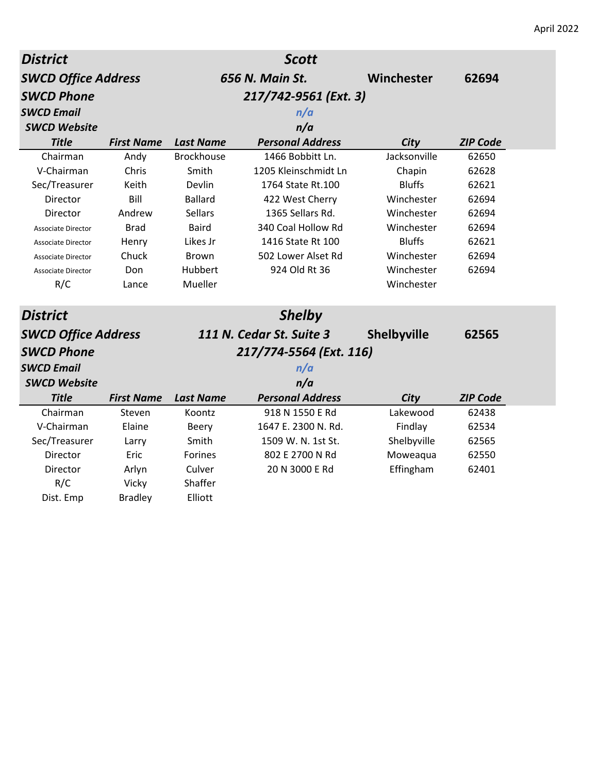| <b>District</b>            |                   |                   | <b>Scott</b>             |               |                 |
|----------------------------|-------------------|-------------------|--------------------------|---------------|-----------------|
| <b>SWCD Office Address</b> |                   |                   | 656 N. Main St.          | Winchester    | 62694           |
| <b>SWCD Phone</b>          |                   |                   | 217/742-9561 (Ext. 3)    |               |                 |
| <b>SWCD Email</b>          |                   |                   | n/a                      |               |                 |
| <b>SWCD Website</b>        |                   |                   | n/a                      |               |                 |
| <b>Title</b>               | <b>First Name</b> | <b>Last Name</b>  | <b>Personal Address</b>  | City          | <b>ZIP Code</b> |
| Chairman                   | Andy              | <b>Brockhouse</b> | 1466 Bobbitt Ln.         | Jacksonville  | 62650           |
| V-Chairman                 | Chris             | Smith             | 1205 Kleinschmidt Ln     | Chapin        | 62628           |
| Sec/Treasurer              | Keith             | Devlin            | 1764 State Rt.100        | <b>Bluffs</b> | 62621           |
| Director                   | Bill              | <b>Ballard</b>    | 422 West Cherry          | Winchester    | 62694           |
| Director                   | Andrew            | <b>Sellars</b>    | 1365 Sellars Rd.         | Winchester    | 62694           |
| <b>Associate Director</b>  | <b>Brad</b>       | <b>Baird</b>      | 340 Coal Hollow Rd       | Winchester    | 62694           |
| Associate Director         | Henry             | Likes Jr          | 1416 State Rt 100        | <b>Bluffs</b> | 62621           |
| <b>Associate Director</b>  | Chuck             | <b>Brown</b>      | 502 Lower Alset Rd       | Winchester    | 62694           |
| <b>Associate Director</b>  | Don               | Hubbert           | 924 Old Rt 36            | Winchester    | 62694           |
| R/C                        | Lance             | Mueller           |                          | Winchester    |                 |
| <b>District</b>            |                   |                   | <b>Shelby</b>            |               |                 |
| <b>SWCD Office Address</b> |                   |                   | 111 N. Cedar St. Suite 3 | Shelbyville   | 62565           |
| <b>SWCD Phone</b>          |                   |                   | 217/774-5564 (Ext. 116)  |               |                 |
| <b>SWCD Email</b>          |                   |                   | n/a                      |               |                 |
| <b>SWCD Website</b>        |                   |                   | n/a                      |               |                 |
| <b>Title</b>               | <b>First Name</b> | <b>Last Name</b>  | <b>Personal Address</b>  | City          | <b>ZIP Code</b> |
| Chairman                   | Steven            | Koontz            | 918 N 1550 E Rd          | Lakewood      | 62438           |
| V-Chairman                 | Elaine            | Beery             | 1647 E. 2300 N. Rd.      | Findlay       | 62534           |
| Sec/Treasurer              | Larry             | Smith             | 1509 W. N. 1st St.       | Shelbyville   | 62565           |
| Director                   | Eric              | <b>Forines</b>    | 802 E 2700 N Rd          | Moweaqua      | 62550           |
| Director                   | Arlyn             | Culver            | 20 N 3000 E Rd           | Effingham     | 62401           |
| R/C                        | Vicky             | Shaffer           |                          |               |                 |
| Dist. Emp                  | <b>Bradley</b>    | Elliott           |                          |               |                 |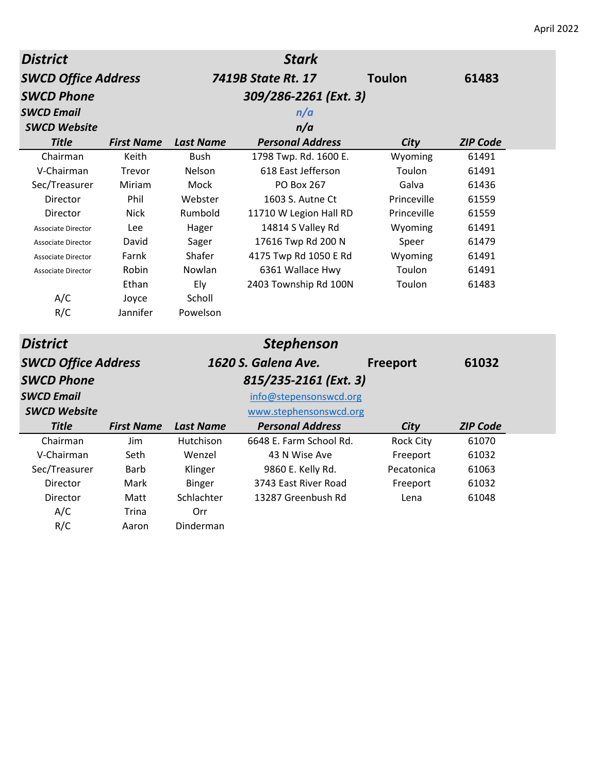| <b>District</b>            |                   |                  | <b>Stark</b>            |                  |                 |
|----------------------------|-------------------|------------------|-------------------------|------------------|-----------------|
| <b>SWCD Office Address</b> |                   |                  | 7419B State Rt. 17      | <b>Toulon</b>    | 61483           |
| <b>SWCD Phone</b>          |                   |                  | 309/286-2261 (Ext. 3)   |                  |                 |
| <b>SWCD Email</b>          |                   |                  | n/a                     |                  |                 |
| <b>SWCD Website</b>        |                   |                  | n/a                     |                  |                 |
| <b>Title</b>               | <b>First Name</b> | <b>Last Name</b> | <b>Personal Address</b> | City             | <b>ZIP Code</b> |
| Chairman                   | Keith             | <b>Bush</b>      | 1798 Twp. Rd. 1600 E.   | Wyoming          | 61491           |
| V-Chairman                 | Trevor            | Nelson           | 618 East Jefferson      | Toulon           | 61491           |
| Sec/Treasurer              | Miriam            | Mock             | <b>PO Box 267</b>       | Galva            | 61436           |
| Director                   | Phil              | Webster          | 1603 S. Autne Ct        | Princeville      | 61559           |
| Director                   | <b>Nick</b>       | Rumbold          | 11710 W Legion Hall RD  | Princeville      | 61559           |
| <b>Associate Director</b>  | <b>Lee</b>        | Hager            | 14814 S Valley Rd       | Wyoming          | 61491           |
| <b>Associate Director</b>  | David             | Sager            | 17616 Twp Rd 200 N      | Speer            | 61479           |
| <b>Associate Director</b>  | Farnk             | Shafer           | 4175 Twp Rd 1050 E Rd   | Wyoming          | 61491           |
| <b>Associate Director</b>  | Robin             | Nowlan           | 6361 Wallace Hwy        | Toulon           | 61491           |
|                            | Ethan             | Ely              | 2403 Township Rd 100N   | Toulon           | 61483           |
| A/C                        | Joyce             | Scholl           |                         |                  |                 |
| R/C                        | Jannifer          | Powelson         |                         |                  |                 |
| <b>District</b>            |                   |                  | <b>Stephenson</b>       |                  |                 |
| <b>SWCD Office Address</b> |                   |                  | 1620 S. Galena Ave.     | Freeport         | 61032           |
| <b>SWCD Phone</b>          |                   |                  | 815/235-2161 (Ext. 3)   |                  |                 |
| <b>SWCD Email</b>          |                   |                  | info@stepensonswcd.org  |                  |                 |
| <b>SWCD Website</b>        |                   |                  | www.stephensonswcd.org  |                  |                 |
| <b>Title</b>               | <b>First Name</b> | <b>Last Name</b> | <b>Personal Address</b> | City             | <b>ZIP Code</b> |
| Chairman                   | Jim               | Hutchison        | 6648 E. Farm School Rd. | <b>Rock City</b> | 61070           |
| V-Chairman                 | Seth              | Wenzel           | 43 N Wise Ave           | Freeport         | 61032           |
| Sec/Treasurer              | Barb              | Klinger          | 9860 E. Kelly Rd.       | Pecatonica       | 61063           |
| Director                   | Mark              | <b>Binger</b>    | 3743 East River Road    | Freeport         | 61032           |
| Director                   | Matt              | Schlachter       | 13287 Greenbush Rd      | Lena             | 61048           |
| A/C                        | Trina             | Orr              |                         |                  |                 |
| R/C                        | Aaron             | Dinderman        |                         |                  |                 |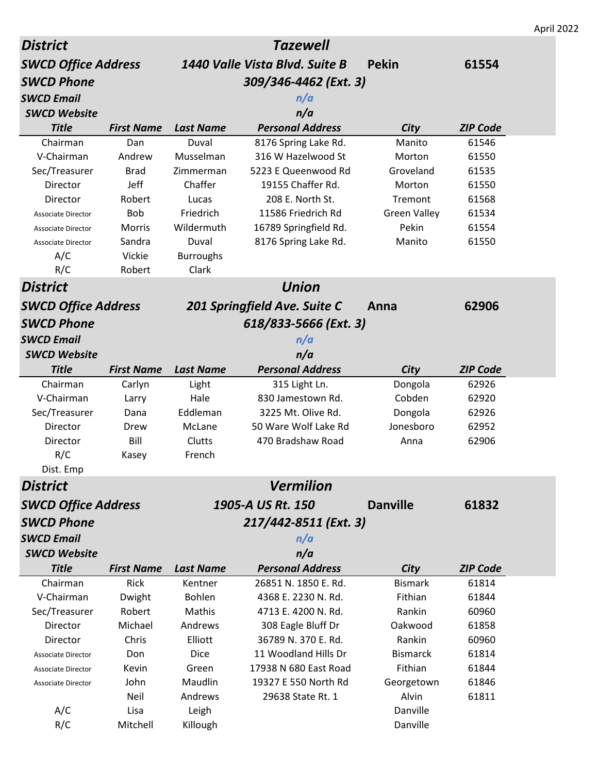|                            |                   |                  |                                |                     |                 | April 2022 |
|----------------------------|-------------------|------------------|--------------------------------|---------------------|-----------------|------------|
| <b>District</b>            |                   |                  | <b>Tazewell</b>                |                     |                 |            |
| <b>SWCD Office Address</b> |                   |                  | 1440 Valle Vista Blvd. Suite B | <b>Pekin</b>        | 61554           |            |
| <b>SWCD Phone</b>          |                   |                  | 309/346-4462 (Ext. 3)          |                     |                 |            |
| <b>SWCD Email</b>          |                   |                  | n/a                            |                     |                 |            |
| <b>SWCD Website</b>        |                   |                  | n/a                            |                     |                 |            |
| <b>Title</b>               | <b>First Name</b> | <b>Last Name</b> | <b>Personal Address</b>        | City                | <b>ZIP Code</b> |            |
| Chairman                   | Dan               | Duval            | 8176 Spring Lake Rd.           | Manito              | 61546           |            |
| V-Chairman                 | Andrew            | Musselman        | 316 W Hazelwood St             | Morton              | 61550           |            |
| Sec/Treasurer              | <b>Brad</b>       | Zimmerman        | 5223 E Queenwood Rd            | Groveland           | 61535           |            |
| Director                   | Jeff              | Chaffer          | 19155 Chaffer Rd.              | Morton              | 61550           |            |
| Director                   | Robert            | Lucas            | 208 E. North St.               | Tremont             | 61568           |            |
| <b>Associate Director</b>  | Bob               | Friedrich        | 11586 Friedrich Rd             | <b>Green Valley</b> | 61534           |            |
| <b>Associate Director</b>  | <b>Morris</b>     | Wildermuth       | 16789 Springfield Rd.          | Pekin               | 61554           |            |
| <b>Associate Director</b>  | Sandra            | Duval            | 8176 Spring Lake Rd.           | Manito              | 61550           |            |
| A/C                        | Vickie            | <b>Burroughs</b> |                                |                     |                 |            |
| R/C                        | Robert            | Clark            |                                |                     |                 |            |
| <b>District</b>            |                   |                  | <b>Union</b>                   |                     |                 |            |
| <b>SWCD Office Address</b> |                   |                  | 201 Springfield Ave. Suite C   | Anna                | 62906           |            |
| <b>SWCD Phone</b>          |                   |                  | 618/833-5666 (Ext. 3)          |                     |                 |            |
| <b>SWCD Email</b>          |                   |                  | n/a                            |                     |                 |            |
| <b>SWCD Website</b>        |                   |                  | n/a                            |                     |                 |            |
| <b>Title</b>               | <b>First Name</b> | <b>Last Name</b> | <b>Personal Address</b>        | City                | <b>ZIP Code</b> |            |
| Chairman                   | Carlyn            | Light            | 315 Light Ln.                  | Dongola             | 62926           |            |
| V-Chairman                 | Larry             | Hale             | 830 Jamestown Rd.              | Cobden              | 62920           |            |
| Sec/Treasurer              | Dana              | Eddleman         | 3225 Mt. Olive Rd.             | Dongola             | 62926           |            |
| Director                   | Drew              | McLane           | 50 Ware Wolf Lake Rd           | Jonesboro           | 62952           |            |
| Director                   | Bill              | Clutts           | 470 Bradshaw Road              | Anna                | 62906           |            |
| R/C                        | Kasey             | French           |                                |                     |                 |            |
| Dist. Emp                  |                   |                  |                                |                     |                 |            |
| <b>District</b>            |                   |                  | <b>Vermilion</b>               |                     |                 |            |
| <b>SWCD Office Address</b> |                   |                  | 1905-A US Rt. 150              | <b>Danville</b>     | 61832           |            |
| <b>SWCD Phone</b>          |                   |                  | 217/442-8511 (Ext. 3)          |                     |                 |            |
| <b>SWCD Email</b>          |                   |                  | n/a                            |                     |                 |            |
| <b>SWCD Website</b>        |                   |                  | n/a                            |                     |                 |            |
| <b>Title</b>               | <b>First Name</b> | <b>Last Name</b> | <b>Personal Address</b>        | City                | <b>ZIP Code</b> |            |
| Chairman                   | Rick              | Kentner          | 26851 N. 1850 E. Rd.           | <b>Bismark</b>      | 61814           |            |
| V-Chairman                 | Dwight            | <b>Bohlen</b>    | 4368 E. 2230 N. Rd.            | Fithian             | 61844           |            |
| Sec/Treasurer              | Robert            | Mathis           | 4713 E. 4200 N. Rd.            | Rankin              | 60960           |            |
| Director                   | Michael           | Andrews          | 308 Eagle Bluff Dr             | Oakwood             | 61858           |            |
| Director                   | Chris             | Elliott          | 36789 N. 370 E. Rd.            | Rankin              | 60960           |            |
| Associate Director         | Don               | <b>Dice</b>      | 11 Woodland Hills Dr           | <b>Bismarck</b>     | 61814           |            |
| <b>Associate Director</b>  | Kevin             | Green            | 17938 N 680 East Road          | Fithian             | 61844           |            |
| Associate Director         | John              | Maudlin          | 19327 E 550 North Rd           | Georgetown          | 61846           |            |
|                            | Neil              | Andrews          | 29638 State Rt. 1              | Alvin               | 61811           |            |
| A/C                        | Lisa              | Leigh            |                                | Danville            |                 |            |
| R/C                        | Mitchell          | Killough         |                                | Danville            |                 |            |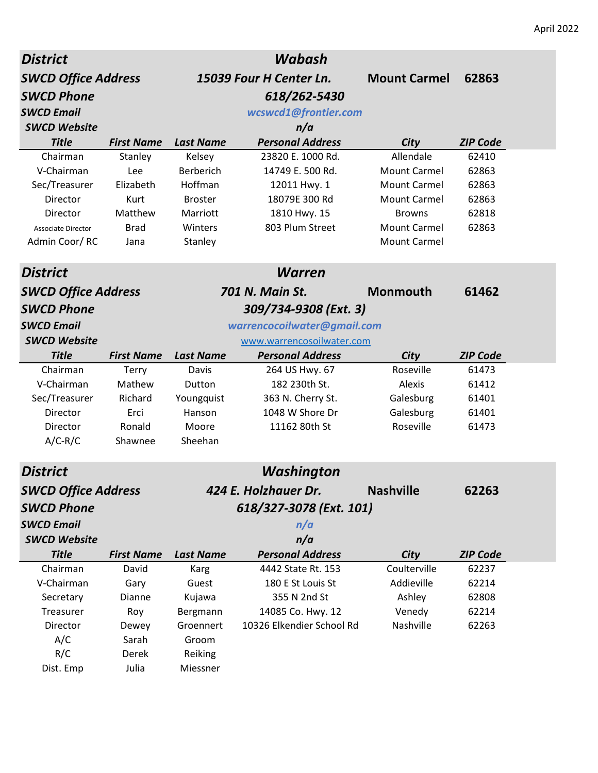| <b>SWCD Office Address</b><br>15039 Four H Center Ln.<br><b>Mount Carmel</b><br>62863<br><b>SWCD Phone</b><br>618/262-5430<br><b>SWCD Email</b><br>wcswcd1@frontier.com<br><b>SWCD Website</b><br>n/a<br><b>Personal Address</b><br><b>Title</b><br><b>First Name</b><br><b>ZIP Code</b><br><b>Last Name</b><br>City<br>Allendale<br>62410<br>Chairman<br>Stanley<br>Kelsey<br>23820 E. 1000 Rd.<br>V-Chairman<br><b>Berberich</b><br>14749 E. 500 Rd.<br><b>Mount Carmel</b><br>62863<br>Lee<br>Hoffman<br>Sec/Treasurer<br>Elizabeth<br>12011 Hwy. 1<br><b>Mount Carmel</b><br>62863<br>18079E 300 Rd<br><b>Mount Carmel</b><br>62863<br>Director<br>Kurt<br><b>Broster</b><br>Matthew<br>62818<br>Marriott<br>1810 Hwy. 15<br>Director<br><b>Browns</b><br>803 Plum Street<br><b>Brad</b><br><b>Mount Carmel</b><br>62863<br>Winters<br><b>Associate Director</b><br>Admin Coor/RC<br><b>Mount Carmel</b><br>Stanley<br>Jana<br><b>District</b><br><b>Warren</b><br><b>701 N. Main St.</b><br><b>SWCD Office Address</b><br><b>Monmouth</b><br>61462<br><b>SWCD Phone</b><br>309/734-9308 (Ext. 3)<br>warrencocoilwater@gmail.com<br><b>SWCD Email</b><br><b>SWCD Website</b><br>www.warrencosoilwater.com<br><b>Title</b><br>City<br><b>First Name</b><br><b>Last Name</b><br><b>Personal Address</b><br><b>ZIP Code</b><br>Chairman<br>264 US Hwy. 67<br>Roseville<br>61473<br>Terry<br>Davis<br>182 230th St.<br>Alexis<br>V-Chairman<br>Mathew<br>61412<br>Dutton<br>Sec/Treasurer<br>Richard<br>363 N. Cherry St.<br>Galesburg<br>61401<br>Youngquist<br>1048 W Shore Dr<br>Director<br>Erci<br>Hanson<br>Galesburg<br>61401<br>Ronald<br>Roseville<br>Director<br>Moore<br>11162 80th St<br>61473<br>$A/C-R/C$<br>Sheehan<br>Shawnee<br>Washington<br>District<br><b>SWCD Office Address</b><br>424 E. Holzhauer Dr.<br><b>Nashville</b><br>62263<br>618/327-3078 (Ext. 101)<br><b>SWCD Phone</b><br><b>SWCD Email</b><br>n/a<br>n/a<br><b>SWCD Website</b><br><b>Title</b><br><b>Personal Address</b><br>City<br><b>ZIP Code</b><br><b>First Name</b><br><b>Last Name</b><br>Coulterville<br>Chairman<br>David<br>4442 State Rt. 153<br>62237<br>Karg<br>V-Chairman<br>Addieville<br>Gary<br>Guest<br>180 E St Louis St<br>62214<br>355 N 2nd St<br>Ashley<br>62808<br>Secretary<br>Dianne<br>Kujawa<br>Venedy<br>62214<br>Treasurer<br>Roy<br>14085 Co. Hwy. 12<br>Bergmann<br>Groennert<br>10326 Elkendier School Rd<br>Nashville<br>62263<br>Director<br>Dewey<br>A/C<br>Sarah<br>Groom<br>R/C<br>Reiking<br>Derek | <b>District</b> |       |          | Wabash |  |
|---------------------------------------------------------------------------------------------------------------------------------------------------------------------------------------------------------------------------------------------------------------------------------------------------------------------------------------------------------------------------------------------------------------------------------------------------------------------------------------------------------------------------------------------------------------------------------------------------------------------------------------------------------------------------------------------------------------------------------------------------------------------------------------------------------------------------------------------------------------------------------------------------------------------------------------------------------------------------------------------------------------------------------------------------------------------------------------------------------------------------------------------------------------------------------------------------------------------------------------------------------------------------------------------------------------------------------------------------------------------------------------------------------------------------------------------------------------------------------------------------------------------------------------------------------------------------------------------------------------------------------------------------------------------------------------------------------------------------------------------------------------------------------------------------------------------------------------------------------------------------------------------------------------------------------------------------------------------------------------------------------------------------------------------------------------------------------------------------------------------------------------------------------------------------------------------------------------------------------------------------------------------------------------------------------------------------------------------------------------------------------------------------------------------------------------------------------------------------------------------------------------------------------|-----------------|-------|----------|--------|--|
|                                                                                                                                                                                                                                                                                                                                                                                                                                                                                                                                                                                                                                                                                                                                                                                                                                                                                                                                                                                                                                                                                                                                                                                                                                                                                                                                                                                                                                                                                                                                                                                                                                                                                                                                                                                                                                                                                                                                                                                                                                                                                                                                                                                                                                                                                                                                                                                                                                                                                                                                 |                 |       |          |        |  |
|                                                                                                                                                                                                                                                                                                                                                                                                                                                                                                                                                                                                                                                                                                                                                                                                                                                                                                                                                                                                                                                                                                                                                                                                                                                                                                                                                                                                                                                                                                                                                                                                                                                                                                                                                                                                                                                                                                                                                                                                                                                                                                                                                                                                                                                                                                                                                                                                                                                                                                                                 |                 |       |          |        |  |
|                                                                                                                                                                                                                                                                                                                                                                                                                                                                                                                                                                                                                                                                                                                                                                                                                                                                                                                                                                                                                                                                                                                                                                                                                                                                                                                                                                                                                                                                                                                                                                                                                                                                                                                                                                                                                                                                                                                                                                                                                                                                                                                                                                                                                                                                                                                                                                                                                                                                                                                                 |                 |       |          |        |  |
|                                                                                                                                                                                                                                                                                                                                                                                                                                                                                                                                                                                                                                                                                                                                                                                                                                                                                                                                                                                                                                                                                                                                                                                                                                                                                                                                                                                                                                                                                                                                                                                                                                                                                                                                                                                                                                                                                                                                                                                                                                                                                                                                                                                                                                                                                                                                                                                                                                                                                                                                 |                 |       |          |        |  |
|                                                                                                                                                                                                                                                                                                                                                                                                                                                                                                                                                                                                                                                                                                                                                                                                                                                                                                                                                                                                                                                                                                                                                                                                                                                                                                                                                                                                                                                                                                                                                                                                                                                                                                                                                                                                                                                                                                                                                                                                                                                                                                                                                                                                                                                                                                                                                                                                                                                                                                                                 |                 |       |          |        |  |
|                                                                                                                                                                                                                                                                                                                                                                                                                                                                                                                                                                                                                                                                                                                                                                                                                                                                                                                                                                                                                                                                                                                                                                                                                                                                                                                                                                                                                                                                                                                                                                                                                                                                                                                                                                                                                                                                                                                                                                                                                                                                                                                                                                                                                                                                                                                                                                                                                                                                                                                                 |                 |       |          |        |  |
|                                                                                                                                                                                                                                                                                                                                                                                                                                                                                                                                                                                                                                                                                                                                                                                                                                                                                                                                                                                                                                                                                                                                                                                                                                                                                                                                                                                                                                                                                                                                                                                                                                                                                                                                                                                                                                                                                                                                                                                                                                                                                                                                                                                                                                                                                                                                                                                                                                                                                                                                 |                 |       |          |        |  |
|                                                                                                                                                                                                                                                                                                                                                                                                                                                                                                                                                                                                                                                                                                                                                                                                                                                                                                                                                                                                                                                                                                                                                                                                                                                                                                                                                                                                                                                                                                                                                                                                                                                                                                                                                                                                                                                                                                                                                                                                                                                                                                                                                                                                                                                                                                                                                                                                                                                                                                                                 |                 |       |          |        |  |
|                                                                                                                                                                                                                                                                                                                                                                                                                                                                                                                                                                                                                                                                                                                                                                                                                                                                                                                                                                                                                                                                                                                                                                                                                                                                                                                                                                                                                                                                                                                                                                                                                                                                                                                                                                                                                                                                                                                                                                                                                                                                                                                                                                                                                                                                                                                                                                                                                                                                                                                                 |                 |       |          |        |  |
|                                                                                                                                                                                                                                                                                                                                                                                                                                                                                                                                                                                                                                                                                                                                                                                                                                                                                                                                                                                                                                                                                                                                                                                                                                                                                                                                                                                                                                                                                                                                                                                                                                                                                                                                                                                                                                                                                                                                                                                                                                                                                                                                                                                                                                                                                                                                                                                                                                                                                                                                 |                 |       |          |        |  |
|                                                                                                                                                                                                                                                                                                                                                                                                                                                                                                                                                                                                                                                                                                                                                                                                                                                                                                                                                                                                                                                                                                                                                                                                                                                                                                                                                                                                                                                                                                                                                                                                                                                                                                                                                                                                                                                                                                                                                                                                                                                                                                                                                                                                                                                                                                                                                                                                                                                                                                                                 |                 |       |          |        |  |
|                                                                                                                                                                                                                                                                                                                                                                                                                                                                                                                                                                                                                                                                                                                                                                                                                                                                                                                                                                                                                                                                                                                                                                                                                                                                                                                                                                                                                                                                                                                                                                                                                                                                                                                                                                                                                                                                                                                                                                                                                                                                                                                                                                                                                                                                                                                                                                                                                                                                                                                                 |                 |       |          |        |  |
|                                                                                                                                                                                                                                                                                                                                                                                                                                                                                                                                                                                                                                                                                                                                                                                                                                                                                                                                                                                                                                                                                                                                                                                                                                                                                                                                                                                                                                                                                                                                                                                                                                                                                                                                                                                                                                                                                                                                                                                                                                                                                                                                                                                                                                                                                                                                                                                                                                                                                                                                 |                 |       |          |        |  |
|                                                                                                                                                                                                                                                                                                                                                                                                                                                                                                                                                                                                                                                                                                                                                                                                                                                                                                                                                                                                                                                                                                                                                                                                                                                                                                                                                                                                                                                                                                                                                                                                                                                                                                                                                                                                                                                                                                                                                                                                                                                                                                                                                                                                                                                                                                                                                                                                                                                                                                                                 |                 |       |          |        |  |
|                                                                                                                                                                                                                                                                                                                                                                                                                                                                                                                                                                                                                                                                                                                                                                                                                                                                                                                                                                                                                                                                                                                                                                                                                                                                                                                                                                                                                                                                                                                                                                                                                                                                                                                                                                                                                                                                                                                                                                                                                                                                                                                                                                                                                                                                                                                                                                                                                                                                                                                                 |                 |       |          |        |  |
|                                                                                                                                                                                                                                                                                                                                                                                                                                                                                                                                                                                                                                                                                                                                                                                                                                                                                                                                                                                                                                                                                                                                                                                                                                                                                                                                                                                                                                                                                                                                                                                                                                                                                                                                                                                                                                                                                                                                                                                                                                                                                                                                                                                                                                                                                                                                                                                                                                                                                                                                 |                 |       |          |        |  |
|                                                                                                                                                                                                                                                                                                                                                                                                                                                                                                                                                                                                                                                                                                                                                                                                                                                                                                                                                                                                                                                                                                                                                                                                                                                                                                                                                                                                                                                                                                                                                                                                                                                                                                                                                                                                                                                                                                                                                                                                                                                                                                                                                                                                                                                                                                                                                                                                                                                                                                                                 |                 |       |          |        |  |
|                                                                                                                                                                                                                                                                                                                                                                                                                                                                                                                                                                                                                                                                                                                                                                                                                                                                                                                                                                                                                                                                                                                                                                                                                                                                                                                                                                                                                                                                                                                                                                                                                                                                                                                                                                                                                                                                                                                                                                                                                                                                                                                                                                                                                                                                                                                                                                                                                                                                                                                                 |                 |       |          |        |  |
|                                                                                                                                                                                                                                                                                                                                                                                                                                                                                                                                                                                                                                                                                                                                                                                                                                                                                                                                                                                                                                                                                                                                                                                                                                                                                                                                                                                                                                                                                                                                                                                                                                                                                                                                                                                                                                                                                                                                                                                                                                                                                                                                                                                                                                                                                                                                                                                                                                                                                                                                 |                 |       |          |        |  |
|                                                                                                                                                                                                                                                                                                                                                                                                                                                                                                                                                                                                                                                                                                                                                                                                                                                                                                                                                                                                                                                                                                                                                                                                                                                                                                                                                                                                                                                                                                                                                                                                                                                                                                                                                                                                                                                                                                                                                                                                                                                                                                                                                                                                                                                                                                                                                                                                                                                                                                                                 |                 |       |          |        |  |
|                                                                                                                                                                                                                                                                                                                                                                                                                                                                                                                                                                                                                                                                                                                                                                                                                                                                                                                                                                                                                                                                                                                                                                                                                                                                                                                                                                                                                                                                                                                                                                                                                                                                                                                                                                                                                                                                                                                                                                                                                                                                                                                                                                                                                                                                                                                                                                                                                                                                                                                                 |                 |       |          |        |  |
|                                                                                                                                                                                                                                                                                                                                                                                                                                                                                                                                                                                                                                                                                                                                                                                                                                                                                                                                                                                                                                                                                                                                                                                                                                                                                                                                                                                                                                                                                                                                                                                                                                                                                                                                                                                                                                                                                                                                                                                                                                                                                                                                                                                                                                                                                                                                                                                                                                                                                                                                 |                 |       |          |        |  |
|                                                                                                                                                                                                                                                                                                                                                                                                                                                                                                                                                                                                                                                                                                                                                                                                                                                                                                                                                                                                                                                                                                                                                                                                                                                                                                                                                                                                                                                                                                                                                                                                                                                                                                                                                                                                                                                                                                                                                                                                                                                                                                                                                                                                                                                                                                                                                                                                                                                                                                                                 |                 |       |          |        |  |
|                                                                                                                                                                                                                                                                                                                                                                                                                                                                                                                                                                                                                                                                                                                                                                                                                                                                                                                                                                                                                                                                                                                                                                                                                                                                                                                                                                                                                                                                                                                                                                                                                                                                                                                                                                                                                                                                                                                                                                                                                                                                                                                                                                                                                                                                                                                                                                                                                                                                                                                                 |                 |       |          |        |  |
|                                                                                                                                                                                                                                                                                                                                                                                                                                                                                                                                                                                                                                                                                                                                                                                                                                                                                                                                                                                                                                                                                                                                                                                                                                                                                                                                                                                                                                                                                                                                                                                                                                                                                                                                                                                                                                                                                                                                                                                                                                                                                                                                                                                                                                                                                                                                                                                                                                                                                                                                 |                 |       |          |        |  |
|                                                                                                                                                                                                                                                                                                                                                                                                                                                                                                                                                                                                                                                                                                                                                                                                                                                                                                                                                                                                                                                                                                                                                                                                                                                                                                                                                                                                                                                                                                                                                                                                                                                                                                                                                                                                                                                                                                                                                                                                                                                                                                                                                                                                                                                                                                                                                                                                                                                                                                                                 |                 |       |          |        |  |
|                                                                                                                                                                                                                                                                                                                                                                                                                                                                                                                                                                                                                                                                                                                                                                                                                                                                                                                                                                                                                                                                                                                                                                                                                                                                                                                                                                                                                                                                                                                                                                                                                                                                                                                                                                                                                                                                                                                                                                                                                                                                                                                                                                                                                                                                                                                                                                                                                                                                                                                                 |                 |       |          |        |  |
|                                                                                                                                                                                                                                                                                                                                                                                                                                                                                                                                                                                                                                                                                                                                                                                                                                                                                                                                                                                                                                                                                                                                                                                                                                                                                                                                                                                                                                                                                                                                                                                                                                                                                                                                                                                                                                                                                                                                                                                                                                                                                                                                                                                                                                                                                                                                                                                                                                                                                                                                 |                 |       |          |        |  |
|                                                                                                                                                                                                                                                                                                                                                                                                                                                                                                                                                                                                                                                                                                                                                                                                                                                                                                                                                                                                                                                                                                                                                                                                                                                                                                                                                                                                                                                                                                                                                                                                                                                                                                                                                                                                                                                                                                                                                                                                                                                                                                                                                                                                                                                                                                                                                                                                                                                                                                                                 |                 |       |          |        |  |
|                                                                                                                                                                                                                                                                                                                                                                                                                                                                                                                                                                                                                                                                                                                                                                                                                                                                                                                                                                                                                                                                                                                                                                                                                                                                                                                                                                                                                                                                                                                                                                                                                                                                                                                                                                                                                                                                                                                                                                                                                                                                                                                                                                                                                                                                                                                                                                                                                                                                                                                                 |                 |       |          |        |  |
|                                                                                                                                                                                                                                                                                                                                                                                                                                                                                                                                                                                                                                                                                                                                                                                                                                                                                                                                                                                                                                                                                                                                                                                                                                                                                                                                                                                                                                                                                                                                                                                                                                                                                                                                                                                                                                                                                                                                                                                                                                                                                                                                                                                                                                                                                                                                                                                                                                                                                                                                 |                 |       |          |        |  |
|                                                                                                                                                                                                                                                                                                                                                                                                                                                                                                                                                                                                                                                                                                                                                                                                                                                                                                                                                                                                                                                                                                                                                                                                                                                                                                                                                                                                                                                                                                                                                                                                                                                                                                                                                                                                                                                                                                                                                                                                                                                                                                                                                                                                                                                                                                                                                                                                                                                                                                                                 |                 |       |          |        |  |
|                                                                                                                                                                                                                                                                                                                                                                                                                                                                                                                                                                                                                                                                                                                                                                                                                                                                                                                                                                                                                                                                                                                                                                                                                                                                                                                                                                                                                                                                                                                                                                                                                                                                                                                                                                                                                                                                                                                                                                                                                                                                                                                                                                                                                                                                                                                                                                                                                                                                                                                                 |                 |       |          |        |  |
|                                                                                                                                                                                                                                                                                                                                                                                                                                                                                                                                                                                                                                                                                                                                                                                                                                                                                                                                                                                                                                                                                                                                                                                                                                                                                                                                                                                                                                                                                                                                                                                                                                                                                                                                                                                                                                                                                                                                                                                                                                                                                                                                                                                                                                                                                                                                                                                                                                                                                                                                 |                 |       |          |        |  |
|                                                                                                                                                                                                                                                                                                                                                                                                                                                                                                                                                                                                                                                                                                                                                                                                                                                                                                                                                                                                                                                                                                                                                                                                                                                                                                                                                                                                                                                                                                                                                                                                                                                                                                                                                                                                                                                                                                                                                                                                                                                                                                                                                                                                                                                                                                                                                                                                                                                                                                                                 |                 |       |          |        |  |
|                                                                                                                                                                                                                                                                                                                                                                                                                                                                                                                                                                                                                                                                                                                                                                                                                                                                                                                                                                                                                                                                                                                                                                                                                                                                                                                                                                                                                                                                                                                                                                                                                                                                                                                                                                                                                                                                                                                                                                                                                                                                                                                                                                                                                                                                                                                                                                                                                                                                                                                                 |                 |       |          |        |  |
|                                                                                                                                                                                                                                                                                                                                                                                                                                                                                                                                                                                                                                                                                                                                                                                                                                                                                                                                                                                                                                                                                                                                                                                                                                                                                                                                                                                                                                                                                                                                                                                                                                                                                                                                                                                                                                                                                                                                                                                                                                                                                                                                                                                                                                                                                                                                                                                                                                                                                                                                 |                 |       |          |        |  |
|                                                                                                                                                                                                                                                                                                                                                                                                                                                                                                                                                                                                                                                                                                                                                                                                                                                                                                                                                                                                                                                                                                                                                                                                                                                                                                                                                                                                                                                                                                                                                                                                                                                                                                                                                                                                                                                                                                                                                                                                                                                                                                                                                                                                                                                                                                                                                                                                                                                                                                                                 | Dist. Emp       | Julia | Miessner |        |  |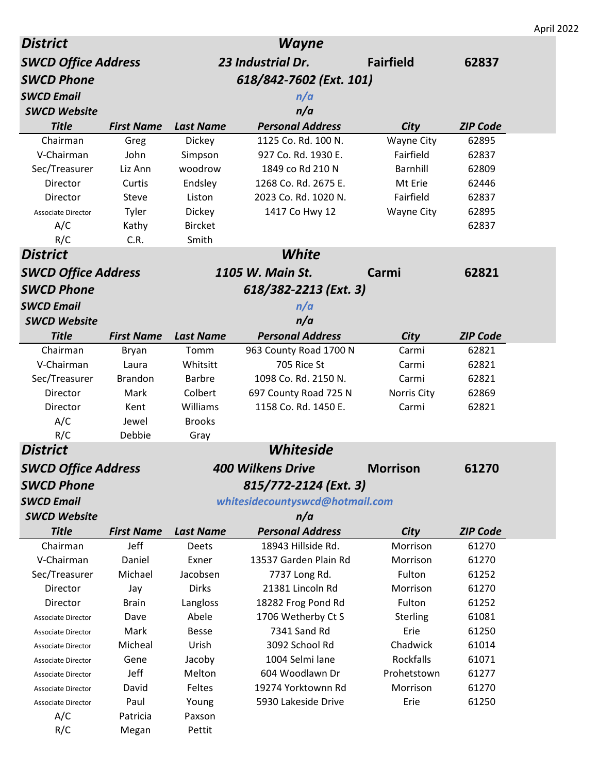|                            |                   |                  |                                 |                   |                 | April 2022 |
|----------------------------|-------------------|------------------|---------------------------------|-------------------|-----------------|------------|
| <b>District</b>            |                   |                  | <b>Wayne</b>                    |                   |                 |            |
| <b>SWCD Office Address</b> |                   |                  | 23 Industrial Dr.               | <b>Fairfield</b>  | 62837           |            |
| <b>SWCD Phone</b>          |                   |                  | 618/842-7602 (Ext. 101)         |                   |                 |            |
| <b>SWCD Email</b>          |                   |                  | n/a                             |                   |                 |            |
| <b>SWCD Website</b>        |                   |                  | n/a                             |                   |                 |            |
| <b>Title</b>               | <b>First Name</b> | <b>Last Name</b> | <b>Personal Address</b>         | City              | <b>ZIP Code</b> |            |
| Chairman                   | Greg              | Dickey           | 1125 Co. Rd. 100 N.             | <b>Wayne City</b> | 62895           |            |
| V-Chairman                 | John              | Simpson          | 927 Co. Rd. 1930 E.             | Fairfield         | 62837           |            |
| Sec/Treasurer              | Liz Ann           | woodrow          | 1849 co Rd 210 N                | Barnhill          | 62809           |            |
| Director                   | Curtis            | Endsley          | 1268 Co. Rd. 2675 E.            | Mt Erie           | 62446           |            |
| Director                   | Steve             | Liston           | 2023 Co. Rd. 1020 N.            | Fairfield         | 62837           |            |
| <b>Associate Director</b>  | Tyler             | Dickey           | 1417 Co Hwy 12                  | <b>Wayne City</b> | 62895           |            |
| A/C                        | Kathy             | <b>Bircket</b>   |                                 |                   | 62837           |            |
| R/C                        | C.R.              | Smith            |                                 |                   |                 |            |
| <b>District</b>            |                   |                  | White                           |                   |                 |            |
| <b>SWCD Office Address</b> |                   |                  | 1105 W. Main St.                | Carmi             | 62821           |            |
|                            |                   |                  |                                 |                   |                 |            |
| <b>SWCD Phone</b>          |                   |                  | 618/382-2213 (Ext. 3)           |                   |                 |            |
| <b>SWCD Email</b>          |                   |                  | n/a                             |                   |                 |            |
| <b>SWCD Website</b>        |                   |                  | n/a                             |                   |                 |            |
| <b>Title</b>               | <b>First Name</b> | <b>Last Name</b> | <b>Personal Address</b>         | City              | <b>ZIP Code</b> |            |
| Chairman                   | <b>Bryan</b>      | Tomm             | 963 County Road 1700 N          | Carmi             | 62821           |            |
| V-Chairman                 | Laura             | Whitsitt         | 705 Rice St                     | Carmi             | 62821           |            |
| Sec/Treasurer              | <b>Brandon</b>    | <b>Barbre</b>    | 1098 Co. Rd. 2150 N.            | Carmi             | 62821           |            |
| Director                   | Mark              | Colbert          | 697 County Road 725 N           | Norris City       | 62869           |            |
| Director                   | Kent              | Williams         | 1158 Co. Rd. 1450 E.            | Carmi             | 62821           |            |
| A/C                        | Jewel             | <b>Brooks</b>    |                                 |                   |                 |            |
| R/C                        | Debbie            | Gray             |                                 |                   |                 |            |
| <b>District</b>            |                   |                  | Whiteside                       |                   |                 |            |
| <b>SWCD Office Address</b> |                   |                  | <b>400 Wilkens Drive</b>        | <b>Morrison</b>   | 61270           |            |
| <b>SWCD Phone</b>          |                   |                  | 815/772-2124 (Ext. 3)           |                   |                 |            |
| <b>SWCD Email</b>          |                   |                  | whitesidecountyswcd@hotmail.com |                   |                 |            |
| <b>SWCD Website</b>        |                   |                  | n/a                             |                   |                 |            |
| <b>Title</b>               | <b>First Name</b> | <b>Last Name</b> | <b>Personal Address</b>         | City              | <b>ZIP Code</b> |            |
| Chairman                   | Jeff              | Deets            | 18943 Hillside Rd.              | Morrison          | 61270           |            |
| V-Chairman                 | Daniel            | Exner            | 13537 Garden Plain Rd           | Morrison          | 61270           |            |
| Sec/Treasurer              | Michael           | Jacobsen         | 7737 Long Rd.                   | Fulton            | 61252           |            |
| Director                   | Jay               | <b>Dirks</b>     | 21381 Lincoln Rd                | Morrison          | 61270           |            |
| Director                   | <b>Brain</b>      | Langloss         | 18282 Frog Pond Rd              | Fulton            | 61252           |            |
| <b>Associate Director</b>  | Dave              | Abele            | 1706 Wetherby Ct S              | Sterling          | 61081           |            |
| <b>Associate Director</b>  | Mark              | <b>Besse</b>     | 7341 Sand Rd                    | Erie              | 61250           |            |
| <b>Associate Director</b>  | Micheal           | Urish            | 3092 School Rd                  | Chadwick          | 61014           |            |
| <b>Associate Director</b>  | Gene              | Jacoby           | 1004 Selmi lane                 | Rockfalls         | 61071           |            |
| <b>Associate Director</b>  | Jeff              | Melton           | 604 Woodlawn Dr                 | Prohetstown       | 61277           |            |
| <b>Associate Director</b>  | David             | Feltes           | 19274 Yorktownn Rd              | Morrison          | 61270           |            |
| <b>Associate Director</b>  | Paul              | Young            | 5930 Lakeside Drive             | Erie              | 61250           |            |
| A/C                        | Patricia          | Paxson           |                                 |                   |                 |            |
| R/C                        | Megan             | Pettit           |                                 |                   |                 |            |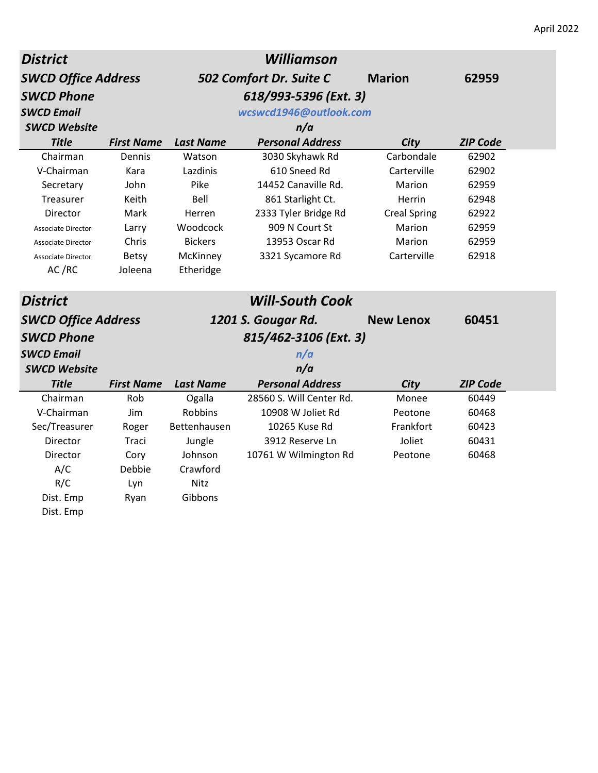| <b>District</b>            |                   |                  | <b>Williamson</b>        |                     |                 |  |
|----------------------------|-------------------|------------------|--------------------------|---------------------|-----------------|--|
| <b>SWCD Office Address</b> |                   |                  | 502 Comfort Dr. Suite C  | <b>Marion</b>       | 62959           |  |
| <b>SWCD Phone</b>          |                   |                  | 618/993-5396 (Ext. 3)    |                     |                 |  |
| <b>SWCD Email</b>          |                   |                  | wcswcd1946@outlook.com   |                     |                 |  |
| <b>SWCD Website</b>        |                   |                  | n/a                      |                     |                 |  |
| <b>Title</b>               | <b>First Name</b> | <b>Last Name</b> | <b>Personal Address</b>  | City                | <b>ZIP Code</b> |  |
| Chairman                   | Dennis            | Watson           | 3030 Skyhawk Rd          | Carbondale          | 62902           |  |
| V-Chairman                 | Kara              | Lazdinis         | 610 Sneed Rd             | Carterville         | 62902           |  |
| Secretary                  | John              | Pike             | 14452 Canaville Rd.      | Marion              | 62959           |  |
| Treasurer                  | Keith             | Bell             | 861 Starlight Ct.        | Herrin              | 62948           |  |
| Director                   | <b>Mark</b>       | Herren           | 2333 Tyler Bridge Rd     | <b>Creal Spring</b> | 62922           |  |
| <b>Associate Director</b>  | Larry             | Woodcock         | 909 N Court St           | Marion              | 62959           |  |
| <b>Associate Director</b>  | Chris             | <b>Bickers</b>   | 13953 Oscar Rd           | Marion              | 62959           |  |
| <b>Associate Director</b>  | <b>Betsy</b>      | McKinney         | 3321 Sycamore Rd         | Carterville         | 62918           |  |
| AC/RC                      | Joleena           | Etheridge        |                          |                     |                 |  |
| <b>District</b>            |                   |                  | <b>Will-South Cook</b>   |                     |                 |  |
| <b>SWCD Office Address</b> |                   |                  | 1201 S. Gougar Rd.       | <b>New Lenox</b>    | 60451           |  |
| <b>SWCD Phone</b>          |                   |                  | 815/462-3106 (Ext. 3)    |                     |                 |  |
| <b>SWCD Email</b>          |                   |                  | n/a                      |                     |                 |  |
| <b>SWCD Website</b>        |                   |                  | n/a                      |                     |                 |  |
| <b>Title</b>               | <b>First Name</b> | <b>Last Name</b> | <b>Personal Address</b>  | <b>City</b>         | <b>ZIP Code</b> |  |
| Chairman                   | Rob               | Ogalla           | 28560 S. Will Center Rd. | Monee               | 60449           |  |
| V-Chairman                 | Jim               | Robbins          | 10908 W Joliet Rd        | Peotone             | 60468           |  |
| Sec/Treasurer              | Roger             | Bettenhausen     | 10265 Kuse Rd            | Frankfort           | 60423           |  |
| Director                   | Traci             | Jungle           | 3912 Reserve Ln          | Joliet              | 60431           |  |
| Director                   | Cory              | Johnson          | 10761 W Wilmington Rd    | Peotone             | 60468           |  |
| A/C                        | Debbie            | Crawford         |                          |                     |                 |  |
| R/C                        | Lyn               | Nitz             |                          |                     |                 |  |
| Dist. Emp                  | Ryan              | Gibbons          |                          |                     |                 |  |
| Dist. Emp                  |                   |                  |                          |                     |                 |  |